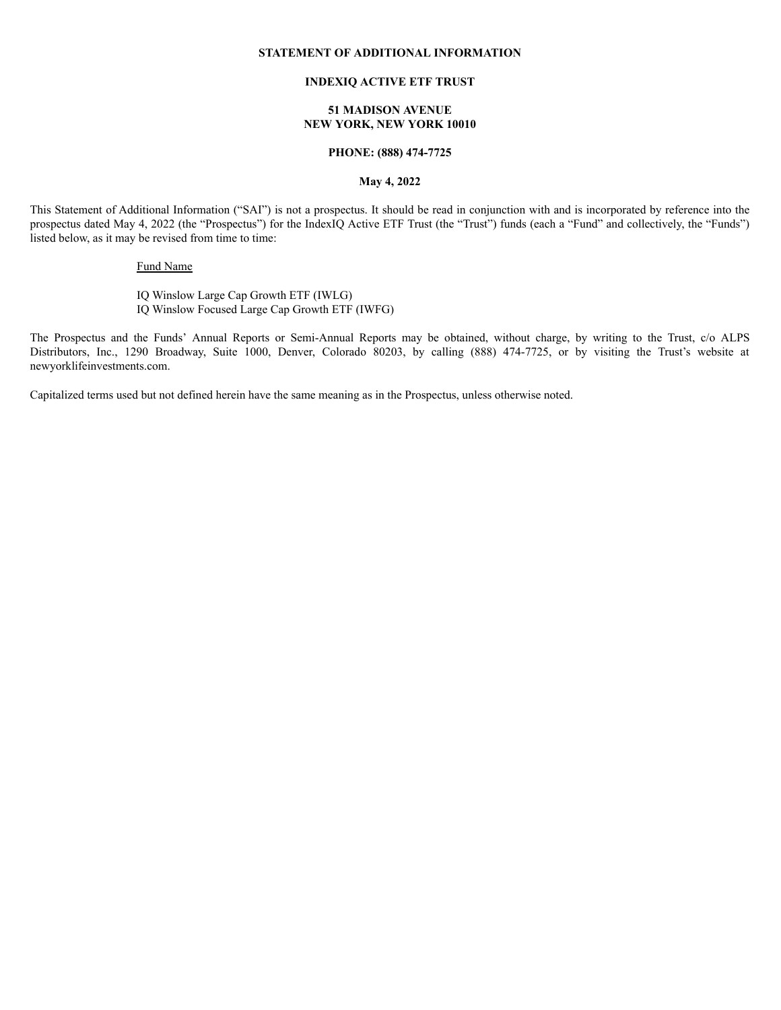## **STATEMENT OF ADDITIONAL INFORMATION**

# **INDEXIQ ACTIVE ETF TRUST**

## **51 MADISON AVENUE NEW YORK, NEW YORK 10010**

# **PHONE: (888) 474-7725**

# **May 4, 2022**

This Statement of Additional Information ("SAI") is not a prospectus. It should be read in conjunction with and is incorporated by reference into the prospectus dated May 4, 2022 (the "Prospectus") for the IndexIQ Active ETF Trust (the "Trust") funds (each a "Fund" and collectively, the "Funds") listed below, as it may be revised from time to time:

# Fund Name

IQ Winslow Large Cap Growth ETF (IWLG) IQ Winslow Focused Large Cap Growth ETF (IWFG)

The Prospectus and the Funds' Annual Reports or Semi-Annual Reports may be obtained, without charge, by writing to the Trust, c/o ALPS Distributors, Inc., 1290 Broadway, Suite 1000, Denver, Colorado 80203, by calling (888) 474-7725, or by visiting the Trust's website at newyorklifeinvestments.com.

Capitalized terms used but not defined herein have the same meaning as in the Prospectus, unless otherwise noted.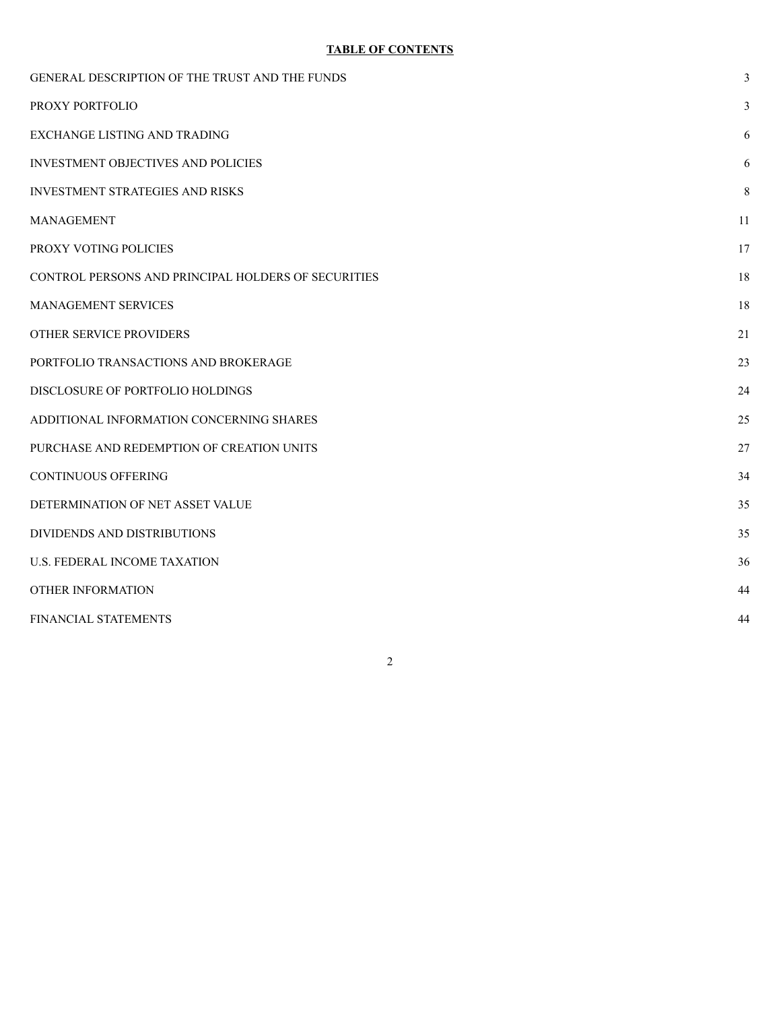# **TABLE OF CONTENTS**

| GENERAL DESCRIPTION OF THE TRUST AND THE FUNDS      | 3  |
|-----------------------------------------------------|----|
| PROXY PORTFOLIO                                     | 3  |
| EXCHANGE LISTING AND TRADING                        | 6  |
| <b>INVESTMENT OBJECTIVES AND POLICIES</b>           | 6  |
| <b>INVESTMENT STRATEGIES AND RISKS</b>              | 8  |
| <b>MANAGEMENT</b>                                   | 11 |
| PROXY VOTING POLICIES                               | 17 |
| CONTROL PERSONS AND PRINCIPAL HOLDERS OF SECURITIES | 18 |
| <b>MANAGEMENT SERVICES</b>                          | 18 |
| OTHER SERVICE PROVIDERS                             | 21 |
| PORTFOLIO TRANSACTIONS AND BROKERAGE                | 23 |
| DISCLOSURE OF PORTFOLIO HOLDINGS                    | 24 |
| ADDITIONAL INFORMATION CONCERNING SHARES            | 25 |
| PURCHASE AND REDEMPTION OF CREATION UNITS           | 27 |
| <b>CONTINUOUS OFFERING</b>                          | 34 |
| DETERMINATION OF NET ASSET VALUE                    | 35 |
| DIVIDENDS AND DISTRIBUTIONS                         | 35 |
| <b>U.S. FEDERAL INCOME TAXATION</b>                 | 36 |
| <b>OTHER INFORMATION</b>                            | 44 |
| FINANCIAL STATEMENTS                                | 44 |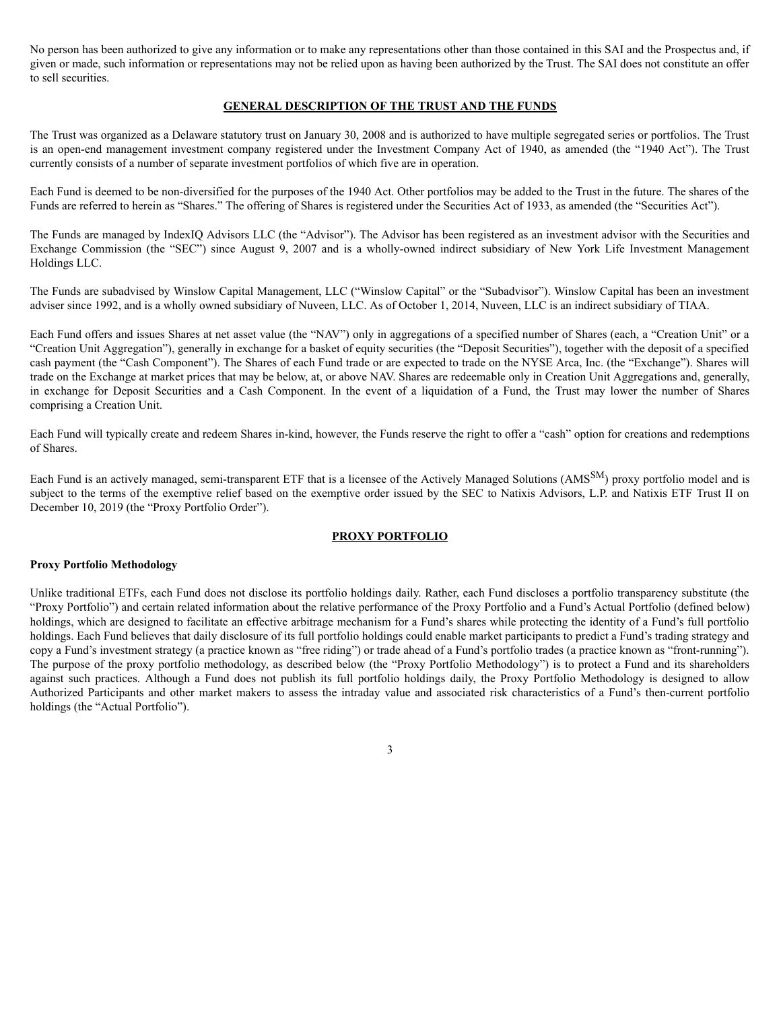No person has been authorized to give any information or to make any representations other than those contained in this SAI and the Prospectus and, if given or made, such information or representations may not be relied upon as having been authorized by the Trust. The SAI does not constitute an offer to sell securities.

# **GENERAL DESCRIPTION OF THE TRUST AND THE FUNDS**

The Trust was organized as a Delaware statutory trust on January 30, 2008 and is authorized to have multiple segregated series or portfolios. The Trust is an open-end management investment company registered under the Investment Company Act of 1940, as amended (the "1940 Act"). The Trust currently consists of a number of separate investment portfolios of which five are in operation.

Each Fund is deemed to be non-diversified for the purposes of the 1940 Act. Other portfolios may be added to the Trust in the future. The shares of the Funds are referred to herein as "Shares." The offering of Shares is registered under the Securities Act of 1933, as amended (the "Securities Act").

The Funds are managed by IndexIQ Advisors LLC (the "Advisor"). The Advisor has been registered as an investment advisor with the Securities and Exchange Commission (the "SEC") since August 9, 2007 and is a wholly-owned indirect subsidiary of New York Life Investment Management Holdings LLC.

The Funds are subadvised by Winslow Capital Management, LLC ("Winslow Capital" or the "Subadvisor"). Winslow Capital has been an investment adviser since 1992, and is a wholly owned subsidiary of Nuveen, LLC. As of October 1, 2014, Nuveen, LLC is an indirect subsidiary of TIAA.

Each Fund offers and issues Shares at net asset value (the "NAV") only in aggregations of a specified number of Shares (each, a "Creation Unit" or a "Creation Unit Aggregation"), generally in exchange for a basket of equity securities (the "Deposit Securities"), together with the deposit of a specified cash payment (the "Cash Component"). The Shares of each Fund trade or are expected to trade on the NYSE Arca, Inc. (the "Exchange"). Shares will trade on the Exchange at market prices that may be below, at, or above NAV. Shares are redeemable only in Creation Unit Aggregations and, generally, in exchange for Deposit Securities and a Cash Component. In the event of a liquidation of a Fund, the Trust may lower the number of Shares comprising a Creation Unit.

Each Fund will typically create and redeem Shares in-kind, however, the Funds reserve the right to offer a "cash" option for creations and redemptions of Shares.

Each Fund is an actively managed, semi-transparent ETF that is a licensee of the Actively Managed Solutions (AMS<sup>SM</sup>) proxy portfolio model and is subject to the terms of the exemptive relief based on the exemptive order issued by the SEC to Natixis Advisors, L.P. and Natixis ETF Trust II on December 10, 2019 (the "Proxy Portfolio Order").

# **PROXY PORTFOLIO**

### **Proxy Portfolio Methodology**

Unlike traditional ETFs, each Fund does not disclose its portfolio holdings daily. Rather, each Fund discloses a portfolio transparency substitute (the "Proxy Portfolio") and certain related information about the relative performance of the Proxy Portfolio and a Fund's Actual Portfolio (defined below) holdings, which are designed to facilitate an effective arbitrage mechanism for a Fund's shares while protecting the identity of a Fund's full portfolio holdings. Each Fund believes that daily disclosure of its full portfolio holdings could enable market participants to predict a Fund's trading strategy and copy a Fund's investment strategy (a practice known as "free riding") or trade ahead of a Fund's portfolio trades (a practice known as "front-running"). The purpose of the proxy portfolio methodology, as described below (the "Proxy Portfolio Methodology") is to protect a Fund and its shareholders against such practices. Although a Fund does not publish its full portfolio holdings daily, the Proxy Portfolio Methodology is designed to allow Authorized Participants and other market makers to assess the intraday value and associated risk characteristics of a Fund's then-current portfolio holdings (the "Actual Portfolio").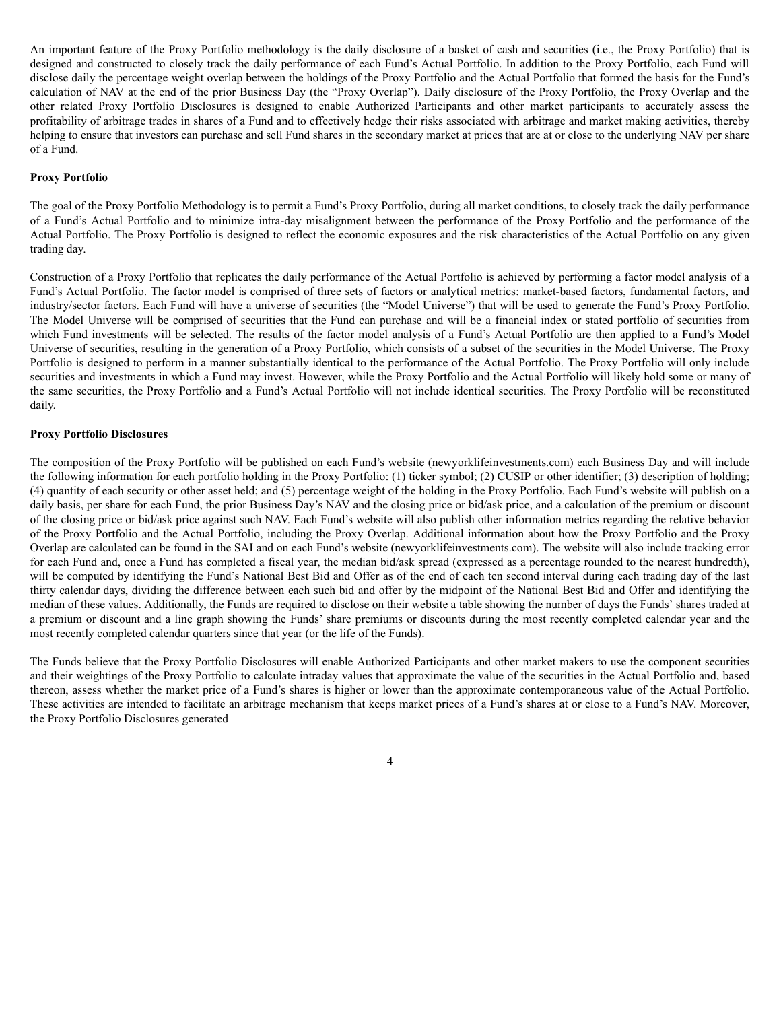An important feature of the Proxy Portfolio methodology is the daily disclosure of a basket of cash and securities (i.e., the Proxy Portfolio) that is designed and constructed to closely track the daily performance of each Fund's Actual Portfolio. In addition to the Proxy Portfolio, each Fund will disclose daily the percentage weight overlap between the holdings of the Proxy Portfolio and the Actual Portfolio that formed the basis for the Fund's calculation of NAV at the end of the prior Business Day (the "Proxy Overlap"). Daily disclosure of the Proxy Portfolio, the Proxy Overlap and the other related Proxy Portfolio Disclosures is designed to enable Authorized Participants and other market participants to accurately assess the profitability of arbitrage trades in shares of a Fund and to effectively hedge their risks associated with arbitrage and market making activities, thereby helping to ensure that investors can purchase and sell Fund shares in the secondary market at prices that are at or close to the underlying NAV per share of a Fund.

### **Proxy Portfolio**

The goal of the Proxy Portfolio Methodology is to permit a Fund's Proxy Portfolio, during all market conditions, to closely track the daily performance of a Fund's Actual Portfolio and to minimize intra-day misalignment between the performance of the Proxy Portfolio and the performance of the Actual Portfolio. The Proxy Portfolio is designed to reflect the economic exposures and the risk characteristics of the Actual Portfolio on any given trading day.

Construction of a Proxy Portfolio that replicates the daily performance of the Actual Portfolio is achieved by performing a factor model analysis of a Fund's Actual Portfolio. The factor model is comprised of three sets of factors or analytical metrics: market-based factors, fundamental factors, and industry/sector factors. Each Fund will have a universe of securities (the "Model Universe") that will be used to generate the Fund's Proxy Portfolio. The Model Universe will be comprised of securities that the Fund can purchase and will be a financial index or stated portfolio of securities from which Fund investments will be selected. The results of the factor model analysis of a Fund's Actual Portfolio are then applied to a Fund's Model Universe of securities, resulting in the generation of a Proxy Portfolio, which consists of a subset of the securities in the Model Universe. The Proxy Portfolio is designed to perform in a manner substantially identical to the performance of the Actual Portfolio. The Proxy Portfolio will only include securities and investments in which a Fund may invest. However, while the Proxy Portfolio and the Actual Portfolio will likely hold some or many of the same securities, the Proxy Portfolio and a Fund's Actual Portfolio will not include identical securities. The Proxy Portfolio will be reconstituted daily.

### **Proxy Portfolio Disclosures**

The composition of the Proxy Portfolio will be published on each Fund's website (newyorklifeinvestments.com) each Business Day and will include the following information for each portfolio holding in the Proxy Portfolio: (1) ticker symbol; (2) CUSIP or other identifier; (3) description of holding; (4) quantity of each security or other asset held; and (5) percentage weight of the holding in the Proxy Portfolio. Each Fund's website will publish on a daily basis, per share for each Fund, the prior Business Day's NAV and the closing price or bid/ask price, and a calculation of the premium or discount of the closing price or bid/ask price against such NAV. Each Fund's website will also publish other information metrics regarding the relative behavior of the Proxy Portfolio and the Actual Portfolio, including the Proxy Overlap. Additional information about how the Proxy Portfolio and the Proxy Overlap are calculated can be found in the SAI and on each Fund's website (newyorklifeinvestments.com). The website will also include tracking error for each Fund and, once a Fund has completed a fiscal year, the median bid/ask spread (expressed as a percentage rounded to the nearest hundredth), will be computed by identifying the Fund's National Best Bid and Offer as of the end of each ten second interval during each trading day of the last thirty calendar days, dividing the difference between each such bid and offer by the midpoint of the National Best Bid and Offer and identifying the median of these values. Additionally, the Funds are required to disclose on their website a table showing the number of days the Funds' shares traded at a premium or discount and a line graph showing the Funds' share premiums or discounts during the most recently completed calendar year and the most recently completed calendar quarters since that year (or the life of the Funds).

The Funds believe that the Proxy Portfolio Disclosures will enable Authorized Participants and other market makers to use the component securities and their weightings of the Proxy Portfolio to calculate intraday values that approximate the value of the securities in the Actual Portfolio and, based thereon, assess whether the market price of a Fund's shares is higher or lower than the approximate contemporaneous value of the Actual Portfolio. These activities are intended to facilitate an arbitrage mechanism that keeps market prices of a Fund's shares at or close to a Fund's NAV. Moreover, the Proxy Portfolio Disclosures generated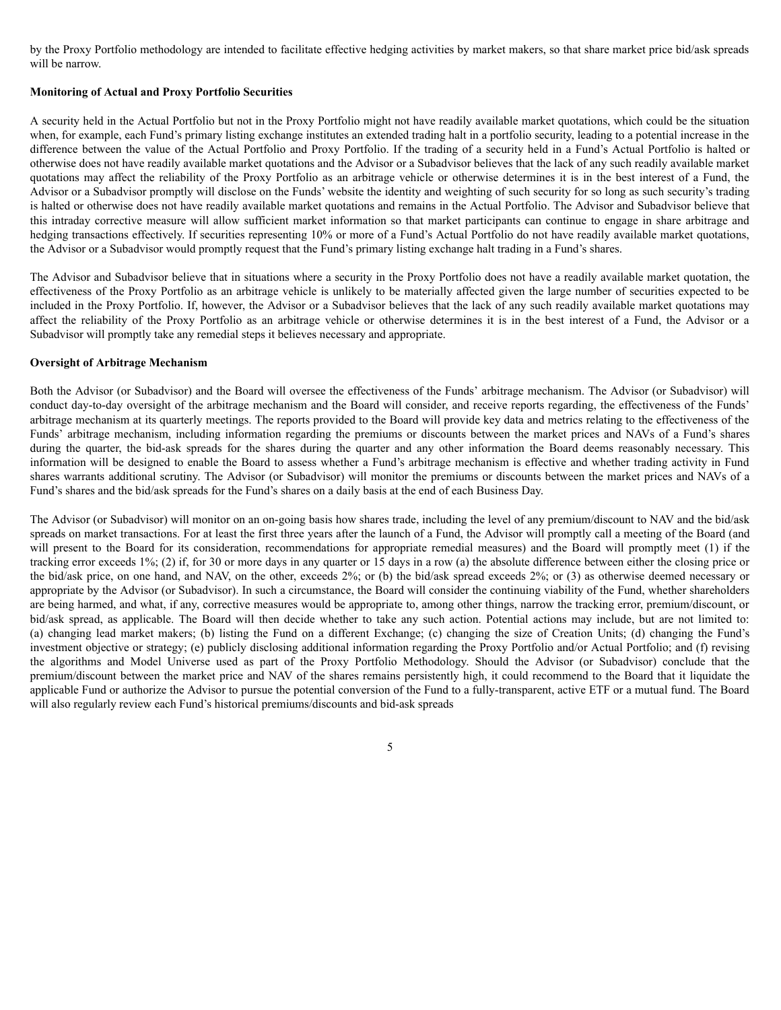by the Proxy Portfolio methodology are intended to facilitate effective hedging activities by market makers, so that share market price bid/ask spreads will be narrow.

### **Monitoring of Actual and Proxy Portfolio Securities**

A security held in the Actual Portfolio but not in the Proxy Portfolio might not have readily available market quotations, which could be the situation when, for example, each Fund's primary listing exchange institutes an extended trading halt in a portfolio security, leading to a potential increase in the difference between the value of the Actual Portfolio and Proxy Portfolio. If the trading of a security held in a Fund's Actual Portfolio is halted or otherwise does not have readily available market quotations and the Advisor or a Subadvisor believes that the lack of any such readily available market quotations may affect the reliability of the Proxy Portfolio as an arbitrage vehicle or otherwise determines it is in the best interest of a Fund, the Advisor or a Subadvisor promptly will disclose on the Funds' website the identity and weighting of such security for so long as such security's trading is halted or otherwise does not have readily available market quotations and remains in the Actual Portfolio. The Advisor and Subadvisor believe that this intraday corrective measure will allow sufficient market information so that market participants can continue to engage in share arbitrage and hedging transactions effectively. If securities representing 10% or more of a Fund's Actual Portfolio do not have readily available market quotations, the Advisor or a Subadvisor would promptly request that the Fund's primary listing exchange halt trading in a Fund's shares.

The Advisor and Subadvisor believe that in situations where a security in the Proxy Portfolio does not have a readily available market quotation, the effectiveness of the Proxy Portfolio as an arbitrage vehicle is unlikely to be materially affected given the large number of securities expected to be included in the Proxy Portfolio. If, however, the Advisor or a Subadvisor believes that the lack of any such readily available market quotations may affect the reliability of the Proxy Portfolio as an arbitrage vehicle or otherwise determines it is in the best interest of a Fund, the Advisor or a Subadvisor will promptly take any remedial steps it believes necessary and appropriate.

### **Oversight of Arbitrage Mechanism**

Both the Advisor (or Subadvisor) and the Board will oversee the effectiveness of the Funds' arbitrage mechanism. The Advisor (or Subadvisor) will conduct day-to-day oversight of the arbitrage mechanism and the Board will consider, and receive reports regarding, the effectiveness of the Funds' arbitrage mechanism at its quarterly meetings. The reports provided to the Board will provide key data and metrics relating to the effectiveness of the Funds' arbitrage mechanism, including information regarding the premiums or discounts between the market prices and NAVs of a Fund's shares during the quarter, the bid-ask spreads for the shares during the quarter and any other information the Board deems reasonably necessary. This information will be designed to enable the Board to assess whether a Fund's arbitrage mechanism is effective and whether trading activity in Fund shares warrants additional scrutiny. The Advisor (or Subadvisor) will monitor the premiums or discounts between the market prices and NAVs of a Fund's shares and the bid/ask spreads for the Fund's shares on a daily basis at the end of each Business Day.

The Advisor (or Subadvisor) will monitor on an on-going basis how shares trade, including the level of any premium/discount to NAV and the bid/ask spreads on market transactions. For at least the first three years after the launch of a Fund, the Advisor will promptly call a meeting of the Board (and will present to the Board for its consideration, recommendations for appropriate remedial measures) and the Board will promptly meet (1) if the tracking error exceeds 1%; (2) if, for 30 or more days in any quarter or 15 days in a row (a) the absolute difference between either the closing price or the bid/ask price, on one hand, and NAV, on the other, exceeds 2%; or (b) the bid/ask spread exceeds 2%; or (3) as otherwise deemed necessary or appropriate by the Advisor (or Subadvisor). In such a circumstance, the Board will consider the continuing viability of the Fund, whether shareholders are being harmed, and what, if any, corrective measures would be appropriate to, among other things, narrow the tracking error, premium/discount, or bid/ask spread, as applicable. The Board will then decide whether to take any such action. Potential actions may include, but are not limited to: (a) changing lead market makers; (b) listing the Fund on a different Exchange; (c) changing the size of Creation Units; (d) changing the Fund's investment objective or strategy; (e) publicly disclosing additional information regarding the Proxy Portfolio and/or Actual Portfolio; and (f) revising the algorithms and Model Universe used as part of the Proxy Portfolio Methodology. Should the Advisor (or Subadvisor) conclude that the premium/discount between the market price and NAV of the shares remains persistently high, it could recommend to the Board that it liquidate the applicable Fund or authorize the Advisor to pursue the potential conversion of the Fund to a fully-transparent, active ETF or a mutual fund. The Board will also regularly review each Fund's historical premiums/discounts and bid-ask spreads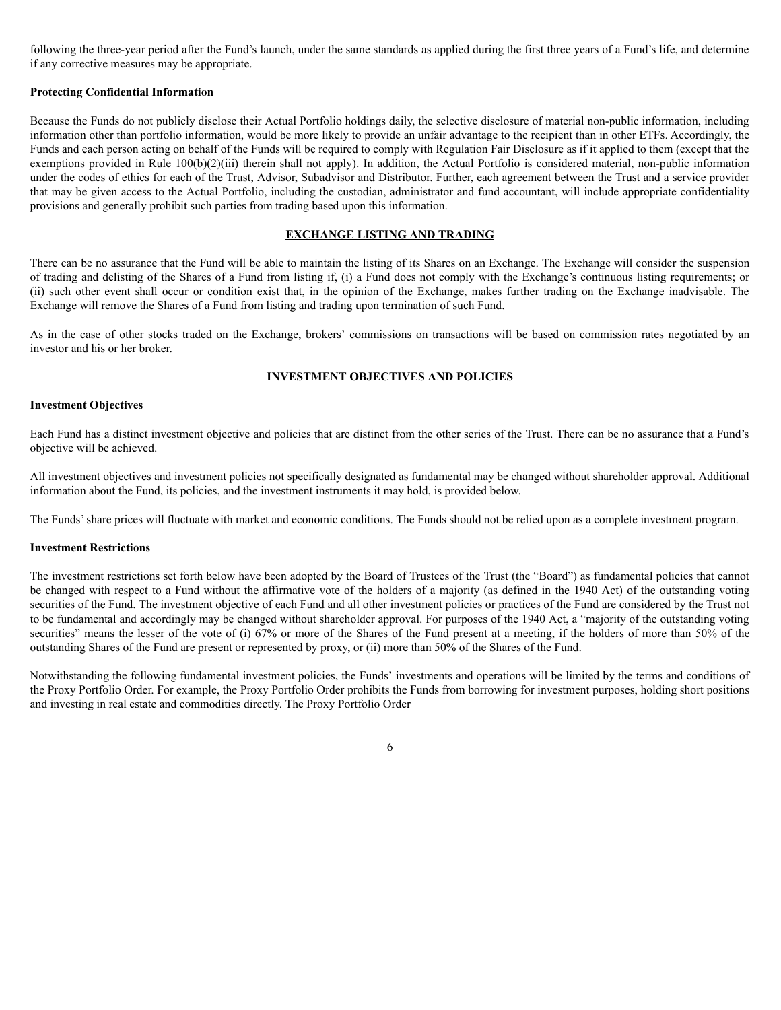following the three-year period after the Fund's launch, under the same standards as applied during the first three years of a Fund's life, and determine if any corrective measures may be appropriate.

## **Protecting Confidential Information**

Because the Funds do not publicly disclose their Actual Portfolio holdings daily, the selective disclosure of material non-public information, including information other than portfolio information, would be more likely to provide an unfair advantage to the recipient than in other ETFs. Accordingly, the Funds and each person acting on behalf of the Funds will be required to comply with Regulation Fair Disclosure as if it applied to them (except that the exemptions provided in Rule 100(b)(2)(iii) therein shall not apply). In addition, the Actual Portfolio is considered material, non-public information under the codes of ethics for each of the Trust, Advisor, Subadvisor and Distributor. Further, each agreement between the Trust and a service provider that may be given access to the Actual Portfolio, including the custodian, administrator and fund accountant, will include appropriate confidentiality provisions and generally prohibit such parties from trading based upon this information.

### **EXCHANGE LISTING AND TRADING**

There can be no assurance that the Fund will be able to maintain the listing of its Shares on an Exchange. The Exchange will consider the suspension of trading and delisting of the Shares of a Fund from listing if, (i) a Fund does not comply with the Exchange's continuous listing requirements; or (ii) such other event shall occur or condition exist that, in the opinion of the Exchange, makes further trading on the Exchange inadvisable. The Exchange will remove the Shares of a Fund from listing and trading upon termination of such Fund.

As in the case of other stocks traded on the Exchange, brokers' commissions on transactions will be based on commission rates negotiated by an investor and his or her broker.

## **INVESTMENT OBJECTIVES AND POLICIES**

## **Investment Objectives**

Each Fund has a distinct investment objective and policies that are distinct from the other series of the Trust. There can be no assurance that a Fund's objective will be achieved.

All investment objectives and investment policies not specifically designated as fundamental may be changed without shareholder approval. Additional information about the Fund, its policies, and the investment instruments it may hold, is provided below.

The Funds'share prices will fluctuate with market and economic conditions. The Funds should not be relied upon as a complete investment program.

### **Investment Restrictions**

The investment restrictions set forth below have been adopted by the Board of Trustees of the Trust (the "Board") as fundamental policies that cannot be changed with respect to a Fund without the affirmative vote of the holders of a majority (as defined in the 1940 Act) of the outstanding voting securities of the Fund. The investment objective of each Fund and all other investment policies or practices of the Fund are considered by the Trust not to be fundamental and accordingly may be changed without shareholder approval. For purposes of the 1940 Act, a "majority of the outstanding voting securities" means the lesser of the vote of (i) 67% or more of the Shares of the Fund present at a meeting, if the holders of more than 50% of the outstanding Shares of the Fund are present or represented by proxy, or (ii) more than 50% of the Shares of the Fund.

Notwithstanding the following fundamental investment policies, the Funds' investments and operations will be limited by the terms and conditions of the Proxy Portfolio Order. For example, the Proxy Portfolio Order prohibits the Funds from borrowing for investment purposes, holding short positions and investing in real estate and commodities directly. The Proxy Portfolio Order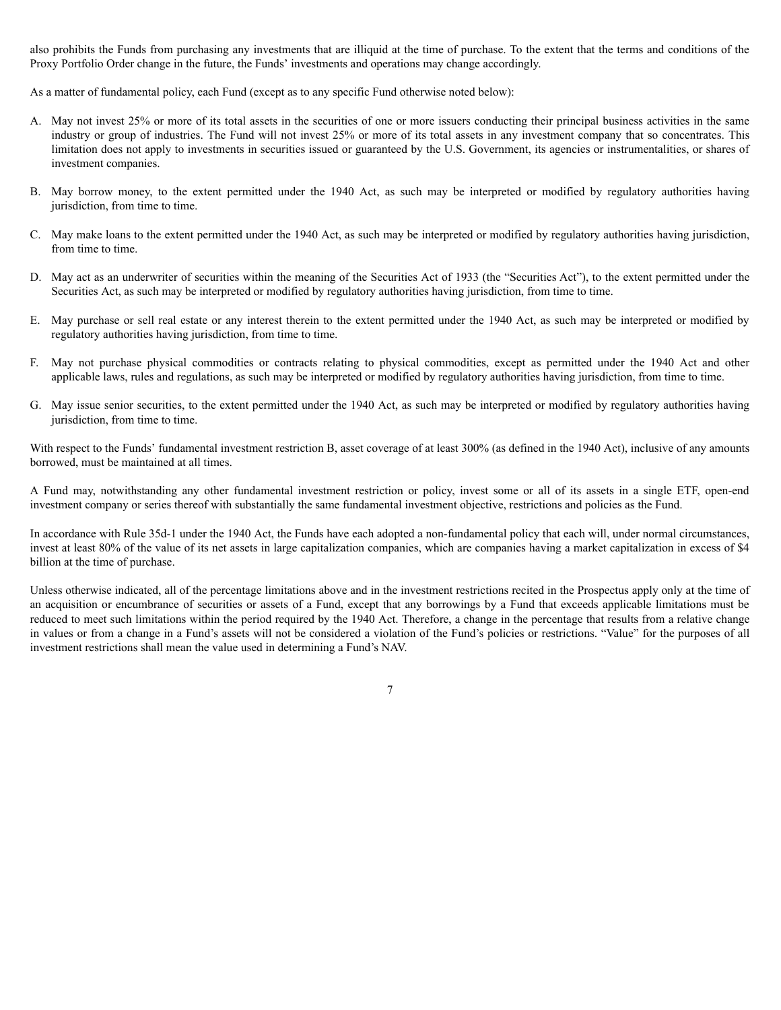also prohibits the Funds from purchasing any investments that are illiquid at the time of purchase. To the extent that the terms and conditions of the Proxy Portfolio Order change in the future, the Funds' investments and operations may change accordingly.

As a matter of fundamental policy, each Fund (except as to any specific Fund otherwise noted below):

- A. May not invest 25% or more of its total assets in the securities of one or more issuers conducting their principal business activities in the same industry or group of industries. The Fund will not invest 25% or more of its total assets in any investment company that so concentrates. This limitation does not apply to investments in securities issued or guaranteed by the U.S. Government, its agencies or instrumentalities, or shares of investment companies.
- B. May borrow money, to the extent permitted under the 1940 Act, as such may be interpreted or modified by regulatory authorities having jurisdiction, from time to time.
- C. May make loans to the extent permitted under the 1940 Act, as such may be interpreted or modified by regulatory authorities having jurisdiction, from time to time.
- D. May act as an underwriter of securities within the meaning of the Securities Act of 1933 (the "Securities Act"), to the extent permitted under the Securities Act, as such may be interpreted or modified by regulatory authorities having jurisdiction, from time to time.
- E. May purchase or sell real estate or any interest therein to the extent permitted under the 1940 Act, as such may be interpreted or modified by regulatory authorities having jurisdiction, from time to time.
- F. May not purchase physical commodities or contracts relating to physical commodities, except as permitted under the 1940 Act and other applicable laws, rules and regulations, as such may be interpreted or modified by regulatory authorities having jurisdiction, from time to time.
- G. May issue senior securities, to the extent permitted under the 1940 Act, as such may be interpreted or modified by regulatory authorities having jurisdiction, from time to time.

With respect to the Funds' fundamental investment restriction B, asset coverage of at least 300% (as defined in the 1940 Act), inclusive of any amounts borrowed, must be maintained at all times.

A Fund may, notwithstanding any other fundamental investment restriction or policy, invest some or all of its assets in a single ETF, open-end investment company or series thereof with substantially the same fundamental investment objective, restrictions and policies as the Fund.

In accordance with Rule 35d-1 under the 1940 Act, the Funds have each adopted a non-fundamental policy that each will, under normal circumstances, invest at least 80% of the value of its net assets in large capitalization companies, which are companies having a market capitalization in excess of \$4 billion at the time of purchase.

Unless otherwise indicated, all of the percentage limitations above and in the investment restrictions recited in the Prospectus apply only at the time of an acquisition or encumbrance of securities or assets of a Fund, except that any borrowings by a Fund that exceeds applicable limitations must be reduced to meet such limitations within the period required by the 1940 Act. Therefore, a change in the percentage that results from a relative change in values or from a change in a Fund's assets will not be considered a violation of the Fund's policies or restrictions. "Value" for the purposes of all investment restrictions shall mean the value used in determining a Fund's NAV.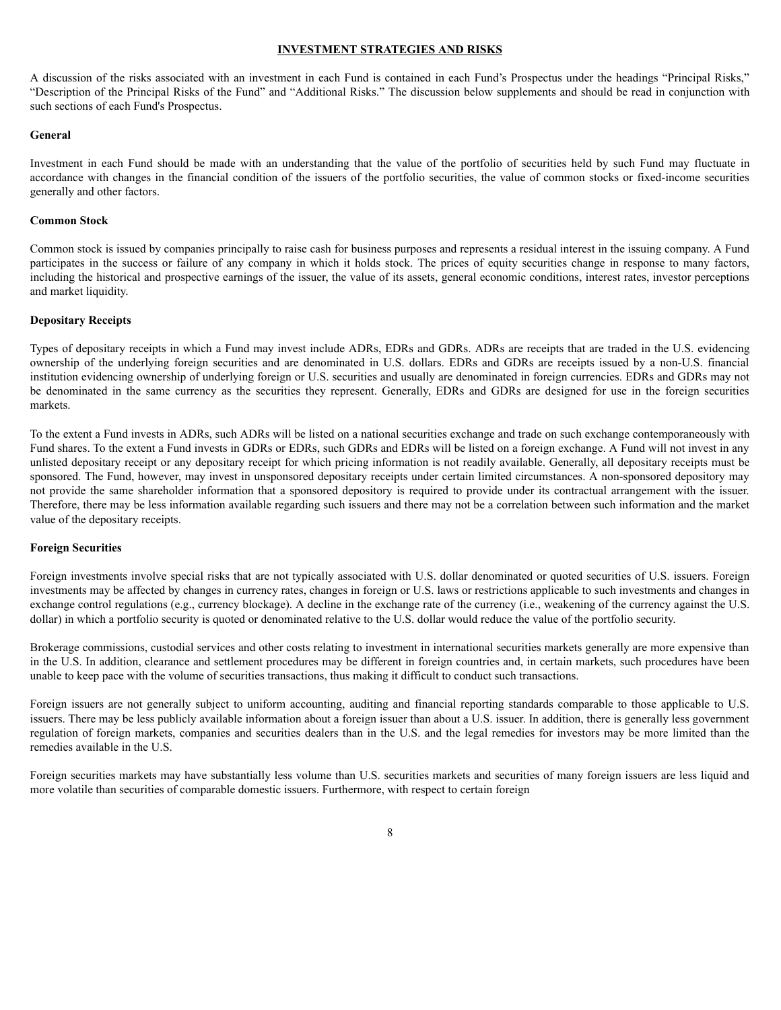### **INVESTMENT STRATEGIES AND RISKS**

A discussion of the risks associated with an investment in each Fund is contained in each Fund's Prospectus under the headings "Principal Risks," "Description of the Principal Risks of the Fund" and "Additional Risks." The discussion below supplements and should be read in conjunction with such sections of each Fund's Prospectus.

### **General**

Investment in each Fund should be made with an understanding that the value of the portfolio of securities held by such Fund may fluctuate in accordance with changes in the financial condition of the issuers of the portfolio securities, the value of common stocks or fixed-income securities generally and other factors.

### **Common Stock**

Common stock is issued by companies principally to raise cash for business purposes and represents a residual interest in the issuing company. A Fund participates in the success or failure of any company in which it holds stock. The prices of equity securities change in response to many factors, including the historical and prospective earnings of the issuer, the value of its assets, general economic conditions, interest rates, investor perceptions and market liquidity.

## **Depositary Receipts**

Types of depositary receipts in which a Fund may invest include ADRs, EDRs and GDRs. ADRs are receipts that are traded in the U.S. evidencing ownership of the underlying foreign securities and are denominated in U.S. dollars. EDRs and GDRs are receipts issued by a non-U.S. financial institution evidencing ownership of underlying foreign or U.S. securities and usually are denominated in foreign currencies. EDRs and GDRs may not be denominated in the same currency as the securities they represent. Generally, EDRs and GDRs are designed for use in the foreign securities markets.

To the extent a Fund invests in ADRs, such ADRs will be listed on a national securities exchange and trade on such exchange contemporaneously with Fund shares. To the extent a Fund invests in GDRs or EDRs, such GDRs and EDRs will be listed on a foreign exchange. A Fund will not invest in any unlisted depositary receipt or any depositary receipt for which pricing information is not readily available. Generally, all depositary receipts must be sponsored. The Fund, however, may invest in unsponsored depositary receipts under certain limited circumstances. A non-sponsored depository may not provide the same shareholder information that a sponsored depository is required to provide under its contractual arrangement with the issuer. Therefore, there may be less information available regarding such issuers and there may not be a correlation between such information and the market value of the depositary receipts.

#### **Foreign Securities**

Foreign investments involve special risks that are not typically associated with U.S. dollar denominated or quoted securities of U.S. issuers. Foreign investments may be affected by changes in currency rates, changes in foreign or U.S. laws or restrictions applicable to such investments and changes in exchange control regulations (e.g., currency blockage). A decline in the exchange rate of the currency (i.e., weakening of the currency against the U.S. dollar) in which a portfolio security is quoted or denominated relative to the U.S. dollar would reduce the value of the portfolio security.

Brokerage commissions, custodial services and other costs relating to investment in international securities markets generally are more expensive than in the U.S. In addition, clearance and settlement procedures may be different in foreign countries and, in certain markets, such procedures have been unable to keep pace with the volume of securities transactions, thus making it difficult to conduct such transactions.

Foreign issuers are not generally subject to uniform accounting, auditing and financial reporting standards comparable to those applicable to U.S. issuers. There may be less publicly available information about a foreign issuer than about a U.S. issuer. In addition, there is generally less government regulation of foreign markets, companies and securities dealers than in the U.S. and the legal remedies for investors may be more limited than the remedies available in the U.S.

Foreign securities markets may have substantially less volume than U.S. securities markets and securities of many foreign issuers are less liquid and more volatile than securities of comparable domestic issuers. Furthermore, with respect to certain foreign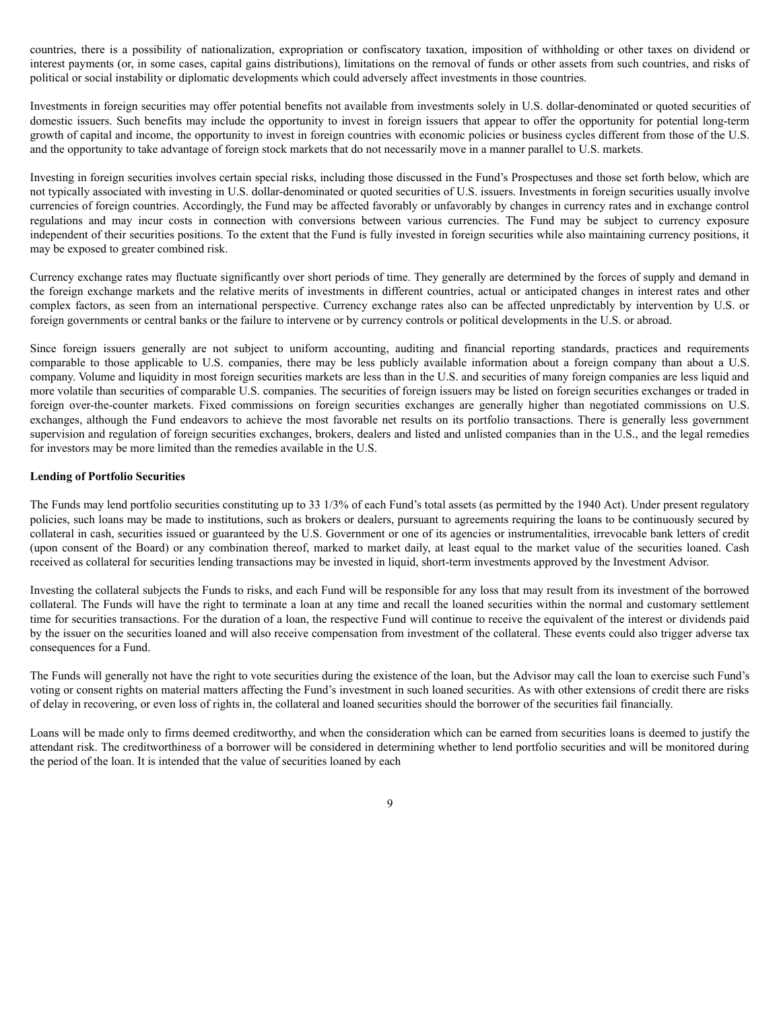countries, there is a possibility of nationalization, expropriation or confiscatory taxation, imposition of withholding or other taxes on dividend or interest payments (or, in some cases, capital gains distributions), limitations on the removal of funds or other assets from such countries, and risks of political or social instability or diplomatic developments which could adversely affect investments in those countries.

Investments in foreign securities may offer potential benefits not available from investments solely in U.S. dollar-denominated or quoted securities of domestic issuers. Such benefits may include the opportunity to invest in foreign issuers that appear to offer the opportunity for potential long-term growth of capital and income, the opportunity to invest in foreign countries with economic policies or business cycles different from those of the U.S. and the opportunity to take advantage of foreign stock markets that do not necessarily move in a manner parallel to U.S. markets.

Investing in foreign securities involves certain special risks, including those discussed in the Fund's Prospectuses and those set forth below, which are not typically associated with investing in U.S. dollar-denominated or quoted securities of U.S. issuers. Investments in foreign securities usually involve currencies of foreign countries. Accordingly, the Fund may be affected favorably or unfavorably by changes in currency rates and in exchange control regulations and may incur costs in connection with conversions between various currencies. The Fund may be subject to currency exposure independent of their securities positions. To the extent that the Fund is fully invested in foreign securities while also maintaining currency positions, it may be exposed to greater combined risk.

Currency exchange rates may fluctuate significantly over short periods of time. They generally are determined by the forces of supply and demand in the foreign exchange markets and the relative merits of investments in different countries, actual or anticipated changes in interest rates and other complex factors, as seen from an international perspective. Currency exchange rates also can be affected unpredictably by intervention by U.S. or foreign governments or central banks or the failure to intervene or by currency controls or political developments in the U.S. or abroad.

Since foreign issuers generally are not subject to uniform accounting, auditing and financial reporting standards, practices and requirements comparable to those applicable to U.S. companies, there may be less publicly available information about a foreign company than about a U.S. company. Volume and liquidity in most foreign securities markets are less than in the U.S. and securities of many foreign companies are less liquid and more volatile than securities of comparable U.S. companies. The securities of foreign issuers may be listed on foreign securities exchanges or traded in foreign over-the-counter markets. Fixed commissions on foreign securities exchanges are generally higher than negotiated commissions on U.S. exchanges, although the Fund endeavors to achieve the most favorable net results on its portfolio transactions. There is generally less government supervision and regulation of foreign securities exchanges, brokers, dealers and listed and unlisted companies than in the U.S., and the legal remedies for investors may be more limited than the remedies available in the U.S.

### **Lending of Portfolio Securities**

The Funds may lend portfolio securities constituting up to 33 1/3% of each Fund's total assets (as permitted by the 1940 Act). Under present regulatory policies, such loans may be made to institutions, such as brokers or dealers, pursuant to agreements requiring the loans to be continuously secured by collateral in cash, securities issued or guaranteed by the U.S. Government or one of its agencies or instrumentalities, irrevocable bank letters of credit (upon consent of the Board) or any combination thereof, marked to market daily, at least equal to the market value of the securities loaned. Cash received as collateral for securities lending transactions may be invested in liquid, short-term investments approved by the Investment Advisor.

Investing the collateral subjects the Funds to risks, and each Fund will be responsible for any loss that may result from its investment of the borrowed collateral. The Funds will have the right to terminate a loan at any time and recall the loaned securities within the normal and customary settlement time for securities transactions. For the duration of a loan, the respective Fund will continue to receive the equivalent of the interest or dividends paid by the issuer on the securities loaned and will also receive compensation from investment of the collateral. These events could also trigger adverse tax consequences for a Fund.

The Funds will generally not have the right to vote securities during the existence of the loan, but the Advisor may call the loan to exercise such Fund's voting or consent rights on material matters affecting the Fund's investment in such loaned securities. As with other extensions of credit there are risks of delay in recovering, or even loss of rights in, the collateral and loaned securities should the borrower of the securities fail financially.

Loans will be made only to firms deemed creditworthy, and when the consideration which can be earned from securities loans is deemed to justify the attendant risk. The creditworthiness of a borrower will be considered in determining whether to lend portfolio securities and will be monitored during the period of the loan. It is intended that the value of securities loaned by each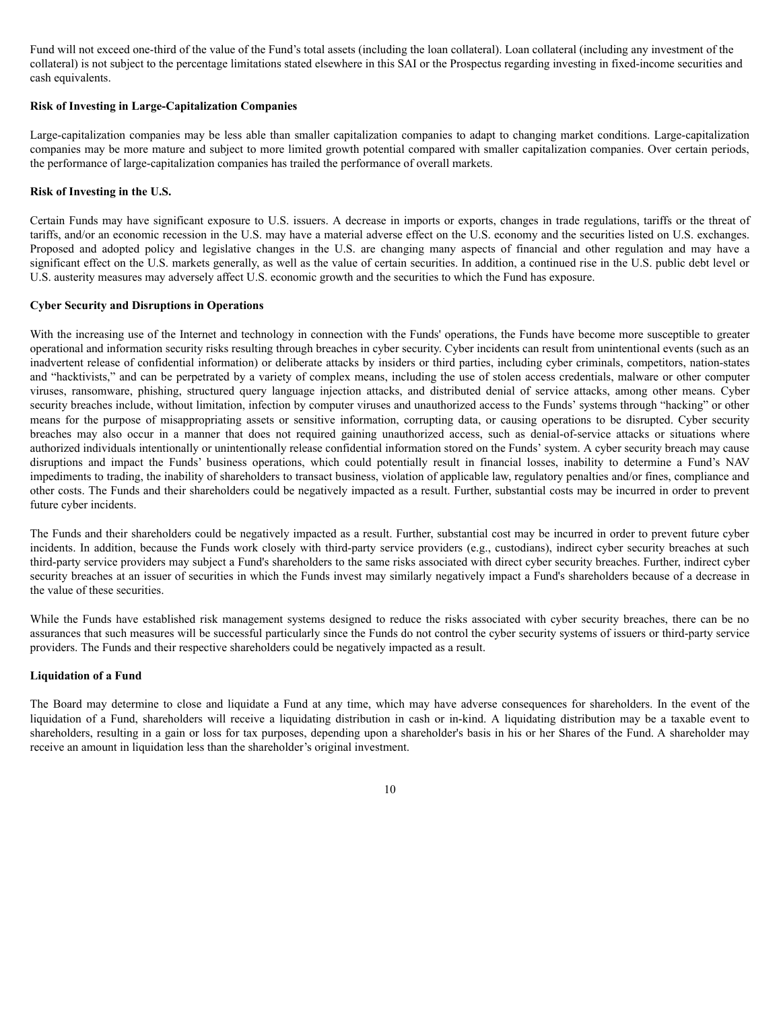Fund will not exceed one-third of the value of the Fund's total assets (including the loan collateral). Loan collateral (including any investment of the collateral) is not subject to the percentage limitations stated elsewhere in this SAI or the Prospectus regarding investing in fixed-income securities and cash equivalents.

## **Risk of Investing in Large-Capitalization Companies**

Large-capitalization companies may be less able than smaller capitalization companies to adapt to changing market conditions. Large-capitalization companies may be more mature and subject to more limited growth potential compared with smaller capitalization companies. Over certain periods, the performance of large-capitalization companies has trailed the performance of overall markets.

## **Risk of Investing in the U.S.**

Certain Funds may have significant exposure to U.S. issuers. A decrease in imports or exports, changes in trade regulations, tariffs or the threat of tariffs, and/or an economic recession in the U.S. may have a material adverse effect on the U.S. economy and the securities listed on U.S. exchanges. Proposed and adopted policy and legislative changes in the U.S. are changing many aspects of financial and other regulation and may have a significant effect on the U.S. markets generally, as well as the value of certain securities. In addition, a continued rise in the U.S. public debt level or U.S. austerity measures may adversely affect U.S. economic growth and the securities to which the Fund has exposure.

### **Cyber Security and Disruptions in Operations**

With the increasing use of the Internet and technology in connection with the Funds' operations, the Funds have become more susceptible to greater operational and information security risks resulting through breaches in cyber security. Cyber incidents can result from unintentional events (such as an inadvertent release of confidential information) or deliberate attacks by insiders or third parties, including cyber criminals, competitors, nation-states and "hacktivists," and can be perpetrated by a variety of complex means, including the use of stolen access credentials, malware or other computer viruses, ransomware, phishing, structured query language injection attacks, and distributed denial of service attacks, among other means. Cyber security breaches include, without limitation, infection by computer viruses and unauthorized access to the Funds' systems through "hacking" or other means for the purpose of misappropriating assets or sensitive information, corrupting data, or causing operations to be disrupted. Cyber security breaches may also occur in a manner that does not required gaining unauthorized access, such as denial-of-service attacks or situations where authorized individuals intentionally or unintentionally release confidential information stored on the Funds' system. A cyber security breach may cause disruptions and impact the Funds' business operations, which could potentially result in financial losses, inability to determine a Fund's NAV impediments to trading, the inability of shareholders to transact business, violation of applicable law, regulatory penalties and/or fines, compliance and other costs. The Funds and their shareholders could be negatively impacted as a result. Further, substantial costs may be incurred in order to prevent future cyber incidents.

The Funds and their shareholders could be negatively impacted as a result. Further, substantial cost may be incurred in order to prevent future cyber incidents. In addition, because the Funds work closely with third-party service providers (e.g., custodians), indirect cyber security breaches at such third-party service providers may subject a Fund's shareholders to the same risks associated with direct cyber security breaches. Further, indirect cyber security breaches at an issuer of securities in which the Funds invest may similarly negatively impact a Fund's shareholders because of a decrease in the value of these securities.

While the Funds have established risk management systems designed to reduce the risks associated with cyber security breaches, there can be no assurances that such measures will be successful particularly since the Funds do not control the cyber security systems of issuers or third-party service providers. The Funds and their respective shareholders could be negatively impacted as a result.

### **Liquidation of a Fund**

The Board may determine to close and liquidate a Fund at any time, which may have adverse consequences for shareholders. In the event of the liquidation of a Fund, shareholders will receive a liquidating distribution in cash or in-kind. A liquidating distribution may be a taxable event to shareholders, resulting in a gain or loss for tax purposes, depending upon a shareholder's basis in his or her Shares of the Fund. A shareholder may receive an amount in liquidation less than the shareholder's original investment.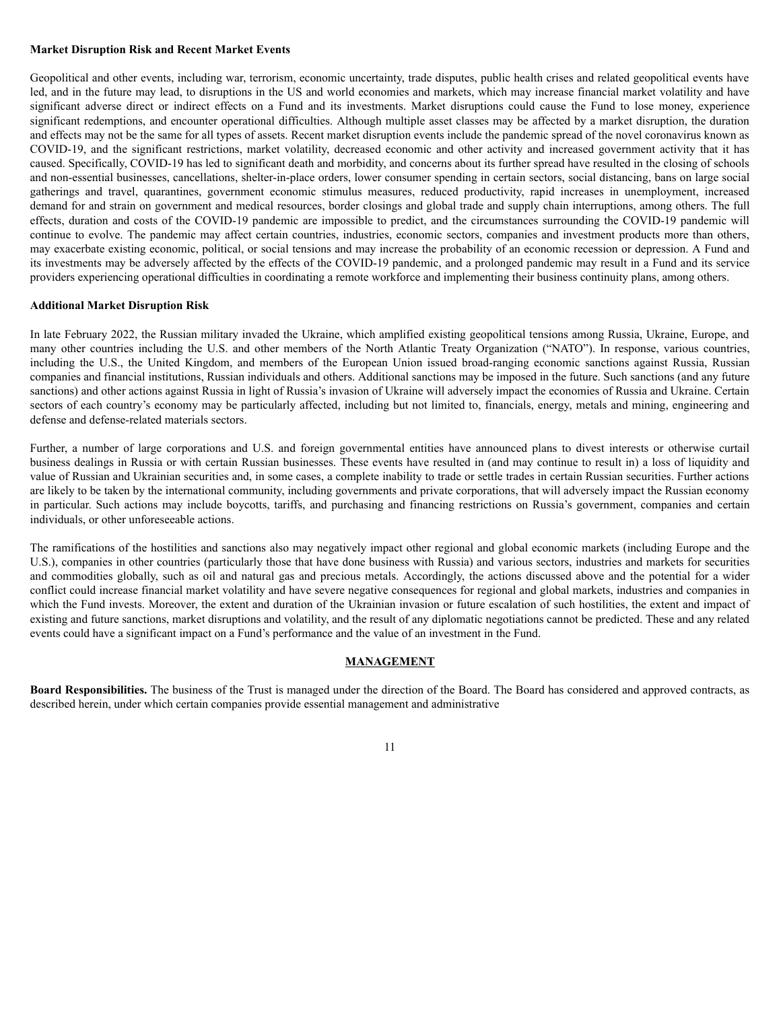### **Market Disruption Risk and Recent Market Events**

Geopolitical and other events, including war, terrorism, economic uncertainty, trade disputes, public health crises and related geopolitical events have led, and in the future may lead, to disruptions in the US and world economies and markets, which may increase financial market volatility and have significant adverse direct or indirect effects on a Fund and its investments. Market disruptions could cause the Fund to lose money, experience significant redemptions, and encounter operational difficulties. Although multiple asset classes may be affected by a market disruption, the duration and effects may not be the same for all types of assets. Recent market disruption events include the pandemic spread of the novel coronavirus known as COVID-19, and the significant restrictions, market volatility, decreased economic and other activity and increased government activity that it has caused. Specifically, COVID-19 has led to significant death and morbidity, and concerns about its further spread have resulted in the closing of schools and non-essential businesses, cancellations, shelter-in-place orders, lower consumer spending in certain sectors, social distancing, bans on large social gatherings and travel, quarantines, government economic stimulus measures, reduced productivity, rapid increases in unemployment, increased demand for and strain on government and medical resources, border closings and global trade and supply chain interruptions, among others. The full effects, duration and costs of the COVID-19 pandemic are impossible to predict, and the circumstances surrounding the COVID-19 pandemic will continue to evolve. The pandemic may affect certain countries, industries, economic sectors, companies and investment products more than others, may exacerbate existing economic, political, or social tensions and may increase the probability of an economic recession or depression. A Fund and its investments may be adversely affected by the effects of the COVID-19 pandemic, and a prolonged pandemic may result in a Fund and its service providers experiencing operational difficulties in coordinating a remote workforce and implementing their business continuity plans, among others.

#### **Additional Market Disruption Risk**

In late February 2022, the Russian military invaded the Ukraine, which amplified existing geopolitical tensions among Russia, Ukraine, Europe, and many other countries including the U.S. and other members of the North Atlantic Treaty Organization ("NATO"). In response, various countries, including the U.S., the United Kingdom, and members of the European Union issued broad-ranging economic sanctions against Russia, Russian companies and financial institutions, Russian individuals and others. Additional sanctions may be imposed in the future. Such sanctions (and any future sanctions) and other actions against Russia in light of Russia's invasion of Ukraine will adversely impact the economies of Russia and Ukraine. Certain sectors of each country's economy may be particularly affected, including but not limited to, financials, energy, metals and mining, engineering and defense and defense-related materials sectors.

Further, a number of large corporations and U.S. and foreign governmental entities have announced plans to divest interests or otherwise curtail business dealings in Russia or with certain Russian businesses. These events have resulted in (and may continue to result in) a loss of liquidity and value of Russian and Ukrainian securities and, in some cases, a complete inability to trade or settle trades in certain Russian securities. Further actions are likely to be taken by the international community, including governments and private corporations, that will adversely impact the Russian economy in particular. Such actions may include boycotts, tariffs, and purchasing and financing restrictions on Russia's government, companies and certain individuals, or other unforeseeable actions.

The ramifications of the hostilities and sanctions also may negatively impact other regional and global economic markets (including Europe and the U.S.), companies in other countries (particularly those that have done business with Russia) and various sectors, industries and markets for securities and commodities globally, such as oil and natural gas and precious metals. Accordingly, the actions discussed above and the potential for a wider conflict could increase financial market volatility and have severe negative consequences for regional and global markets, industries and companies in which the Fund invests. Moreover, the extent and duration of the Ukrainian invasion or future escalation of such hostilities, the extent and impact of existing and future sanctions, market disruptions and volatility, and the result of any diplomatic negotiations cannot be predicted. These and any related events could have a significant impact on a Fund's performance and the value of an investment in the Fund.

## **MANAGEMENT**

**Board Responsibilities.** The business of the Trust is managed under the direction of the Board. The Board has considered and approved contracts, as described herein, under which certain companies provide essential management and administrative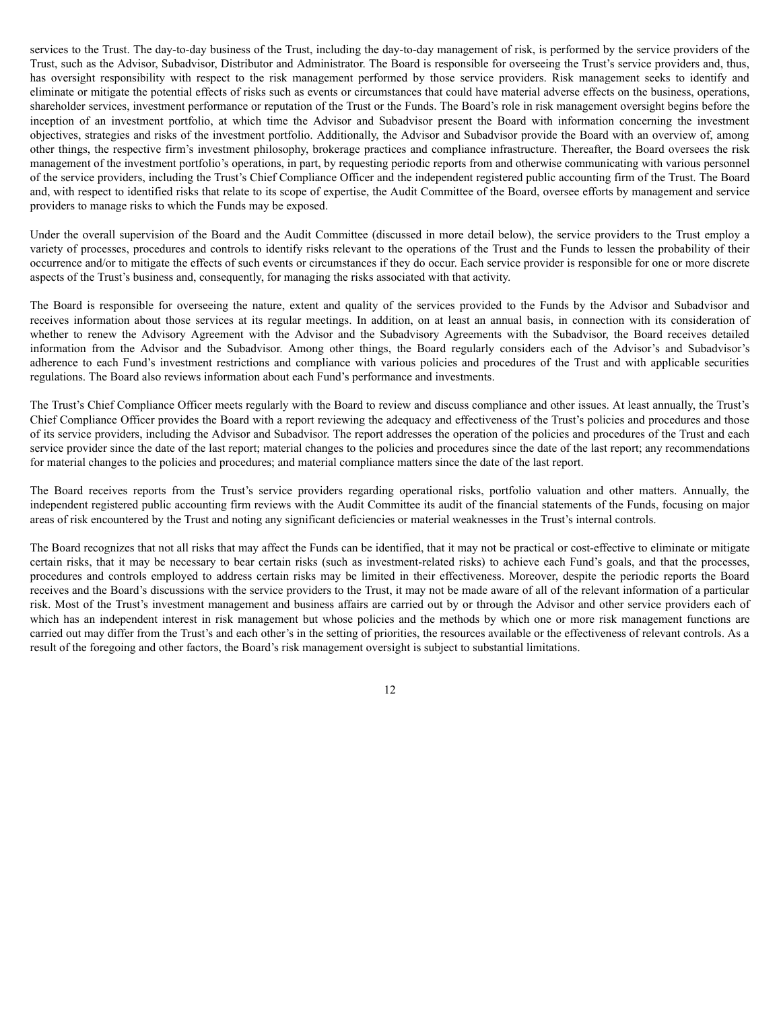services to the Trust. The day-to-day business of the Trust, including the day-to-day management of risk, is performed by the service providers of the Trust, such as the Advisor, Subadvisor, Distributor and Administrator. The Board is responsible for overseeing the Trust's service providers and, thus, has oversight responsibility with respect to the risk management performed by those service providers. Risk management seeks to identify and eliminate or mitigate the potential effects of risks such as events or circumstances that could have material adverse effects on the business, operations, shareholder services, investment performance or reputation of the Trust or the Funds. The Board's role in risk management oversight begins before the inception of an investment portfolio, at which time the Advisor and Subadvisor present the Board with information concerning the investment objectives, strategies and risks of the investment portfolio. Additionally, the Advisor and Subadvisor provide the Board with an overview of, among other things, the respective firm's investment philosophy, brokerage practices and compliance infrastructure. Thereafter, the Board oversees the risk management of the investment portfolio's operations, in part, by requesting periodic reports from and otherwise communicating with various personnel of the service providers, including the Trust's Chief Compliance Officer and the independent registered public accounting firm of the Trust. The Board and, with respect to identified risks that relate to its scope of expertise, the Audit Committee of the Board, oversee efforts by management and service providers to manage risks to which the Funds may be exposed.

Under the overall supervision of the Board and the Audit Committee (discussed in more detail below), the service providers to the Trust employ a variety of processes, procedures and controls to identify risks relevant to the operations of the Trust and the Funds to lessen the probability of their occurrence and/or to mitigate the effects of such events or circumstances if they do occur. Each service provider is responsible for one or more discrete aspects of the Trust's business and, consequently, for managing the risks associated with that activity.

The Board is responsible for overseeing the nature, extent and quality of the services provided to the Funds by the Advisor and Subadvisor and receives information about those services at its regular meetings. In addition, on at least an annual basis, in connection with its consideration of whether to renew the Advisory Agreement with the Advisor and the Subadvisory Agreements with the Subadvisor, the Board receives detailed information from the Advisor and the Subadvisor. Among other things, the Board regularly considers each of the Advisor's and Subadvisor's adherence to each Fund's investment restrictions and compliance with various policies and procedures of the Trust and with applicable securities regulations. The Board also reviews information about each Fund's performance and investments.

The Trust's Chief Compliance Officer meets regularly with the Board to review and discuss compliance and other issues. At least annually, the Trust's Chief Compliance Officer provides the Board with a report reviewing the adequacy and effectiveness of the Trust's policies and procedures and those of its service providers, including the Advisor and Subadvisor. The report addresses the operation of the policies and procedures of the Trust and each service provider since the date of the last report; material changes to the policies and procedures since the date of the last report; any recommendations for material changes to the policies and procedures; and material compliance matters since the date of the last report.

The Board receives reports from the Trust's service providers regarding operational risks, portfolio valuation and other matters. Annually, the independent registered public accounting firm reviews with the Audit Committee its audit of the financial statements of the Funds, focusing on major areas of risk encountered by the Trust and noting any significant deficiencies or material weaknesses in the Trust's internal controls.

The Board recognizes that not all risks that may affect the Funds can be identified, that it may not be practical or cost-effective to eliminate or mitigate certain risks, that it may be necessary to bear certain risks (such as investment-related risks) to achieve each Fund's goals, and that the processes, procedures and controls employed to address certain risks may be limited in their effectiveness. Moreover, despite the periodic reports the Board receives and the Board's discussions with the service providers to the Trust, it may not be made aware of all of the relevant information of a particular risk. Most of the Trust's investment management and business affairs are carried out by or through the Advisor and other service providers each of which has an independent interest in risk management but whose policies and the methods by which one or more risk management functions are carried out may differ from the Trust's and each other's in the setting of priorities, the resources available or the effectiveness of relevant controls. As a result of the foregoing and other factors, the Board's risk management oversight is subject to substantial limitations.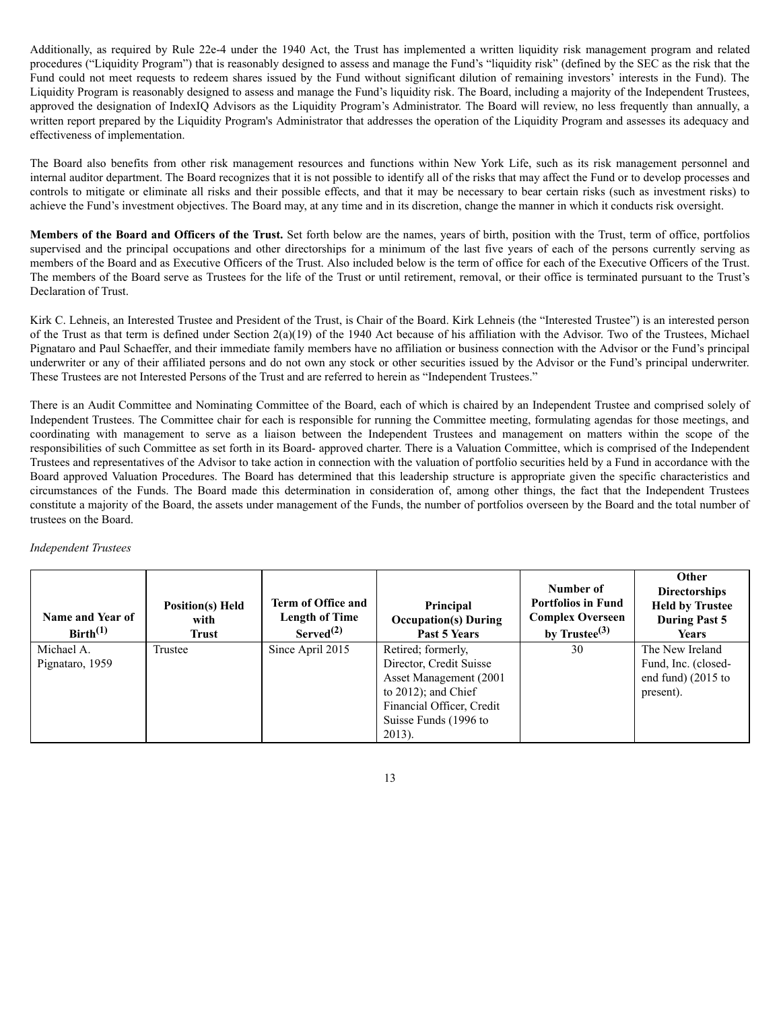Additionally, as required by Rule 22e-4 under the 1940 Act, the Trust has implemented a written liquidity risk management program and related procedures ("Liquidity Program") that is reasonably designed to assess and manage the Fund's "liquidity risk" (defined by the SEC as the risk that the Fund could not meet requests to redeem shares issued by the Fund without significant dilution of remaining investors' interests in the Fund). The Liquidity Program is reasonably designed to assess and manage the Fund's liquidity risk. The Board, including a majority of the Independent Trustees, approved the designation of IndexIQ Advisors as the Liquidity Program's Administrator. The Board will review, no less frequently than annually, a written report prepared by the Liquidity Program's Administrator that addresses the operation of the Liquidity Program and assesses its adequacy and effectiveness of implementation.

The Board also benefits from other risk management resources and functions within New York Life, such as its risk management personnel and internal auditor department. The Board recognizes that it is not possible to identify all of the risks that may affect the Fund or to develop processes and controls to mitigate or eliminate all risks and their possible effects, and that it may be necessary to bear certain risks (such as investment risks) to achieve the Fund's investment objectives. The Board may, at any time and in its discretion, change the manner in which it conducts risk oversight.

**Members of the Board and Officers of the Trust.** Set forth below are the names, years of birth, position with the Trust, term of office, portfolios supervised and the principal occupations and other directorships for a minimum of the last five years of each of the persons currently serving as members of the Board and as Executive Officers of the Trust. Also included below is the term of office for each of the Executive Officers of the Trust. The members of the Board serve as Trustees for the life of the Trust or until retirement, removal, or their office is terminated pursuant to the Trust's Declaration of Trust.

Kirk C. Lehneis, an Interested Trustee and President of the Trust, is Chair of the Board. Kirk Lehneis (the "Interested Trustee") is an interested person of the Trust as that term is defined under Section 2(a)(19) of the 1940 Act because of his affiliation with the Advisor. Two of the Trustees, Michael Pignataro and Paul Schaeffer, and their immediate family members have no affiliation or business connection with the Advisor or the Fund's principal underwriter or any of their affiliated persons and do not own any stock or other securities issued by the Advisor or the Fund's principal underwriter. These Trustees are not Interested Persons of the Trust and are referred to herein as "Independent Trustees."

There is an Audit Committee and Nominating Committee of the Board, each of which is chaired by an Independent Trustee and comprised solely of Independent Trustees. The Committee chair for each is responsible for running the Committee meeting, formulating agendas for those meetings, and coordinating with management to serve as a liaison between the Independent Trustees and management on matters within the scope of the responsibilities of such Committee as set forth in its Board- approved charter. There is a Valuation Committee, which is comprised of the Independent Trustees and representatives of the Advisor to take action in connection with the valuation of portfolio securities held by a Fund in accordance with the Board approved Valuation Procedures. The Board has determined that this leadership structure is appropriate given the specific characteristics and circumstances of the Funds. The Board made this determination in consideration of, among other things, the fact that the Independent Trustees constitute a majority of the Board, the assets under management of the Funds, the number of portfolios overseen by the Board and the total number of trustees on the Board.

# *Independent Trustees*

| <b>Name and Year of</b><br>Birth <sup>(1)</sup> | <b>Position(s)</b> Held<br>with<br>Trust | <b>Term of Office and</b><br>Length of Time<br>Served <sup>(2)</sup> | Principal<br><b>Occupation(s) During</b><br>Past 5 Years                                                                                                              | Number of<br><b>Portfolios in Fund</b><br><b>Complex Overseen</b><br>by Trustee $^{(3)}$ | Other<br><b>Directorships</b><br><b>Held by Trustee</b><br><b>During Past 5</b><br><b>Years</b> |
|-------------------------------------------------|------------------------------------------|----------------------------------------------------------------------|-----------------------------------------------------------------------------------------------------------------------------------------------------------------------|------------------------------------------------------------------------------------------|-------------------------------------------------------------------------------------------------|
| Michael A.<br>Pignataro, 1959                   | Trustee                                  | Since April 2015                                                     | Retired; formerly,<br>Director, Credit Suisse<br>Asset Management (2001)<br>to $2012$ ); and Chief<br>Financial Officer, Credit<br>Suisse Funds (1996 to<br>$2013$ ). | 30                                                                                       | The New Ireland<br>Fund, Inc. (closed-<br>end fund) $(2015$ to<br>present).                     |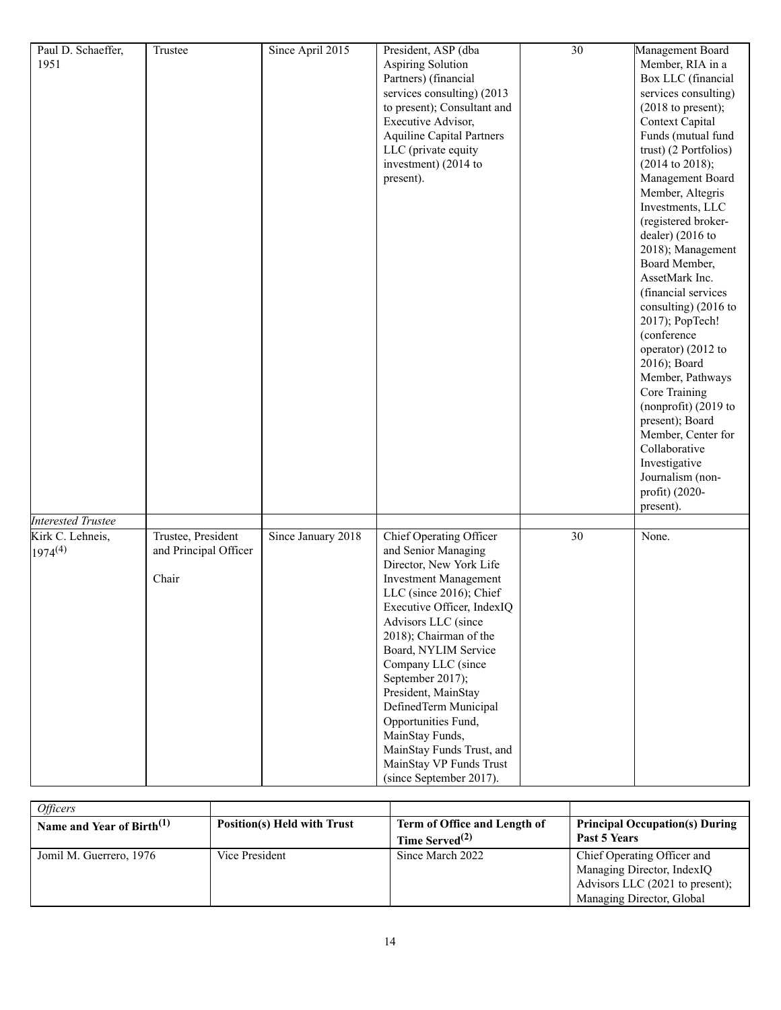| Paul D. Schaeffer,        | Trustee               | Since April 2015   | President, ASP (dba              | $\overline{30}$ | Management Board           |
|---------------------------|-----------------------|--------------------|----------------------------------|-----------------|----------------------------|
| 1951                      |                       |                    | Aspiring Solution                |                 | Member, RIA in a           |
|                           |                       |                    | Partners) (financial             |                 | Box LLC (financial         |
|                           |                       |                    | services consulting) (2013       |                 | services consulting)       |
|                           |                       |                    | to present); Consultant and      |                 | $(2018$ to present);       |
|                           |                       |                    | Executive Advisor,               |                 | Context Capital            |
|                           |                       |                    | <b>Aquiline Capital Partners</b> |                 | Funds (mutual fund         |
|                           |                       |                    | LLC (private equity              |                 | trust) (2 Portfolios)      |
|                           |                       |                    | investment) (2014 to             |                 | $(2014 \text{ to } 2018);$ |
|                           |                       |                    | present).                        |                 | Management Board           |
|                           |                       |                    |                                  |                 | Member, Altegris           |
|                           |                       |                    |                                  |                 | Investments, LLC           |
|                           |                       |                    |                                  |                 | (registered broker-        |
|                           |                       |                    |                                  |                 | dealer) (2016 to           |
|                           |                       |                    |                                  |                 | 2018); Management          |
|                           |                       |                    |                                  |                 | Board Member,              |
|                           |                       |                    |                                  |                 | AssetMark Inc.             |
|                           |                       |                    |                                  |                 | (financial services        |
|                           |                       |                    |                                  |                 | consulting) (2016 to       |
|                           |                       |                    |                                  |                 | 2017); PopTech!            |
|                           |                       |                    |                                  |                 | (conference                |
|                           |                       |                    |                                  |                 | operator) (2012 to         |
|                           |                       |                    |                                  |                 | 2016); Board               |
|                           |                       |                    |                                  |                 | Member, Pathways           |
|                           |                       |                    |                                  |                 | Core Training              |
|                           |                       |                    |                                  |                 | (nonprofit) $(2019$ to     |
|                           |                       |                    |                                  |                 | present); Board            |
|                           |                       |                    |                                  |                 | Member, Center for         |
|                           |                       |                    |                                  |                 | Collaborative              |
|                           |                       |                    |                                  |                 | Investigative              |
|                           |                       |                    |                                  |                 | Journalism (non-           |
|                           |                       |                    |                                  |                 | profit) (2020-             |
|                           |                       |                    |                                  |                 | present).                  |
| <b>Interested Trustee</b> |                       |                    |                                  |                 |                            |
| Kirk C. Lehneis,          | Trustee, President    | Since January 2018 | <b>Chief Operating Officer</b>   | $\overline{30}$ | None.                      |
| $1974^{(4)}$              | and Principal Officer |                    | and Senior Managing              |                 |                            |
|                           |                       |                    | Director, New York Life          |                 |                            |
|                           | Chair                 |                    | <b>Investment Management</b>     |                 |                            |
|                           |                       |                    | LLC (since 2016); Chief          |                 |                            |
|                           |                       |                    | Executive Officer, IndexIQ       |                 |                            |
|                           |                       |                    | Advisors LLC (since              |                 |                            |
|                           |                       |                    | 2018); Chairman of the           |                 |                            |
|                           |                       |                    | Board, NYLIM Service             |                 |                            |
|                           |                       |                    | Company LLC (since               |                 |                            |
|                           |                       |                    | September 2017);                 |                 |                            |
|                           |                       |                    | President, MainStay              |                 |                            |
|                           |                       |                    | DefinedTerm Municipal            |                 |                            |
|                           |                       |                    | Opportunities Fund,              |                 |                            |
|                           |                       |                    | MainStay Funds,                  |                 |                            |
|                           |                       |                    | MainStay Funds Trust, and        |                 |                            |
|                           |                       |                    | MainStay VP Funds Trust          |                 |                            |
|                           |                       |                    | (since September 2017).          |                 |                            |

| <i>Officers</i>                       |                             |                                                            |                                                                                                                           |
|---------------------------------------|-----------------------------|------------------------------------------------------------|---------------------------------------------------------------------------------------------------------------------------|
| Name and Year of Birth <sup>(1)</sup> | Position(s) Held with Trust | Term of Office and Length of<br>Time Served <sup>(2)</sup> | <b>Principal Occupation(s) During</b><br>Past 5 Years                                                                     |
| Jomil M. Guerrero, 1976               | Vice President              | Since March 2022                                           | Chief Operating Officer and<br>Managing Director, IndexIQ<br>Advisors LLC (2021 to present);<br>Managing Director, Global |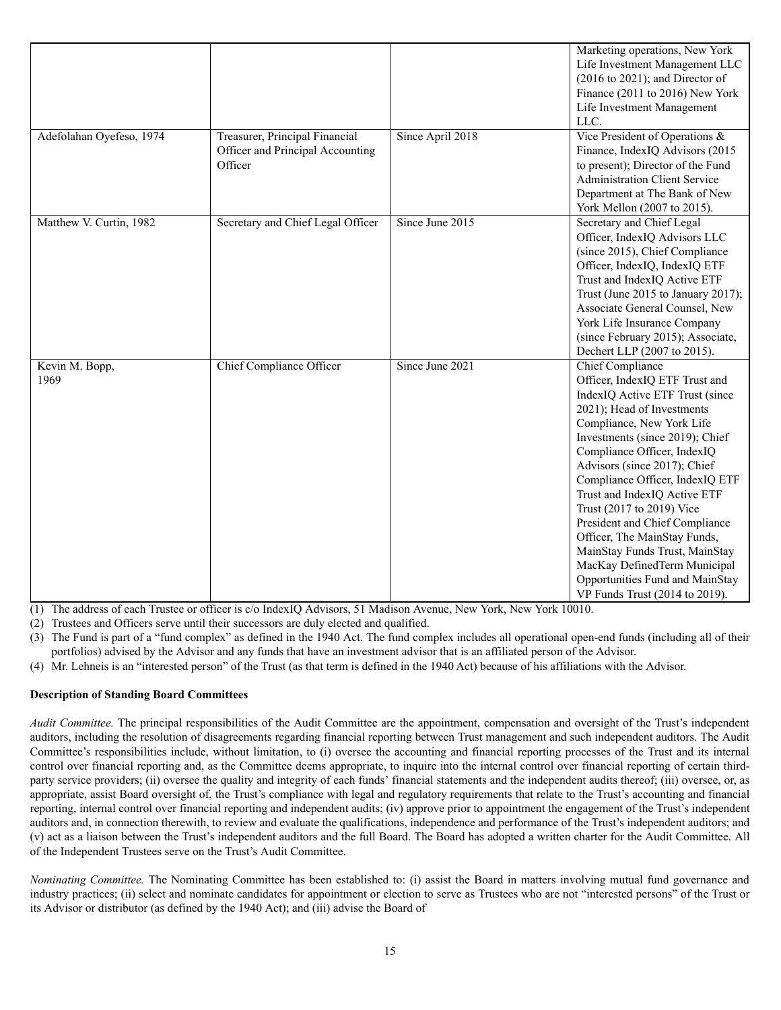| Adefolahan Oyefeso, 1974 | Treasurer, Principal Financial<br>Officer and Principal Accounting<br>Officer | Since April 2018 | Marketing operations, New York<br>Life Investment Management LLC<br>$(2016$ to $2021)$ ; and Director of<br>Finance (2011 to 2016) New York<br>Life Investment Management<br>LLC.<br>Vice President of Operations &<br>Finance, IndexIQ Advisors (2015<br>to present); Director of the Fund<br><b>Administration Client Service</b><br>Department at The Bank of New<br>York Mellon (2007 to 2015).                                                                                                                                                         |
|--------------------------|-------------------------------------------------------------------------------|------------------|-------------------------------------------------------------------------------------------------------------------------------------------------------------------------------------------------------------------------------------------------------------------------------------------------------------------------------------------------------------------------------------------------------------------------------------------------------------------------------------------------------------------------------------------------------------|
| Matthew V. Curtin, 1982  | Secretary and Chief Legal Officer                                             | Since June 2015  | Secretary and Chief Legal<br>Officer, IndexIQ Advisors LLC<br>(since 2015), Chief Compliance<br>Officer, IndexIQ, IndexIQ ETF<br>Trust and IndexIQ Active ETF<br>Trust (June 2015 to January 2017);<br>Associate General Counsel, New<br>York Life Insurance Company<br>(since February 2015); Associate,<br>Dechert LLP (2007 to 2015).                                                                                                                                                                                                                    |
| Kevin M. Bopp,<br>1969   | Chief Compliance Officer                                                      | Since June 2021  | Chief Compliance<br>Officer, IndexIQ ETF Trust and<br>IndexIQ Active ETF Trust (since<br>2021); Head of Investments<br>Compliance, New York Life<br>Investments (since 2019); Chief<br>Compliance Officer, IndexIQ<br>Advisors (since 2017); Chief<br>Compliance Officer, IndexIQ ETF<br>Trust and IndexIQ Active ETF<br>Trust (2017 to 2019) Vice<br>President and Chief Compliance<br>Officer, The MainStay Funds,<br>MainStay Funds Trust, MainStay<br>MacKay DefinedTerm Municipal<br>Opportunities Fund and MainStay<br>VP Funds Trust (2014 to 2019). |

(1) The address of each Trustee or officer is c/o IndexIQ Advisors, 51 Madison Avenue, New York, New York 10010.

(2) Trustees and Officers serve until their successors are duly elected and qualified.

(3) The Fund is part of a "fund complex" as defined in the 1940 Act. The fund complex includes all operational open-end funds (including all of their portfolios) advised by the Advisor and any funds that have an investment advisor that is an affiliated person of the Advisor.

(4) Mr. Lehneis is an "interested person" of the Trust (as that term is defined in the 1940 Act) because of his affiliations with the Advisor.

# **Description of Standing Board Committees**

*Audit Committee.* The principal responsibilities of the Audit Committee are the appointment, compensation and oversight of the Trust's independent auditors, including the resolution of disagreements regarding financial reporting between Trust management and such independent auditors. The Audit Committee's responsibilities include, without limitation, to (i) oversee the accounting and financial reporting processes of the Trust and its internal control over financial reporting and, as the Committee deems appropriate, to inquire into the internal control over financial reporting of certain thirdparty service providers; (ii) oversee the quality and integrity of each funds' financial statements and the independent audits thereof; (iii) oversee, or, as appropriate, assist Board oversight of, the Trust's compliance with legal and regulatory requirements that relate to the Trust's accounting and financial reporting, internal control over financial reporting and independent audits; (iv) approve prior to appointment the engagement of the Trust's independent auditors and, in connection therewith, to review and evaluate the qualifications, independence and performance of the Trust's independent auditors; and (v) act as a liaison between the Trust's independent auditors and the full Board. The Board has adopted a written charter for the Audit Committee. All of the Independent Trustees serve on the Trust's Audit Committee.

*Nominating Committee.* The Nominating Committee has been established to: (i) assist the Board in matters involving mutual fund governance and industry practices; (ii) select and nominate candidates for appointment or election to serve as Trustees who are not "interested persons" of the Trust or its Advisor or distributor (as defined by the 1940 Act); and (iii) advise the Board of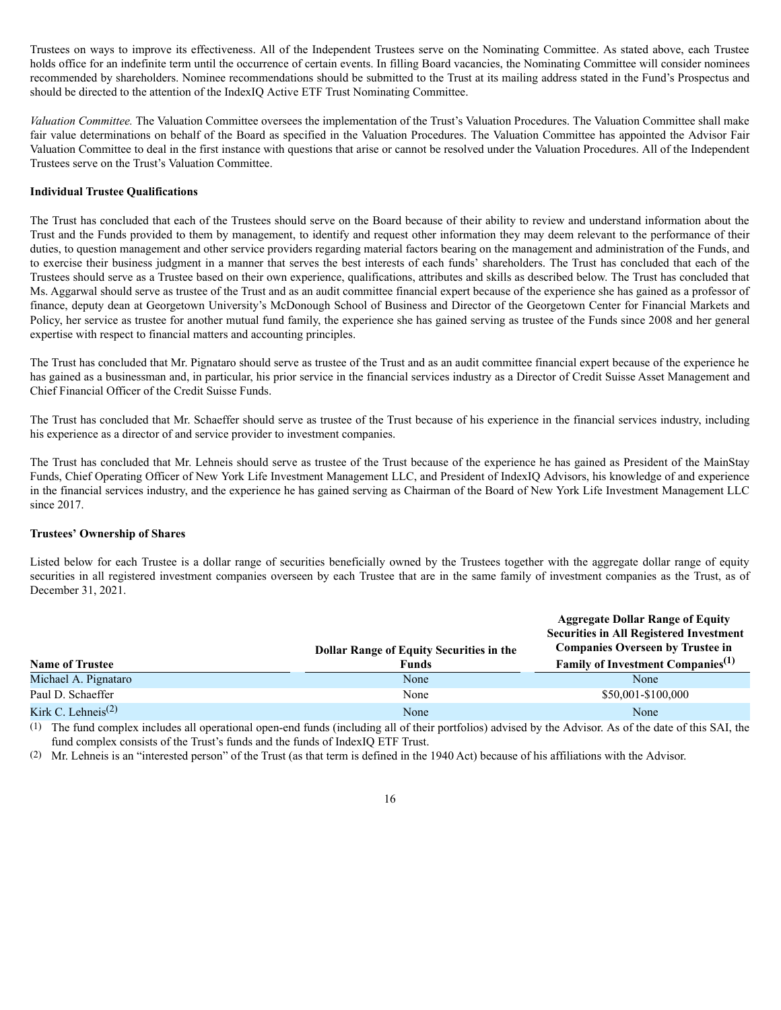Trustees on ways to improve its effectiveness. All of the Independent Trustees serve on the Nominating Committee. As stated above, each Trustee holds office for an indefinite term until the occurrence of certain events. In filling Board vacancies, the Nominating Committee will consider nominees recommended by shareholders. Nominee recommendations should be submitted to the Trust at its mailing address stated in the Fund's Prospectus and should be directed to the attention of the IndexIQ Active ETF Trust Nominating Committee.

*Valuation Committee.* The Valuation Committee oversees the implementation of the Trust's Valuation Procedures. The Valuation Committee shall make fair value determinations on behalf of the Board as specified in the Valuation Procedures. The Valuation Committee has appointed the Advisor Fair Valuation Committee to deal in the first instance with questions that arise or cannot be resolved under the Valuation Procedures. All of the Independent Trustees serve on the Trust's Valuation Committee.

# **Individual Trustee Qualifications**

The Trust has concluded that each of the Trustees should serve on the Board because of their ability to review and understand information about the Trust and the Funds provided to them by management, to identify and request other information they may deem relevant to the performance of their duties, to question management and other service providers regarding material factors bearing on the management and administration of the Funds, and to exercise their business judgment in a manner that serves the best interests of each funds' shareholders. The Trust has concluded that each of the Trustees should serve as a Trustee based on their own experience, qualifications, attributes and skills as described below. The Trust has concluded that Ms. Aggarwal should serve as trustee of the Trust and as an audit committee financial expert because of the experience she has gained as a professor of finance, deputy dean at Georgetown University's McDonough School of Business and Director of the Georgetown Center for Financial Markets and Policy, her service as trustee for another mutual fund family, the experience she has gained serving as trustee of the Funds since 2008 and her general expertise with respect to financial matters and accounting principles.

The Trust has concluded that Mr. Pignataro should serve as trustee of the Trust and as an audit committee financial expert because of the experience he has gained as a businessman and, in particular, his prior service in the financial services industry as a Director of Credit Suisse Asset Management and Chief Financial Officer of the Credit Suisse Funds.

The Trust has concluded that Mr. Schaeffer should serve as trustee of the Trust because of his experience in the financial services industry, including his experience as a director of and service provider to investment companies.

The Trust has concluded that Mr. Lehneis should serve as trustee of the Trust because of the experience he has gained as President of the MainStay Funds, Chief Operating Officer of New York Life Investment Management LLC, and President of IndexIQ Advisors, his knowledge of and experience in the financial services industry, and the experience he has gained serving as Chairman of the Board of New York Life Investment Management LLC since 2017.

# **Trustees' Ownership of Shares**

Listed below for each Trustee is a dollar range of securities beneficially owned by the Trustees together with the aggregate dollar range of equity securities in all registered investment companies overseen by each Trustee that are in the same family of investment companies as the Trust, as of December 31, 2021.

|                                |                                                 | <b>Aggregate Dollar Range of Equity</b><br><b>Securities in All Registered Investment</b> |
|--------------------------------|-------------------------------------------------|-------------------------------------------------------------------------------------------|
|                                | <b>Dollar Range of Equity Securities in the</b> | <b>Companies Overseen by Trustee in</b>                                                   |
| <b>Name of Trustee</b>         | <b>Funds</b>                                    | Family of Investment Companies <sup>(1)</sup>                                             |
| Michael A. Pignataro           | None                                            | None                                                                                      |
| Paul D. Schaeffer              | None                                            | \$50,001-\$100,000                                                                        |
| Kirk C. Lehneis <sup>(2)</sup> | None                                            | None                                                                                      |

(1) The fund complex includes all operational open-end funds (including all of their portfolios) advised by the Advisor. As of the date of this SAI, the fund complex consists of the Trust's funds and the funds of IndexIQ ETF Trust.

(2) Mr. Lehneis is an "interested person" of the Trust (as that term is defined in the 1940 Act) because of his affiliations with the Advisor.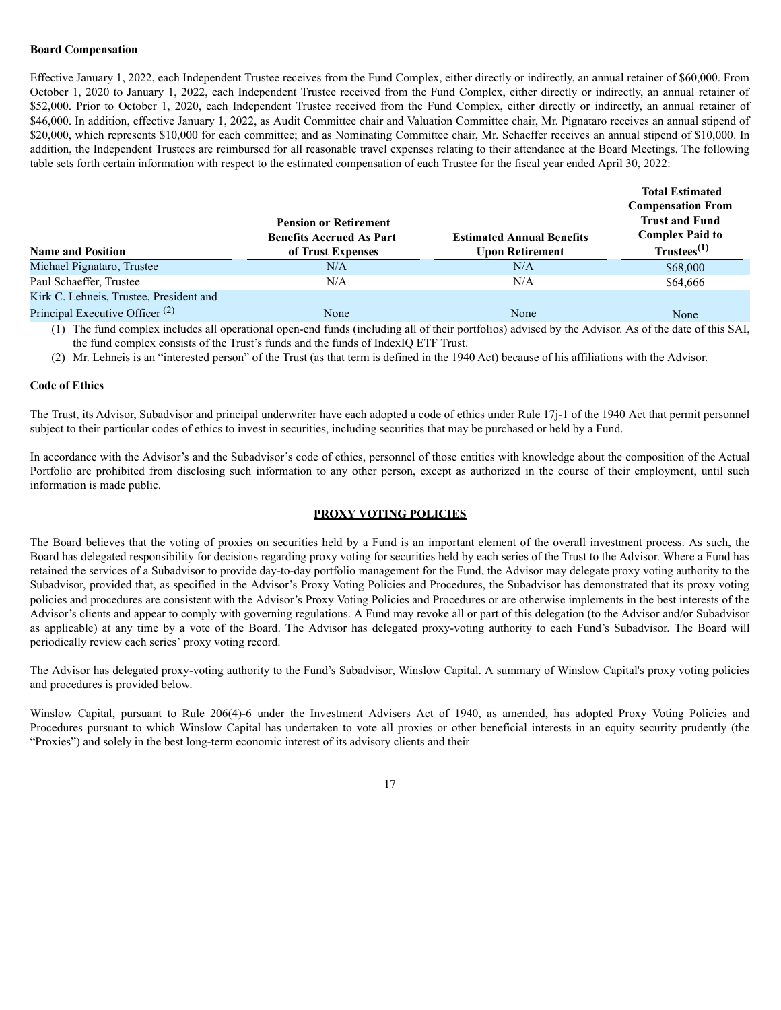## **Board Compensation**

Effective January 1, 2022, each Independent Trustee receives from the Fund Complex, either directly or indirectly, an annual retainer of \$60,000. From October 1, 2020 to January 1, 2022, each Independent Trustee received from the Fund Complex, either directly or indirectly, an annual retainer of \$52,000. Prior to October 1, 2020, each Independent Trustee received from the Fund Complex, either directly or indirectly, an annual retainer of \$46,000. In addition, effective January 1, 2022, as Audit Committee chair and Valuation Committee chair, Mr. Pignataro receives an annual stipend of \$20,000, which represents \$10,000 for each committee; and as Nominating Committee chair, Mr. Schaeffer receives an annual stipend of \$10,000. In addition, the Independent Trustees are reimbursed for all reasonable travel expenses relating to their attendance at the Board Meetings. The following table sets forth certain information with respect to the estimated compensation of each Trustee for the fiscal year ended April 30, 2022:

| <b>Name and Position</b>                   | <b>Pension or Retirement</b><br><b>Benefits Accrued As Part</b><br>of Trust Expenses | <b>Estimated Annual Benefits</b><br><b>Upon Retirement</b> | <b>Total Estimated</b><br><b>Compensation From</b><br><b>Trust and Fund</b><br><b>Complex Paid to</b><br>$Trustees^{(1)}$ |
|--------------------------------------------|--------------------------------------------------------------------------------------|------------------------------------------------------------|---------------------------------------------------------------------------------------------------------------------------|
| Michael Pignataro, Trustee                 | N/A                                                                                  | N/A                                                        | \$68,000                                                                                                                  |
| Paul Schaeffer, Trustee                    | N/A                                                                                  | N/A                                                        | \$64,666                                                                                                                  |
| Kirk C. Lehneis, Trustee, President and    |                                                                                      |                                                            |                                                                                                                           |
| Principal Executive Officer <sup>(2)</sup> | None                                                                                 | None                                                       | None                                                                                                                      |

(1) The fund complex includes all operational open-end funds (including all of their portfolios) advised by the Advisor. As of the date of this SAI, the fund complex consists of the Trust's funds and the funds of IndexIQ ETF Trust.

(2) Mr. Lehneis is an "interested person" of the Trust (as that term is defined in the 1940 Act) because of his affiliations with the Advisor.

### **Code of Ethics**

The Trust, its Advisor, Subadvisor and principal underwriter have each adopted a code of ethics under Rule 17j-1 of the 1940 Act that permit personnel subject to their particular codes of ethics to invest in securities, including securities that may be purchased or held by a Fund.

In accordance with the Advisor's and the Subadvisor's code of ethics, personnel of those entities with knowledge about the composition of the Actual Portfolio are prohibited from disclosing such information to any other person, except as authorized in the course of their employment, until such information is made public.

### **PROXY VOTING POLICIES**

The Board believes that the voting of proxies on securities held by a Fund is an important element of the overall investment process. As such, the Board has delegated responsibility for decisions regarding proxy voting for securities held by each series of the Trust to the Advisor. Where a Fund has retained the services of a Subadvisor to provide day-to-day portfolio management for the Fund, the Advisor may delegate proxy voting authority to the Subadvisor, provided that, as specified in the Advisor's Proxy Voting Policies and Procedures, the Subadvisor has demonstrated that its proxy voting policies and procedures are consistent with the Advisor's Proxy Voting Policies and Procedures or are otherwise implements in the best interests of the Advisor's clients and appear to comply with governing regulations. A Fund may revoke all or part of this delegation (to the Advisor and/or Subadvisor as applicable) at any time by a vote of the Board. The Advisor has delegated proxy-voting authority to each Fund's Subadvisor. The Board will periodically review each series' proxy voting record.

The Advisor has delegated proxy-voting authority to the Fund's Subadvisor, Winslow Capital. A summary of Winslow Capital's proxy voting policies and procedures is provided below.

Winslow Capital, pursuant to Rule 206(4)-6 under the Investment Advisers Act of 1940, as amended, has adopted Proxy Voting Policies and Procedures pursuant to which Winslow Capital has undertaken to vote all proxies or other beneficial interests in an equity security prudently (the "Proxies") and solely in the best long-term economic interest of its advisory clients and their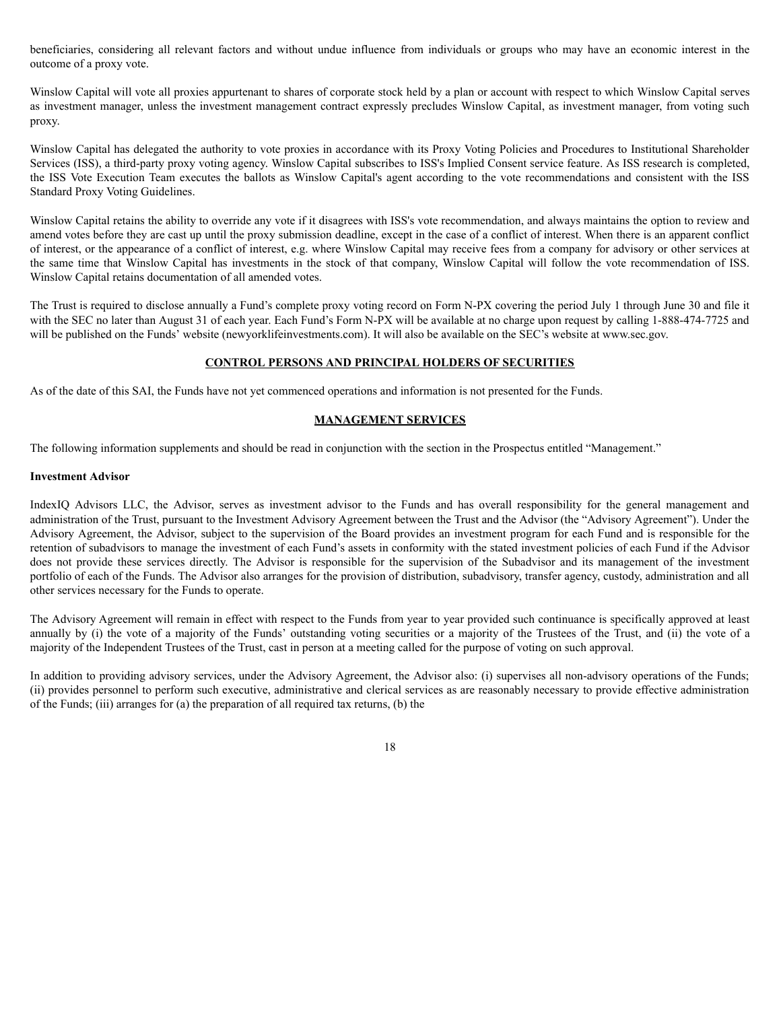beneficiaries, considering all relevant factors and without undue influence from individuals or groups who may have an economic interest in the outcome of a proxy vote.

Winslow Capital will vote all proxies appurtenant to shares of corporate stock held by a plan or account with respect to which Winslow Capital serves as investment manager, unless the investment management contract expressly precludes Winslow Capital, as investment manager, from voting such proxy.

Winslow Capital has delegated the authority to vote proxies in accordance with its Proxy Voting Policies and Procedures to Institutional Shareholder Services (ISS), a third-party proxy voting agency. Winslow Capital subscribes to ISS's Implied Consent service feature. As ISS research is completed, the ISS Vote Execution Team executes the ballots as Winslow Capital's agent according to the vote recommendations and consistent with the ISS Standard Proxy Voting Guidelines.

Winslow Capital retains the ability to override any vote if it disagrees with ISS's vote recommendation, and always maintains the option to review and amend votes before they are cast up until the proxy submission deadline, except in the case of a conflict of interest. When there is an apparent conflict of interest, or the appearance of a conflict of interest, e.g. where Winslow Capital may receive fees from a company for advisory or other services at the same time that Winslow Capital has investments in the stock of that company, Winslow Capital will follow the vote recommendation of ISS. Winslow Capital retains documentation of all amended votes.

The Trust is required to disclose annually a Fund's complete proxy voting record on Form N-PX covering the period July 1 through June 30 and file it with the SEC no later than August 31 of each year. Each Fund's Form N-PX will be available at no charge upon request by calling 1-888-474-7725 and will be published on the Funds' website (newyorklifeinvestments.com). It will also be available on the SEC's website at www.sec.gov.

## **CONTROL PERSONS AND PRINCIPAL HOLDERS OF SECURITIES**

As of the date of this SAI, the Funds have not yet commenced operations and information is not presented for the Funds.

## **MANAGEMENT SERVICES**

The following information supplements and should be read in conjunction with the section in the Prospectus entitled "Management."

### **Investment Advisor**

IndexIQ Advisors LLC, the Advisor, serves as investment advisor to the Funds and has overall responsibility for the general management and administration of the Trust, pursuant to the Investment Advisory Agreement between the Trust and the Advisor (the "Advisory Agreement"). Under the Advisory Agreement, the Advisor, subject to the supervision of the Board provides an investment program for each Fund and is responsible for the retention of subadvisors to manage the investment of each Fund's assets in conformity with the stated investment policies of each Fund if the Advisor does not provide these services directly. The Advisor is responsible for the supervision of the Subadvisor and its management of the investment portfolio of each of the Funds. The Advisor also arranges for the provision of distribution, subadvisory, transfer agency, custody, administration and all other services necessary for the Funds to operate.

The Advisory Agreement will remain in effect with respect to the Funds from year to year provided such continuance is specifically approved at least annually by (i) the vote of a majority of the Funds' outstanding voting securities or a majority of the Trustees of the Trust, and (ii) the vote of a majority of the Independent Trustees of the Trust, cast in person at a meeting called for the purpose of voting on such approval.

In addition to providing advisory services, under the Advisory Agreement, the Advisor also: (i) supervises all non-advisory operations of the Funds; (ii) provides personnel to perform such executive, administrative and clerical services as are reasonably necessary to provide effective administration of the Funds; (iii) arranges for (a) the preparation of all required tax returns, (b) the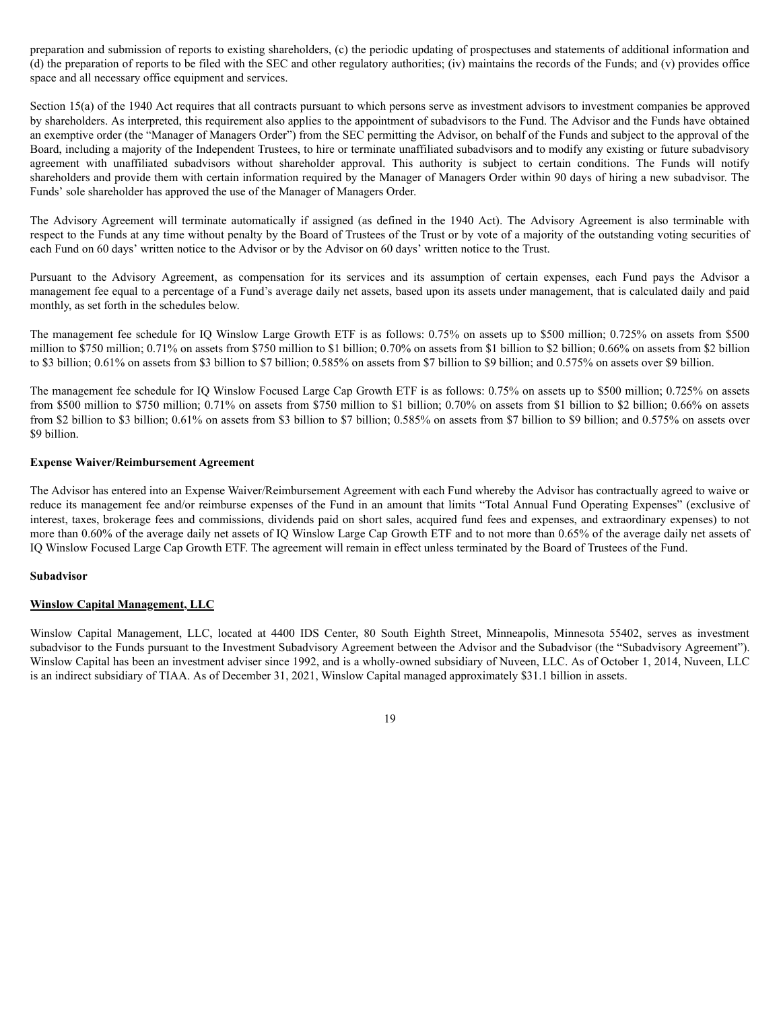preparation and submission of reports to existing shareholders, (c) the periodic updating of prospectuses and statements of additional information and (d) the preparation of reports to be filed with the SEC and other regulatory authorities; (iv) maintains the records of the Funds; and (v) provides office space and all necessary office equipment and services.

Section 15(a) of the 1940 Act requires that all contracts pursuant to which persons serve as investment advisors to investment companies be approved by shareholders. As interpreted, this requirement also applies to the appointment of subadvisors to the Fund. The Advisor and the Funds have obtained an exemptive order (the "Manager of Managers Order") from the SEC permitting the Advisor, on behalf of the Funds and subject to the approval of the Board, including a majority of the Independent Trustees, to hire or terminate unaffiliated subadvisors and to modify any existing or future subadvisory agreement with unaffiliated subadvisors without shareholder approval. This authority is subject to certain conditions. The Funds will notify shareholders and provide them with certain information required by the Manager of Managers Order within 90 days of hiring a new subadvisor. The Funds' sole shareholder has approved the use of the Manager of Managers Order.

The Advisory Agreement will terminate automatically if assigned (as defined in the 1940 Act). The Advisory Agreement is also terminable with respect to the Funds at any time without penalty by the Board of Trustees of the Trust or by vote of a majority of the outstanding voting securities of each Fund on 60 days' written notice to the Advisor or by the Advisor on 60 days' written notice to the Trust.

Pursuant to the Advisory Agreement, as compensation for its services and its assumption of certain expenses, each Fund pays the Advisor a management fee equal to a percentage of a Fund's average daily net assets, based upon its assets under management, that is calculated daily and paid monthly, as set forth in the schedules below.

The management fee schedule for IQ Winslow Large Growth ETF is as follows: 0.75% on assets up to \$500 million; 0.725% on assets from \$500 million to \$750 million; 0.71% on assets from \$750 million to \$1 billion; 0.70% on assets from \$1 billion to \$2 billion; 0.66% on assets from \$2 billion to \$3 billion; 0.61% on assets from \$3 billion to \$7 billion; 0.585% on assets from \$7 billion to \$9 billion; and 0.575% on assets over \$9 billion.

The management fee schedule for IQ Winslow Focused Large Cap Growth ETF is as follows: 0.75% on assets up to \$500 million; 0.725% on assets from \$500 million to \$750 million; 0.71% on assets from \$750 million to \$1 billion; 0.70% on assets from \$1 billion to \$2 billion; 0.66% on assets from \$2 billion to \$3 billion; 0.61% on assets from \$3 billion to \$7 billion; 0.585% on assets from \$7 billion to \$9 billion; and 0.575% on assets over \$9 billion.

## **Expense Waiver/Reimbursement Agreement**

The Advisor has entered into an Expense Waiver/Reimbursement Agreement with each Fund whereby the Advisor has contractually agreed to waive or reduce its management fee and/or reimburse expenses of the Fund in an amount that limits "Total Annual Fund Operating Expenses" (exclusive of interest, taxes, brokerage fees and commissions, dividends paid on short sales, acquired fund fees and expenses, and extraordinary expenses) to not more than 0.60% of the average daily net assets of IQ Winslow Large Cap Growth ETF and to not more than 0.65% of the average daily net assets of IQ Winslow Focused Large Cap Growth ETF. The agreement will remain in effect unless terminated by the Board of Trustees of the Fund.

### **Subadvisor**

# **Winslow Capital Management, LLC**

Winslow Capital Management, LLC, located at 4400 IDS Center, 80 South Eighth Street, Minneapolis, Minnesota 55402, serves as investment subadvisor to the Funds pursuant to the Investment Subadvisory Agreement between the Advisor and the Subadvisor (the "Subadvisory Agreement"). Winslow Capital has been an investment adviser since 1992, and is a wholly-owned subsidiary of Nuveen, LLC. As of October 1, 2014, Nuveen, LLC is an indirect subsidiary of TIAA. As of December 31, 2021, Winslow Capital managed approximately \$31.1 billion in assets.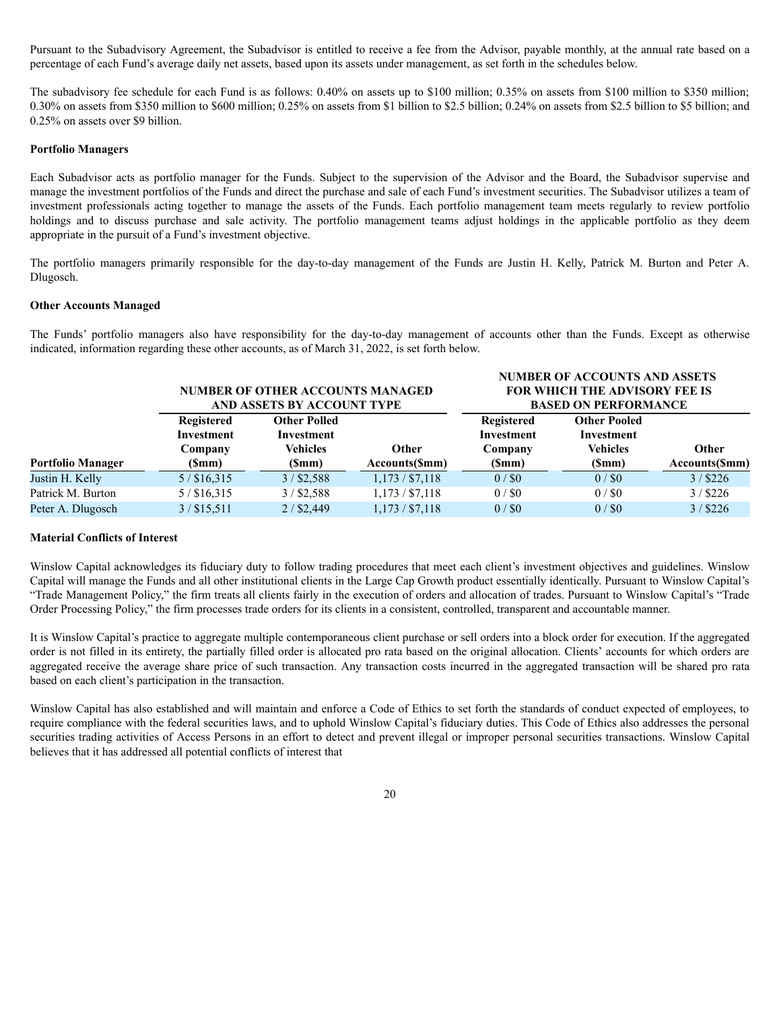Pursuant to the Subadvisory Agreement, the Subadvisor is entitled to receive a fee from the Advisor, payable monthly, at the annual rate based on a percentage of each Fund's average daily net assets, based upon its assets under management, as set forth in the schedules below.

The subadvisory fee schedule for each Fund is as follows: 0.40% on assets up to \$100 million; 0.35% on assets from \$100 million to \$350 million; 0.30% on assets from \$350 million to \$600 million; 0.25% on assets from \$1 billion to \$2.5 billion; 0.24% on assets from \$2.5 billion to \$5 billion; and 0.25% on assets over \$9 billion.

## **Portfolio Managers**

Each Subadvisor acts as portfolio manager for the Funds. Subject to the supervision of the Advisor and the Board, the Subadvisor supervise and manage the investment portfolios of the Funds and direct the purchase and sale of each Fund's investment securities. The Subadvisor utilizes a team of investment professionals acting together to manage the assets of the Funds. Each portfolio management team meets regularly to review portfolio holdings and to discuss purchase and sale activity. The portfolio management teams adjust holdings in the applicable portfolio as they deem appropriate in the pursuit of a Fund's investment objective.

The portfolio managers primarily responsible for the day-to-day management of the Funds are Justin H. Kelly, Patrick M. Burton and Peter A. Dlugosch.

#### **Other Accounts Managed**

The Funds' portfolio managers also have responsibility for the day-to-day management of accounts other than the Funds. Except as otherwise indicated, information regarding these other accounts, as of March 31, 2022, is set forth below.

**NUMBER OF ACCOUNTS AND ASSETS**

|                          | <b>NUMBER OF OTHER ACCOUNTS MANAGED</b><br>AND ASSETS BY ACCOUNT TYPE |                                                      |                  | <b>FOR WHICH THE ADVISORY FEE IS</b><br><b>BASED ON PERFORMANCE</b> |                                                      |                |
|--------------------------|-----------------------------------------------------------------------|------------------------------------------------------|------------------|---------------------------------------------------------------------|------------------------------------------------------|----------------|
|                          | <b>Registered</b><br>Investment<br>Company                            | <b>Other Polled</b><br>Investment<br><b>Vehicles</b> | <b>Other</b>     | Registered<br>Investment<br>Company                                 | <b>Other Pooled</b><br>Investment<br><b>Vehicles</b> | Other          |
| <b>Portfolio Manager</b> | (Smm)                                                                 | (Smm)                                                | Accounts(\$mm)   | (Smm)                                                               | (Smm)                                                | Accounts(\$mm) |
| Justin H. Kelly          | $5/$ \$16,315                                                         | $3/$ \$2,588                                         | $1,173/$ \$7,118 | $0/$ \$0                                                            | 0/80                                                 | $3/$ \$226     |
| Patrick M. Burton        | $5/$ \$16,315                                                         | $3/$ \$2,588                                         | $1,173/$ \$7,118 | $0/$ \$0                                                            | $0/$ \$0                                             | $3/$ \$226     |
| Peter A. Dlugosch        | $3/$ \$15,511                                                         | $2/$ \$2,449                                         | $1,173/$ \$7,118 | $0/$ \$0                                                            | 0/80                                                 | $3/$ \$226     |

### **Material Conflicts of Interest**

Winslow Capital acknowledges its fiduciary duty to follow trading procedures that meet each client's investment objectives and guidelines. Winslow Capital will manage the Funds and all other institutional clients in the Large Cap Growth product essentially identically. Pursuant to Winslow Capital's "Trade Management Policy," the firm treats all clients fairly in the execution of orders and allocation of trades. Pursuant to Winslow Capital's "Trade Order Processing Policy," the firm processes trade orders for its clients in a consistent, controlled, transparent and accountable manner.

It is Winslow Capital's practice to aggregate multiple contemporaneous client purchase or sell orders into a block order for execution. If the aggregated order is not filled in its entirety, the partially filled order is allocated pro rata based on the original allocation. Clients' accounts for which orders are aggregated receive the average share price of such transaction. Any transaction costs incurred in the aggregated transaction will be shared pro rata based on each client's participation in the transaction.

Winslow Capital has also established and will maintain and enforce a Code of Ethics to set forth the standards of conduct expected of employees, to require compliance with the federal securities laws, and to uphold Winslow Capital's fiduciary duties. This Code of Ethics also addresses the personal securities trading activities of Access Persons in an effort to detect and prevent illegal or improper personal securities transactions. Winslow Capital believes that it has addressed all potential conflicts of interest that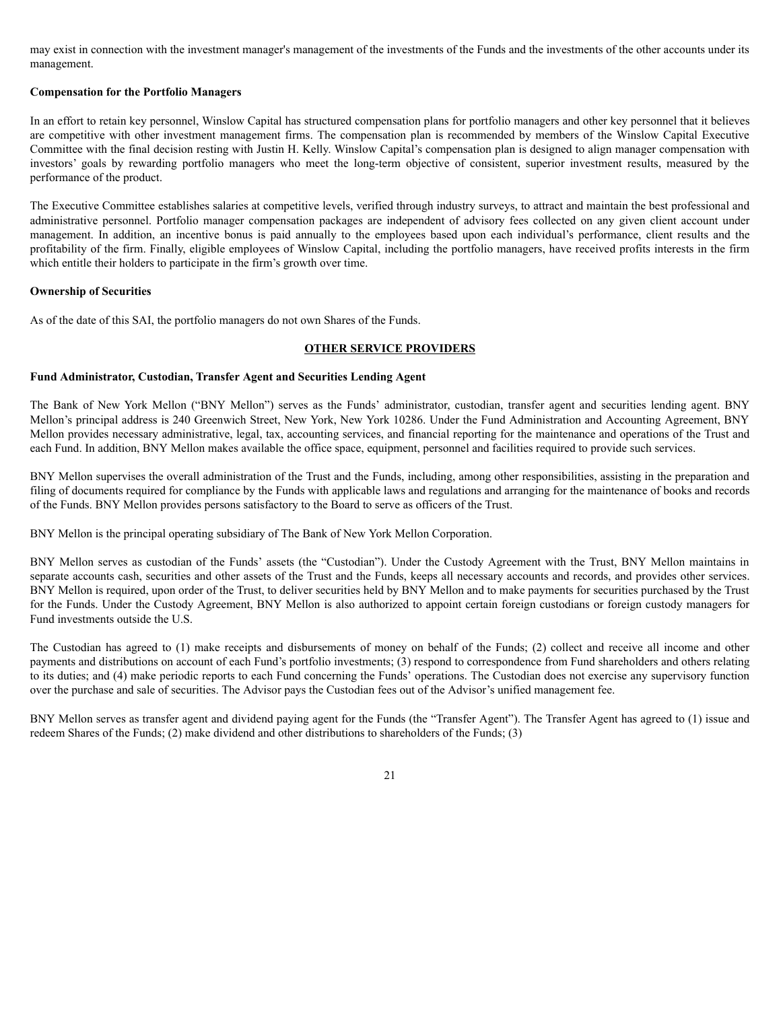may exist in connection with the investment manager's management of the investments of the Funds and the investments of the other accounts under its management.

## **Compensation for the Portfolio Managers**

In an effort to retain key personnel, Winslow Capital has structured compensation plans for portfolio managers and other key personnel that it believes are competitive with other investment management firms. The compensation plan is recommended by members of the Winslow Capital Executive Committee with the final decision resting with Justin H. Kelly. Winslow Capital's compensation plan is designed to align manager compensation with investors' goals by rewarding portfolio managers who meet the long-term objective of consistent, superior investment results, measured by the performance of the product.

The Executive Committee establishes salaries at competitive levels, verified through industry surveys, to attract and maintain the best professional and administrative personnel. Portfolio manager compensation packages are independent of advisory fees collected on any given client account under management. In addition, an incentive bonus is paid annually to the employees based upon each individual's performance, client results and the profitability of the firm. Finally, eligible employees of Winslow Capital, including the portfolio managers, have received profits interests in the firm which entitle their holders to participate in the firm's growth over time.

## **Ownership of Securities**

As of the date of this SAI, the portfolio managers do not own Shares of the Funds.

# **OTHER SERVICE PROVIDERS**

## **Fund Administrator, Custodian, Transfer Agent and Securities Lending Agent**

The Bank of New York Mellon ("BNY Mellon") serves as the Funds' administrator, custodian, transfer agent and securities lending agent. BNY Mellon's principal address is 240 Greenwich Street, New York, New York 10286. Under the Fund Administration and Accounting Agreement, BNY Mellon provides necessary administrative, legal, tax, accounting services, and financial reporting for the maintenance and operations of the Trust and each Fund. In addition, BNY Mellon makes available the office space, equipment, personnel and facilities required to provide such services.

BNY Mellon supervises the overall administration of the Trust and the Funds, including, among other responsibilities, assisting in the preparation and filing of documents required for compliance by the Funds with applicable laws and regulations and arranging for the maintenance of books and records of the Funds. BNY Mellon provides persons satisfactory to the Board to serve as officers of the Trust.

BNY Mellon is the principal operating subsidiary of The Bank of New York Mellon Corporation.

BNY Mellon serves as custodian of the Funds' assets (the "Custodian"). Under the Custody Agreement with the Trust, BNY Mellon maintains in separate accounts cash, securities and other assets of the Trust and the Funds, keeps all necessary accounts and records, and provides other services. BNY Mellon is required, upon order of the Trust, to deliver securities held by BNY Mellon and to make payments for securities purchased by the Trust for the Funds. Under the Custody Agreement, BNY Mellon is also authorized to appoint certain foreign custodians or foreign custody managers for Fund investments outside the U.S.

The Custodian has agreed to (1) make receipts and disbursements of money on behalf of the Funds; (2) collect and receive all income and other payments and distributions on account of each Fund's portfolio investments; (3) respond to correspondence from Fund shareholders and others relating to its duties; and (4) make periodic reports to each Fund concerning the Funds' operations. The Custodian does not exercise any supervisory function over the purchase and sale of securities. The Advisor pays the Custodian fees out of the Advisor's unified management fee.

BNY Mellon serves as transfer agent and dividend paying agent for the Funds (the "Transfer Agent"). The Transfer Agent has agreed to (1) issue and redeem Shares of the Funds; (2) make dividend and other distributions to shareholders of the Funds; (3)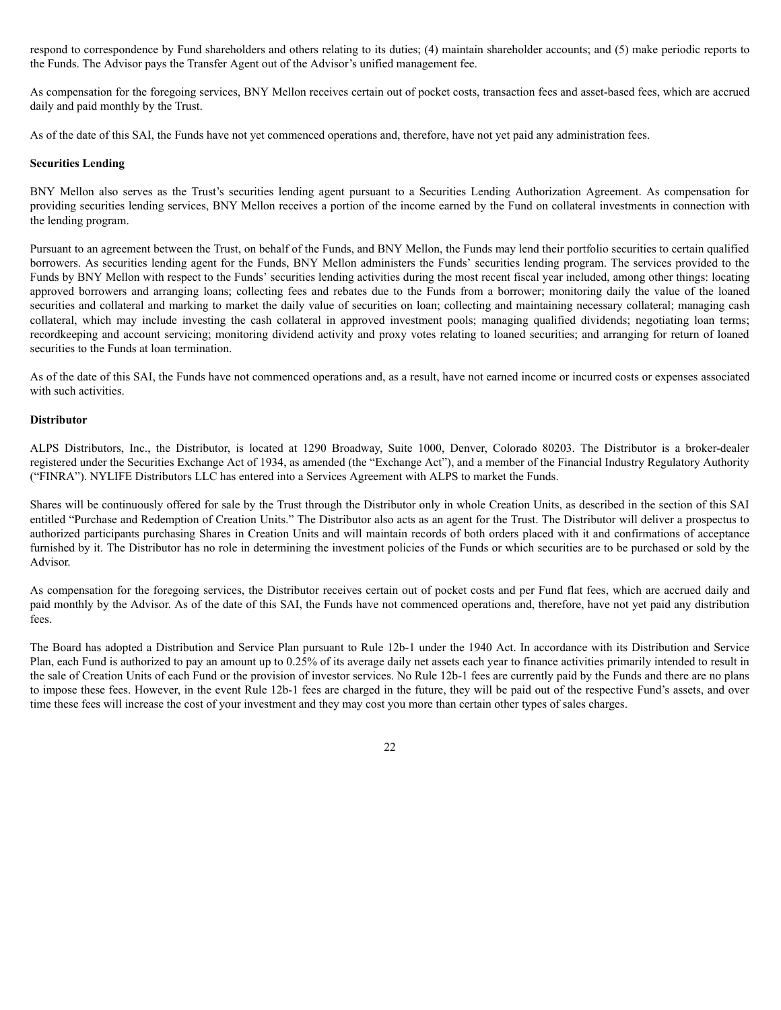respond to correspondence by Fund shareholders and others relating to its duties; (4) maintain shareholder accounts; and (5) make periodic reports to the Funds. The Advisor pays the Transfer Agent out of the Advisor's unified management fee.

As compensation for the foregoing services, BNY Mellon receives certain out of pocket costs, transaction fees and asset-based fees, which are accrued daily and paid monthly by the Trust.

As of the date of this SAI, the Funds have not yet commenced operations and, therefore, have not yet paid any administration fees.

### **Securities Lending**

BNY Mellon also serves as the Trust's securities lending agent pursuant to a Securities Lending Authorization Agreement. As compensation for providing securities lending services, BNY Mellon receives a portion of the income earned by the Fund on collateral investments in connection with the lending program.

Pursuant to an agreement between the Trust, on behalf of the Funds, and BNY Mellon, the Funds may lend their portfolio securities to certain qualified borrowers. As securities lending agent for the Funds, BNY Mellon administers the Funds' securities lending program. The services provided to the Funds by BNY Mellon with respect to the Funds' securities lending activities during the most recent fiscal year included, among other things: locating approved borrowers and arranging loans; collecting fees and rebates due to the Funds from a borrower; monitoring daily the value of the loaned securities and collateral and marking to market the daily value of securities on loan; collecting and maintaining necessary collateral; managing cash collateral, which may include investing the cash collateral in approved investment pools; managing qualified dividends; negotiating loan terms; recordkeeping and account servicing; monitoring dividend activity and proxy votes relating to loaned securities; and arranging for return of loaned securities to the Funds at loan termination.

As of the date of this SAI, the Funds have not commenced operations and, as a result, have not earned income or incurred costs or expenses associated with such activities.

# **Distributor**

ALPS Distributors, Inc., the Distributor, is located at 1290 Broadway, Suite 1000, Denver, Colorado 80203. The Distributor is a broker-dealer registered under the Securities Exchange Act of 1934, as amended (the "Exchange Act"), and a member of the Financial Industry Regulatory Authority ("FINRA"). NYLIFE Distributors LLC has entered into a Services Agreement with ALPS to market the Funds.

Shares will be continuously offered for sale by the Trust through the Distributor only in whole Creation Units, as described in the section of this SAI entitled "Purchase and Redemption of Creation Units." The Distributor also acts as an agent for the Trust. The Distributor will deliver a prospectus to authorized participants purchasing Shares in Creation Units and will maintain records of both orders placed with it and confirmations of acceptance furnished by it. The Distributor has no role in determining the investment policies of the Funds or which securities are to be purchased or sold by the Advisor.

As compensation for the foregoing services, the Distributor receives certain out of pocket costs and per Fund flat fees, which are accrued daily and paid monthly by the Advisor. As of the date of this SAI, the Funds have not commenced operations and, therefore, have not yet paid any distribution fees.

The Board has adopted a Distribution and Service Plan pursuant to Rule 12b-1 under the 1940 Act. In accordance with its Distribution and Service Plan, each Fund is authorized to pay an amount up to 0.25% of its average daily net assets each year to finance activities primarily intended to result in the sale of Creation Units of each Fund or the provision of investor services. No Rule 12b-1 fees are currently paid by the Funds and there are no plans to impose these fees. However, in the event Rule 12b-1 fees are charged in the future, they will be paid out of the respective Fund's assets, and over time these fees will increase the cost of your investment and they may cost you more than certain other types of sales charges.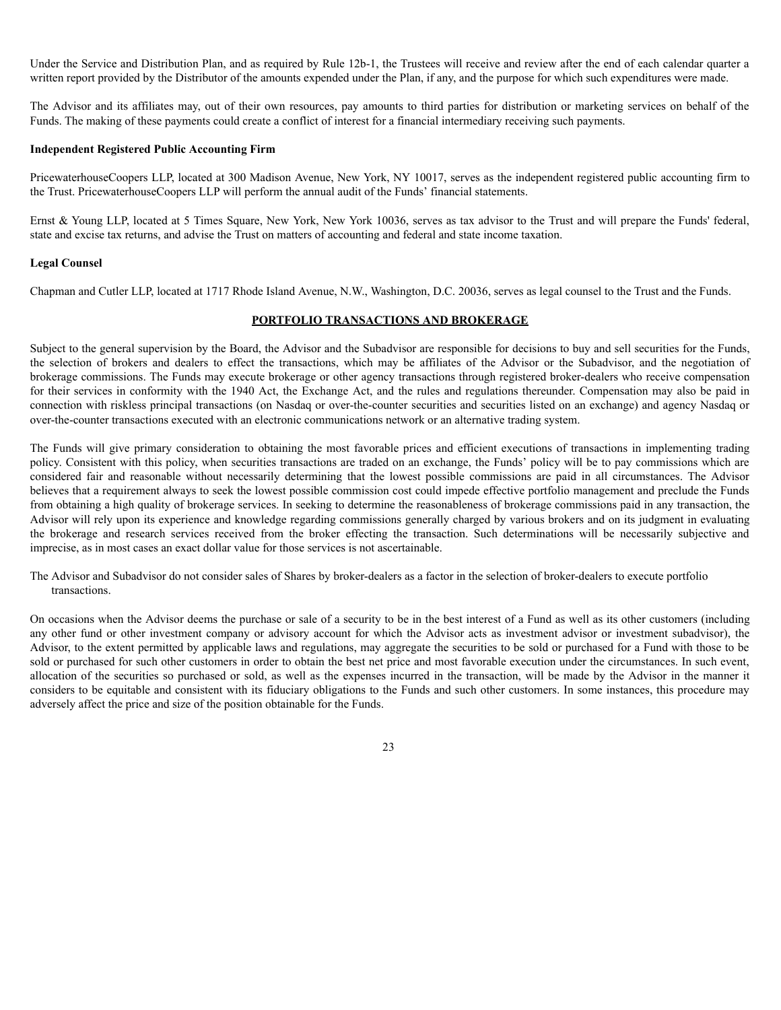Under the Service and Distribution Plan, and as required by Rule 12b-1, the Trustees will receive and review after the end of each calendar quarter a written report provided by the Distributor of the amounts expended under the Plan, if any, and the purpose for which such expenditures were made.

The Advisor and its affiliates may, out of their own resources, pay amounts to third parties for distribution or marketing services on behalf of the Funds. The making of these payments could create a conflict of interest for a financial intermediary receiving such payments.

### **Independent Registered Public Accounting Firm**

PricewaterhouseCoopers LLP, located at 300 Madison Avenue, New York, NY 10017, serves as the independent registered public accounting firm to the Trust. PricewaterhouseCoopers LLP will perform the annual audit of the Funds' financial statements.

Ernst & Young LLP, located at 5 Times Square, New York, New York 10036, serves as tax advisor to the Trust and will prepare the Funds' federal, state and excise tax returns, and advise the Trust on matters of accounting and federal and state income taxation.

### **Legal Counsel**

Chapman and Cutler LLP, located at 1717 Rhode Island Avenue, N.W., Washington, D.C. 20036, serves as legal counsel to the Trust and the Funds.

## **PORTFOLIO TRANSACTIONS AND BROKERAGE**

Subject to the general supervision by the Board, the Advisor and the Subadvisor are responsible for decisions to buy and sell securities for the Funds, the selection of brokers and dealers to effect the transactions, which may be affiliates of the Advisor or the Subadvisor, and the negotiation of brokerage commissions. The Funds may execute brokerage or other agency transactions through registered broker-dealers who receive compensation for their services in conformity with the 1940 Act, the Exchange Act, and the rules and regulations thereunder. Compensation may also be paid in connection with riskless principal transactions (on Nasdaq or over-the-counter securities and securities listed on an exchange) and agency Nasdaq or over-the-counter transactions executed with an electronic communications network or an alternative trading system.

The Funds will give primary consideration to obtaining the most favorable prices and efficient executions of transactions in implementing trading policy. Consistent with this policy, when securities transactions are traded on an exchange, the Funds' policy will be to pay commissions which are considered fair and reasonable without necessarily determining that the lowest possible commissions are paid in all circumstances. The Advisor believes that a requirement always to seek the lowest possible commission cost could impede effective portfolio management and preclude the Funds from obtaining a high quality of brokerage services. In seeking to determine the reasonableness of brokerage commissions paid in any transaction, the Advisor will rely upon its experience and knowledge regarding commissions generally charged by various brokers and on its judgment in evaluating the brokerage and research services received from the broker effecting the transaction. Such determinations will be necessarily subjective and imprecise, as in most cases an exact dollar value for those services is not ascertainable.

The Advisor and Subadvisor do not consider sales of Shares by broker-dealers as a factor in the selection of broker-dealers to execute portfolio transactions.

On occasions when the Advisor deems the purchase or sale of a security to be in the best interest of a Fund as well as its other customers (including any other fund or other investment company or advisory account for which the Advisor acts as investment advisor or investment subadvisor), the Advisor, to the extent permitted by applicable laws and regulations, may aggregate the securities to be sold or purchased for a Fund with those to be sold or purchased for such other customers in order to obtain the best net price and most favorable execution under the circumstances. In such event, allocation of the securities so purchased or sold, as well as the expenses incurred in the transaction, will be made by the Advisor in the manner it considers to be equitable and consistent with its fiduciary obligations to the Funds and such other customers. In some instances, this procedure may adversely affect the price and size of the position obtainable for the Funds.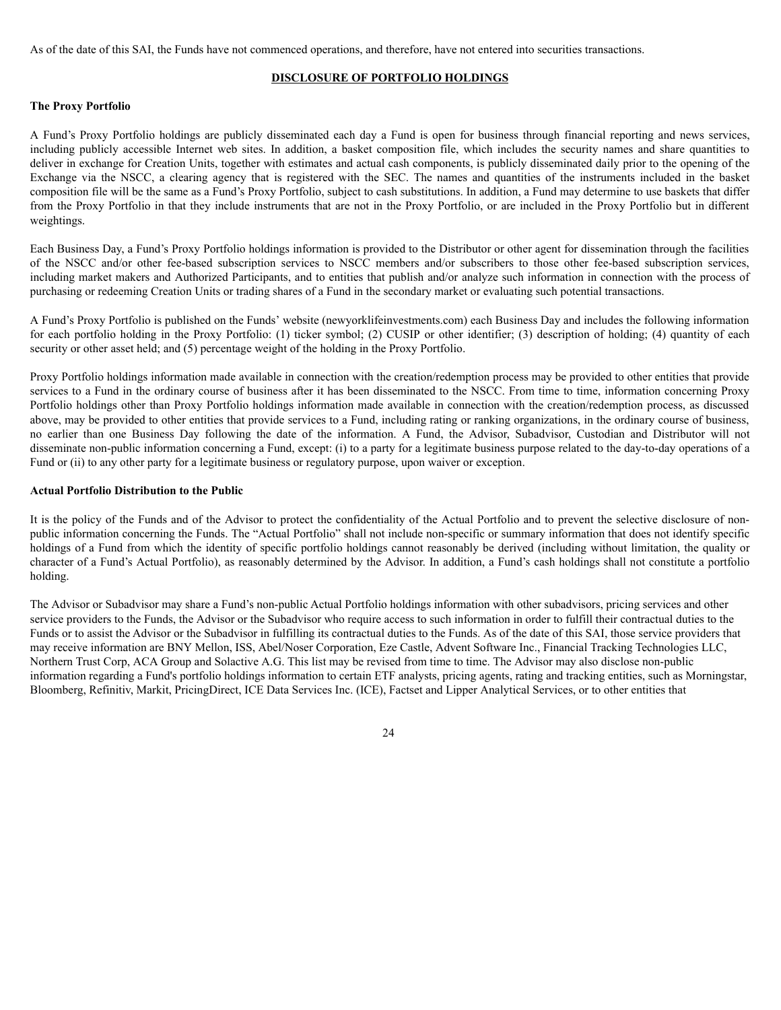As of the date of this SAI, the Funds have not commenced operations, and therefore, have not entered into securities transactions.

## **DISCLOSURE OF PORTFOLIO HOLDINGS**

## **The Proxy Portfolio**

A Fund's Proxy Portfolio holdings are publicly disseminated each day a Fund is open for business through financial reporting and news services, including publicly accessible Internet web sites. In addition, a basket composition file, which includes the security names and share quantities to deliver in exchange for Creation Units, together with estimates and actual cash components, is publicly disseminated daily prior to the opening of the Exchange via the NSCC, a clearing agency that is registered with the SEC. The names and quantities of the instruments included in the basket composition file will be the same as a Fund's Proxy Portfolio, subject to cash substitutions. In addition, a Fund may determine to use baskets that differ from the Proxy Portfolio in that they include instruments that are not in the Proxy Portfolio, or are included in the Proxy Portfolio but in different weightings.

Each Business Day, a Fund's Proxy Portfolio holdings information is provided to the Distributor or other agent for dissemination through the facilities of the NSCC and/or other fee-based subscription services to NSCC members and/or subscribers to those other fee-based subscription services, including market makers and Authorized Participants, and to entities that publish and/or analyze such information in connection with the process of purchasing or redeeming Creation Units or trading shares of a Fund in the secondary market or evaluating such potential transactions.

A Fund's Proxy Portfolio is published on the Funds' website (newyorklifeinvestments.com) each Business Day and includes the following information for each portfolio holding in the Proxy Portfolio: (1) ticker symbol; (2) CUSIP or other identifier; (3) description of holding; (4) quantity of each security or other asset held; and (5) percentage weight of the holding in the Proxy Portfolio.

Proxy Portfolio holdings information made available in connection with the creation/redemption process may be provided to other entities that provide services to a Fund in the ordinary course of business after it has been disseminated to the NSCC. From time to time, information concerning Proxy Portfolio holdings other than Proxy Portfolio holdings information made available in connection with the creation/redemption process, as discussed above, may be provided to other entities that provide services to a Fund, including rating or ranking organizations, in the ordinary course of business, no earlier than one Business Day following the date of the information. A Fund, the Advisor, Subadvisor, Custodian and Distributor will not disseminate non-public information concerning a Fund, except: (i) to a party for a legitimate business purpose related to the day-to-day operations of a Fund or (ii) to any other party for a legitimate business or regulatory purpose, upon waiver or exception.

### **Actual Portfolio Distribution to the Public**

It is the policy of the Funds and of the Advisor to protect the confidentiality of the Actual Portfolio and to prevent the selective disclosure of nonpublic information concerning the Funds. The "Actual Portfolio" shall not include non-specific or summary information that does not identify specific holdings of a Fund from which the identity of specific portfolio holdings cannot reasonably be derived (including without limitation, the quality or character of a Fund's Actual Portfolio), as reasonably determined by the Advisor. In addition, a Fund's cash holdings shall not constitute a portfolio holding.

The Advisor or Subadvisor may share a Fund's non-public Actual Portfolio holdings information with other subadvisors, pricing services and other service providers to the Funds, the Advisor or the Subadvisor who require access to such information in order to fulfill their contractual duties to the Funds or to assist the Advisor or the Subadvisor in fulfilling its contractual duties to the Funds. As of the date of this SAI, those service providers that may receive information are BNY Mellon, ISS, Abel/Noser Corporation, Eze Castle, Advent Software Inc., Financial Tracking Technologies LLC, Northern Trust Corp, ACA Group and Solactive A.G. This list may be revised from time to time. The Advisor may also disclose non-public information regarding a Fund's portfolio holdings information to certain ETF analysts, pricing agents, rating and tracking entities, such as Morningstar, Bloomberg, Refinitiv, Markit, PricingDirect, ICE Data Services Inc. (ICE), Factset and Lipper Analytical Services, or to other entities that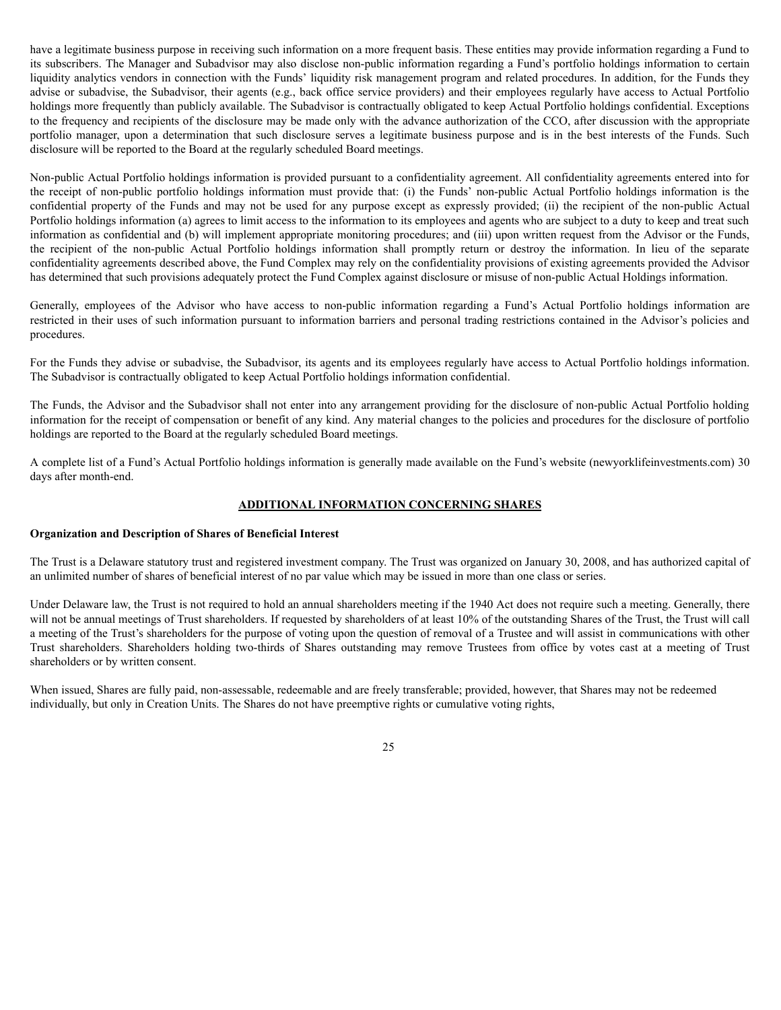have a legitimate business purpose in receiving such information on a more frequent basis. These entities may provide information regarding a Fund to its subscribers. The Manager and Subadvisor may also disclose non-public information regarding a Fund's portfolio holdings information to certain liquidity analytics vendors in connection with the Funds' liquidity risk management program and related procedures. In addition, for the Funds they advise or subadvise, the Subadvisor, their agents (e.g., back office service providers) and their employees regularly have access to Actual Portfolio holdings more frequently than publicly available. The Subadvisor is contractually obligated to keep Actual Portfolio holdings confidential. Exceptions to the frequency and recipients of the disclosure may be made only with the advance authorization of the CCO, after discussion with the appropriate portfolio manager, upon a determination that such disclosure serves a legitimate business purpose and is in the best interests of the Funds. Such disclosure will be reported to the Board at the regularly scheduled Board meetings.

Non-public Actual Portfolio holdings information is provided pursuant to a confidentiality agreement. All confidentiality agreements entered into for the receipt of non-public portfolio holdings information must provide that: (i) the Funds' non-public Actual Portfolio holdings information is the confidential property of the Funds and may not be used for any purpose except as expressly provided; (ii) the recipient of the non-public Actual Portfolio holdings information (a) agrees to limit access to the information to its employees and agents who are subject to a duty to keep and treat such information as confidential and (b) will implement appropriate monitoring procedures; and (iii) upon written request from the Advisor or the Funds, the recipient of the non-public Actual Portfolio holdings information shall promptly return or destroy the information. In lieu of the separate confidentiality agreements described above, the Fund Complex may rely on the confidentiality provisions of existing agreements provided the Advisor has determined that such provisions adequately protect the Fund Complex against disclosure or misuse of non-public Actual Holdings information.

Generally, employees of the Advisor who have access to non-public information regarding a Fund's Actual Portfolio holdings information are restricted in their uses of such information pursuant to information barriers and personal trading restrictions contained in the Advisor's policies and procedures.

For the Funds they advise or subadvise, the Subadvisor, its agents and its employees regularly have access to Actual Portfolio holdings information. The Subadvisor is contractually obligated to keep Actual Portfolio holdings information confidential.

The Funds, the Advisor and the Subadvisor shall not enter into any arrangement providing for the disclosure of non-public Actual Portfolio holding information for the receipt of compensation or benefit of any kind. Any material changes to the policies and procedures for the disclosure of portfolio holdings are reported to the Board at the regularly scheduled Board meetings.

A complete list of a Fund's Actual Portfolio holdings information is generally made available on the Fund's website (newyorklifeinvestments.com) 30 days after month-end.

# **ADDITIONAL INFORMATION CONCERNING SHARES**

### **Organization and Description of Shares of Beneficial Interest**

The Trust is a Delaware statutory trust and registered investment company. The Trust was organized on January 30, 2008, and has authorized capital of an unlimited number of shares of beneficial interest of no par value which may be issued in more than one class or series.

Under Delaware law, the Trust is not required to hold an annual shareholders meeting if the 1940 Act does not require such a meeting. Generally, there will not be annual meetings of Trust shareholders. If requested by shareholders of at least 10% of the outstanding Shares of the Trust, the Trust will call a meeting of the Trust's shareholders for the purpose of voting upon the question of removal of a Trustee and will assist in communications with other Trust shareholders. Shareholders holding two-thirds of Shares outstanding may remove Trustees from office by votes cast at a meeting of Trust shareholders or by written consent.

When issued, Shares are fully paid, non-assessable, redeemable and are freely transferable; provided, however, that Shares may not be redeemed individually, but only in Creation Units. The Shares do not have preemptive rights or cumulative voting rights,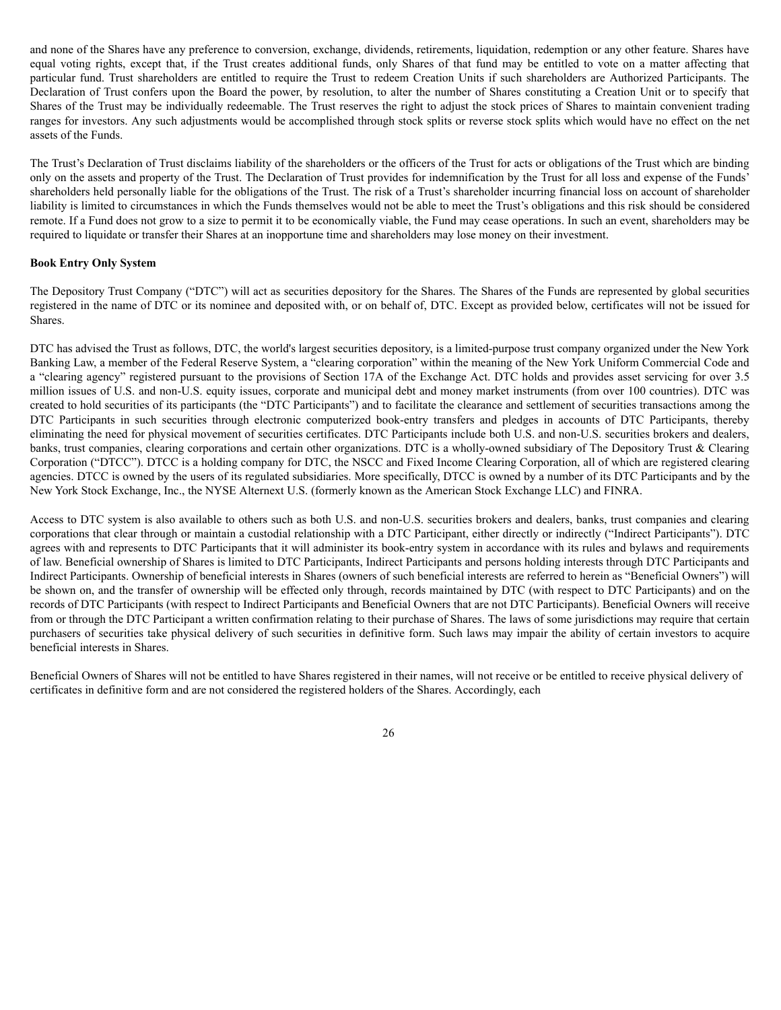and none of the Shares have any preference to conversion, exchange, dividends, retirements, liquidation, redemption or any other feature. Shares have equal voting rights, except that, if the Trust creates additional funds, only Shares of that fund may be entitled to vote on a matter affecting that particular fund. Trust shareholders are entitled to require the Trust to redeem Creation Units if such shareholders are Authorized Participants. The Declaration of Trust confers upon the Board the power, by resolution, to alter the number of Shares constituting a Creation Unit or to specify that Shares of the Trust may be individually redeemable. The Trust reserves the right to adjust the stock prices of Shares to maintain convenient trading ranges for investors. Any such adjustments would be accomplished through stock splits or reverse stock splits which would have no effect on the net assets of the Funds.

The Trust's Declaration of Trust disclaims liability of the shareholders or the officers of the Trust for acts or obligations of the Trust which are binding only on the assets and property of the Trust. The Declaration of Trust provides for indemnification by the Trust for all loss and expense of the Funds' shareholders held personally liable for the obligations of the Trust. The risk of a Trust's shareholder incurring financial loss on account of shareholder liability is limited to circumstances in which the Funds themselves would not be able to meet the Trust's obligations and this risk should be considered remote. If a Fund does not grow to a size to permit it to be economically viable, the Fund may cease operations. In such an event, shareholders may be required to liquidate or transfer their Shares at an inopportune time and shareholders may lose money on their investment.

## **Book Entry Only System**

The Depository Trust Company ("DTC") will act as securities depository for the Shares. The Shares of the Funds are represented by global securities registered in the name of DTC or its nominee and deposited with, or on behalf of, DTC. Except as provided below, certificates will not be issued for Shares.

DTC has advised the Trust as follows, DTC, the world's largest securities depository, is a limited-purpose trust company organized under the New York Banking Law, a member of the Federal Reserve System, a "clearing corporation" within the meaning of the New York Uniform Commercial Code and a "clearing agency" registered pursuant to the provisions of Section 17A of the Exchange Act. DTC holds and provides asset servicing for over 3.5 million issues of U.S. and non-U.S. equity issues, corporate and municipal debt and money market instruments (from over 100 countries). DTC was created to hold securities of its participants (the "DTC Participants") and to facilitate the clearance and settlement of securities transactions among the DTC Participants in such securities through electronic computerized book-entry transfers and pledges in accounts of DTC Participants, thereby eliminating the need for physical movement of securities certificates. DTC Participants include both U.S. and non-U.S. securities brokers and dealers, banks, trust companies, clearing corporations and certain other organizations. DTC is a wholly-owned subsidiary of The Depository Trust & Clearing Corporation ("DTCC"). DTCC is a holding company for DTC, the NSCC and Fixed Income Clearing Corporation, all of which are registered clearing agencies. DTCC is owned by the users of its regulated subsidiaries. More specifically, DTCC is owned by a number of its DTC Participants and by the New York Stock Exchange, Inc., the NYSE Alternext U.S. (formerly known as the American Stock Exchange LLC) and FINRA.

Access to DTC system is also available to others such as both U.S. and non-U.S. securities brokers and dealers, banks, trust companies and clearing corporations that clear through or maintain a custodial relationship with a DTC Participant, either directly or indirectly ("Indirect Participants"). DTC agrees with and represents to DTC Participants that it will administer its book-entry system in accordance with its rules and bylaws and requirements of law. Beneficial ownership of Shares is limited to DTC Participants, Indirect Participants and persons holding interests through DTC Participants and Indirect Participants. Ownership of beneficial interests in Shares (owners of such beneficial interests are referred to herein as "Beneficial Owners") will be shown on, and the transfer of ownership will be effected only through, records maintained by DTC (with respect to DTC Participants) and on the records of DTC Participants (with respect to Indirect Participants and Beneficial Owners that are not DTC Participants). Beneficial Owners will receive from or through the DTC Participant a written confirmation relating to their purchase of Shares. The laws of some jurisdictions may require that certain purchasers of securities take physical delivery of such securities in definitive form. Such laws may impair the ability of certain investors to acquire beneficial interests in Shares.

Beneficial Owners of Shares will not be entitled to have Shares registered in their names, will not receive or be entitled to receive physical delivery of certificates in definitive form and are not considered the registered holders of the Shares. Accordingly, each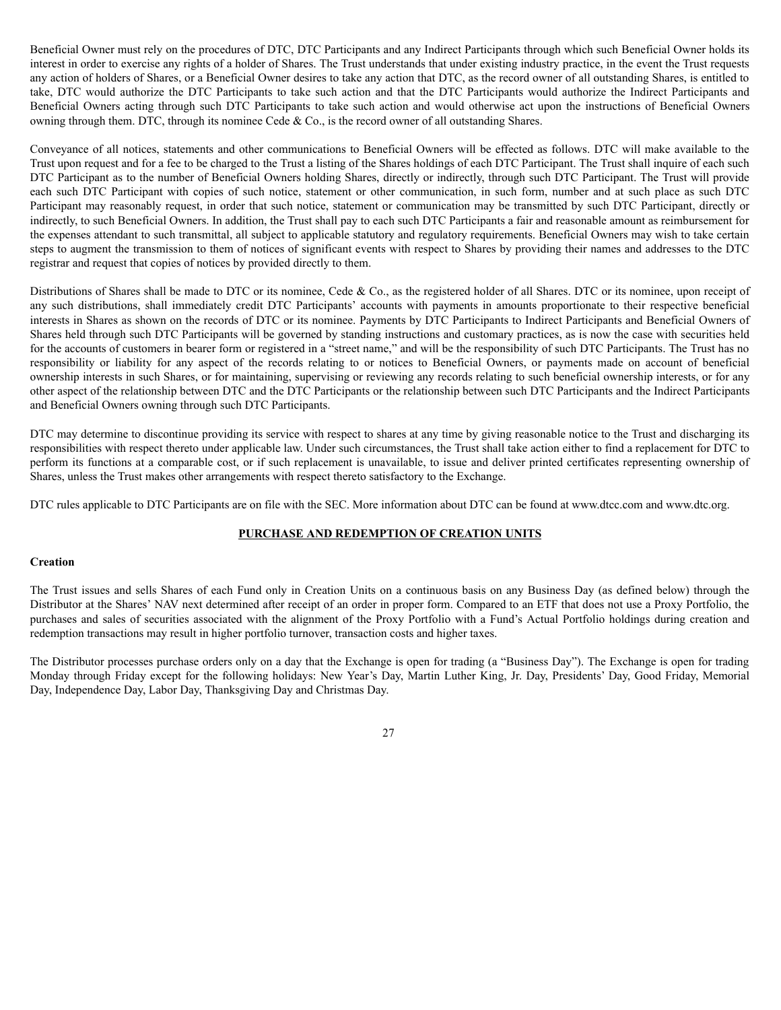Beneficial Owner must rely on the procedures of DTC, DTC Participants and any Indirect Participants through which such Beneficial Owner holds its interest in order to exercise any rights of a holder of Shares. The Trust understands that under existing industry practice, in the event the Trust requests any action of holders of Shares, or a Beneficial Owner desires to take any action that DTC, as the record owner of all outstanding Shares, is entitled to take, DTC would authorize the DTC Participants to take such action and that the DTC Participants would authorize the Indirect Participants and Beneficial Owners acting through such DTC Participants to take such action and would otherwise act upon the instructions of Beneficial Owners owning through them. DTC, through its nominee Cede & Co., is the record owner of all outstanding Shares.

Conveyance of all notices, statements and other communications to Beneficial Owners will be effected as follows. DTC will make available to the Trust upon request and for a fee to be charged to the Trust a listing of the Shares holdings of each DTC Participant. The Trust shall inquire of each such DTC Participant as to the number of Beneficial Owners holding Shares, directly or indirectly, through such DTC Participant. The Trust will provide each such DTC Participant with copies of such notice, statement or other communication, in such form, number and at such place as such DTC Participant may reasonably request, in order that such notice, statement or communication may be transmitted by such DTC Participant, directly or indirectly, to such Beneficial Owners. In addition, the Trust shall pay to each such DTC Participants a fair and reasonable amount as reimbursement for the expenses attendant to such transmittal, all subject to applicable statutory and regulatory requirements. Beneficial Owners may wish to take certain steps to augment the transmission to them of notices of significant events with respect to Shares by providing their names and addresses to the DTC registrar and request that copies of notices by provided directly to them.

Distributions of Shares shall be made to DTC or its nominee, Cede & Co., as the registered holder of all Shares. DTC or its nominee, upon receipt of any such distributions, shall immediately credit DTC Participants' accounts with payments in amounts proportionate to their respective beneficial interests in Shares as shown on the records of DTC or its nominee. Payments by DTC Participants to Indirect Participants and Beneficial Owners of Shares held through such DTC Participants will be governed by standing instructions and customary practices, as is now the case with securities held for the accounts of customers in bearer form or registered in a "street name," and will be the responsibility of such DTC Participants. The Trust has no responsibility or liability for any aspect of the records relating to or notices to Beneficial Owners, or payments made on account of beneficial ownership interests in such Shares, or for maintaining, supervising or reviewing any records relating to such beneficial ownership interests, or for any other aspect of the relationship between DTC and the DTC Participants or the relationship between such DTC Participants and the Indirect Participants and Beneficial Owners owning through such DTC Participants.

DTC may determine to discontinue providing its service with respect to shares at any time by giving reasonable notice to the Trust and discharging its responsibilities with respect thereto under applicable law. Under such circumstances, the Trust shall take action either to find a replacement for DTC to perform its functions at a comparable cost, or if such replacement is unavailable, to issue and deliver printed certificates representing ownership of Shares, unless the Trust makes other arrangements with respect thereto satisfactory to the Exchange.

DTC rules applicable to DTC Participants are on file with the SEC. More information about DTC can be found at www.dtcc.com and www.dtc.org.

# **PURCHASE AND REDEMPTION OF CREATION UNITS**

## **Creation**

The Trust issues and sells Shares of each Fund only in Creation Units on a continuous basis on any Business Day (as defined below) through the Distributor at the Shares' NAV next determined after receipt of an order in proper form. Compared to an ETF that does not use a Proxy Portfolio, the purchases and sales of securities associated with the alignment of the Proxy Portfolio with a Fund's Actual Portfolio holdings during creation and redemption transactions may result in higher portfolio turnover, transaction costs and higher taxes.

The Distributor processes purchase orders only on a day that the Exchange is open for trading (a "Business Day"). The Exchange is open for trading Monday through Friday except for the following holidays: New Year's Day, Martin Luther King, Jr. Day, Presidents' Day, Good Friday, Memorial Day, Independence Day, Labor Day, Thanksgiving Day and Christmas Day.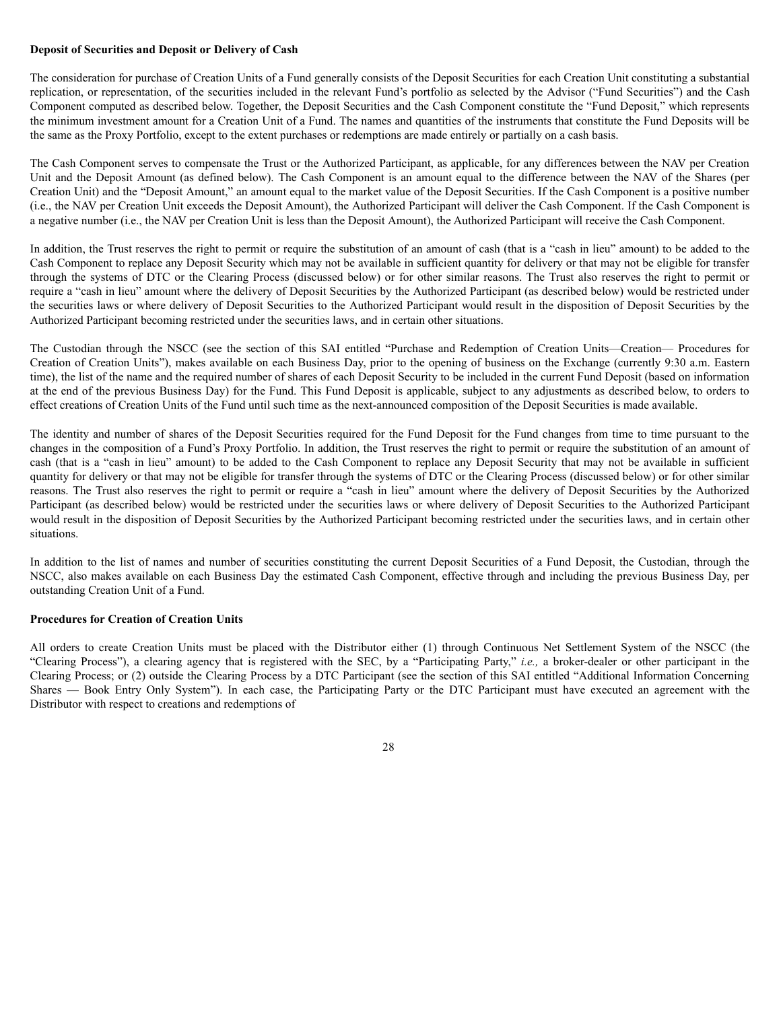## **Deposit of Securities and Deposit or Delivery of Cash**

The consideration for purchase of Creation Units of a Fund generally consists of the Deposit Securities for each Creation Unit constituting a substantial replication, or representation, of the securities included in the relevant Fund's portfolio as selected by the Advisor ("Fund Securities") and the Cash Component computed as described below. Together, the Deposit Securities and the Cash Component constitute the "Fund Deposit," which represents the minimum investment amount for a Creation Unit of a Fund. The names and quantities of the instruments that constitute the Fund Deposits will be the same as the Proxy Portfolio, except to the extent purchases or redemptions are made entirely or partially on a cash basis.

The Cash Component serves to compensate the Trust or the Authorized Participant, as applicable, for any differences between the NAV per Creation Unit and the Deposit Amount (as defined below). The Cash Component is an amount equal to the difference between the NAV of the Shares (per Creation Unit) and the "Deposit Amount," an amount equal to the market value of the Deposit Securities. If the Cash Component is a positive number (i.e., the NAV per Creation Unit exceeds the Deposit Amount), the Authorized Participant will deliver the Cash Component. If the Cash Component is a negative number (i.e., the NAV per Creation Unit is less than the Deposit Amount), the Authorized Participant will receive the Cash Component.

In addition, the Trust reserves the right to permit or require the substitution of an amount of cash (that is a "cash in lieu" amount) to be added to the Cash Component to replace any Deposit Security which may not be available in sufficient quantity for delivery or that may not be eligible for transfer through the systems of DTC or the Clearing Process (discussed below) or for other similar reasons. The Trust also reserves the right to permit or require a "cash in lieu" amount where the delivery of Deposit Securities by the Authorized Participant (as described below) would be restricted under the securities laws or where delivery of Deposit Securities to the Authorized Participant would result in the disposition of Deposit Securities by the Authorized Participant becoming restricted under the securities laws, and in certain other situations.

The Custodian through the NSCC (see the section of this SAI entitled "Purchase and Redemption of Creation Units—Creation— Procedures for Creation of Creation Units"), makes available on each Business Day, prior to the opening of business on the Exchange (currently 9:30 a.m. Eastern time), the list of the name and the required number of shares of each Deposit Security to be included in the current Fund Deposit (based on information at the end of the previous Business Day) for the Fund. This Fund Deposit is applicable, subject to any adjustments as described below, to orders to effect creations of Creation Units of the Fund until such time as the next-announced composition of the Deposit Securities is made available.

The identity and number of shares of the Deposit Securities required for the Fund Deposit for the Fund changes from time to time pursuant to the changes in the composition of a Fund's Proxy Portfolio. In addition, the Trust reserves the right to permit or require the substitution of an amount of cash (that is a "cash in lieu" amount) to be added to the Cash Component to replace any Deposit Security that may not be available in sufficient quantity for delivery or that may not be eligible for transfer through the systems of DTC or the Clearing Process (discussed below) or for other similar reasons. The Trust also reserves the right to permit or require a "cash in lieu" amount where the delivery of Deposit Securities by the Authorized Participant (as described below) would be restricted under the securities laws or where delivery of Deposit Securities to the Authorized Participant would result in the disposition of Deposit Securities by the Authorized Participant becoming restricted under the securities laws, and in certain other situations.

In addition to the list of names and number of securities constituting the current Deposit Securities of a Fund Deposit, the Custodian, through the NSCC, also makes available on each Business Day the estimated Cash Component, effective through and including the previous Business Day, per outstanding Creation Unit of a Fund.

### **Procedures for Creation of Creation Units**

All orders to create Creation Units must be placed with the Distributor either (1) through Continuous Net Settlement System of the NSCC (the "Clearing Process"), a clearing agency that is registered with the SEC, by a "Participating Party," *i.e.,* a broker-dealer or other participant in the Clearing Process; or (2) outside the Clearing Process by a DTC Participant (see the section of this SAI entitled "Additional Information Concerning Shares — Book Entry Only System"). In each case, the Participating Party or the DTC Participant must have executed an agreement with the Distributor with respect to creations and redemptions of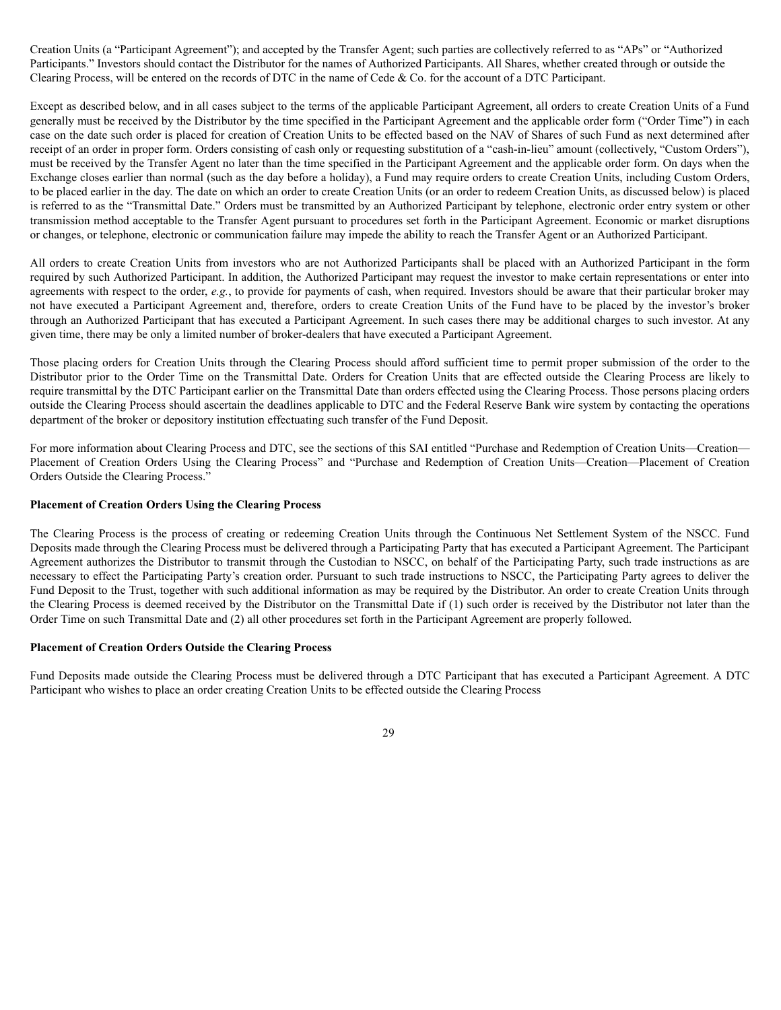Creation Units (a "Participant Agreement"); and accepted by the Transfer Agent; such parties are collectively referred to as "APs" or "Authorized Participants." Investors should contact the Distributor for the names of Authorized Participants. All Shares, whether created through or outside the Clearing Process, will be entered on the records of DTC in the name of Cede & Co. for the account of a DTC Participant.

Except as described below, and in all cases subject to the terms of the applicable Participant Agreement, all orders to create Creation Units of a Fund generally must be received by the Distributor by the time specified in the Participant Agreement and the applicable order form ("Order Time") in each case on the date such order is placed for creation of Creation Units to be effected based on the NAV of Shares of such Fund as next determined after receipt of an order in proper form. Orders consisting of cash only or requesting substitution of a "cash-in-lieu" amount (collectively, "Custom Orders"), must be received by the Transfer Agent no later than the time specified in the Participant Agreement and the applicable order form. On days when the Exchange closes earlier than normal (such as the day before a holiday), a Fund may require orders to create Creation Units, including Custom Orders, to be placed earlier in the day. The date on which an order to create Creation Units (or an order to redeem Creation Units, as discussed below) is placed is referred to as the "Transmittal Date." Orders must be transmitted by an Authorized Participant by telephone, electronic order entry system or other transmission method acceptable to the Transfer Agent pursuant to procedures set forth in the Participant Agreement. Economic or market disruptions or changes, or telephone, electronic or communication failure may impede the ability to reach the Transfer Agent or an Authorized Participant.

All orders to create Creation Units from investors who are not Authorized Participants shall be placed with an Authorized Participant in the form required by such Authorized Participant. In addition, the Authorized Participant may request the investor to make certain representations or enter into agreements with respect to the order, *e.g.*, to provide for payments of cash, when required. Investors should be aware that their particular broker may not have executed a Participant Agreement and, therefore, orders to create Creation Units of the Fund have to be placed by the investor's broker through an Authorized Participant that has executed a Participant Agreement. In such cases there may be additional charges to such investor. At any given time, there may be only a limited number of broker-dealers that have executed a Participant Agreement.

Those placing orders for Creation Units through the Clearing Process should afford sufficient time to permit proper submission of the order to the Distributor prior to the Order Time on the Transmittal Date. Orders for Creation Units that are effected outside the Clearing Process are likely to require transmittal by the DTC Participant earlier on the Transmittal Date than orders effected using the Clearing Process. Those persons placing orders outside the Clearing Process should ascertain the deadlines applicable to DTC and the Federal Reserve Bank wire system by contacting the operations department of the broker or depository institution effectuating such transfer of the Fund Deposit.

For more information about Clearing Process and DTC, see the sections of this SAI entitled "Purchase and Redemption of Creation Units—Creation— Placement of Creation Orders Using the Clearing Process" and "Purchase and Redemption of Creation Units—Creation—Placement of Creation Orders Outside the Clearing Process."

### **Placement of Creation Orders Using the Clearing Process**

The Clearing Process is the process of creating or redeeming Creation Units through the Continuous Net Settlement System of the NSCC. Fund Deposits made through the Clearing Process must be delivered through a Participating Party that has executed a Participant Agreement. The Participant Agreement authorizes the Distributor to transmit through the Custodian to NSCC, on behalf of the Participating Party, such trade instructions as are necessary to effect the Participating Party's creation order. Pursuant to such trade instructions to NSCC, the Participating Party agrees to deliver the Fund Deposit to the Trust, together with such additional information as may be required by the Distributor. An order to create Creation Units through the Clearing Process is deemed received by the Distributor on the Transmittal Date if (1) such order is received by the Distributor not later than the Order Time on such Transmittal Date and (2) all other procedures set forth in the Participant Agreement are properly followed.

### **Placement of Creation Orders Outside the Clearing Process**

Fund Deposits made outside the Clearing Process must be delivered through a DTC Participant that has executed a Participant Agreement. A DTC Participant who wishes to place an order creating Creation Units to be effected outside the Clearing Process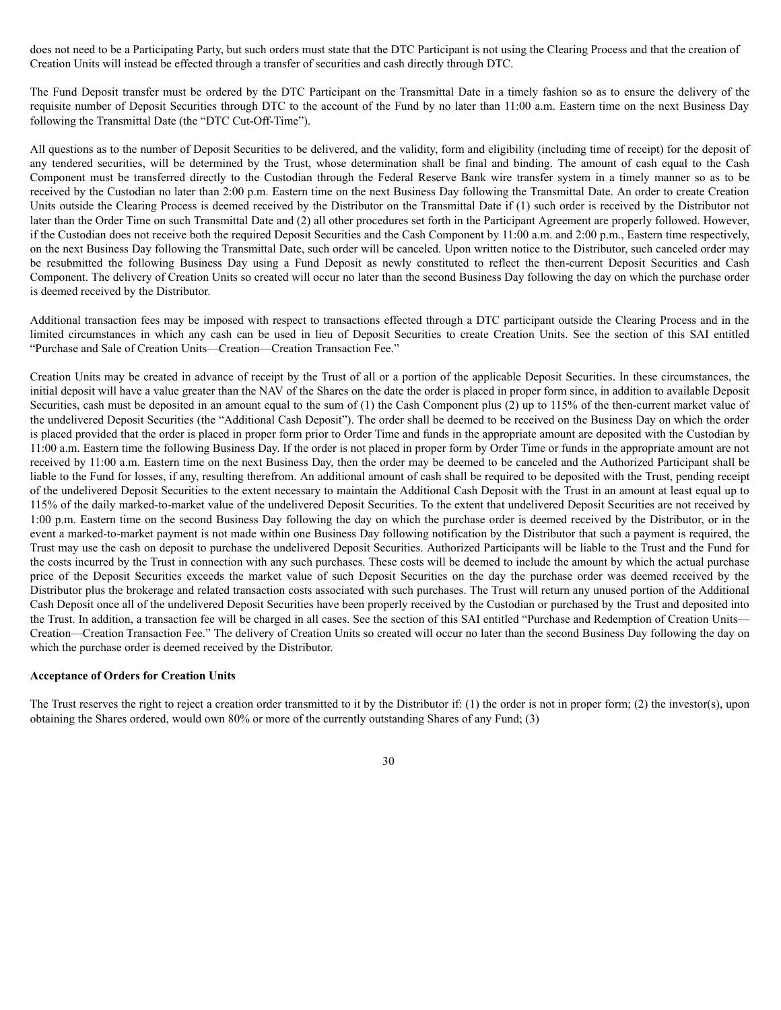does not need to be a Participating Party, but such orders must state that the DTC Participant is not using the Clearing Process and that the creation of Creation Units will instead be effected through a transfer of securities and cash directly through DTC.

The Fund Deposit transfer must be ordered by the DTC Participant on the Transmittal Date in a timely fashion so as to ensure the delivery of the requisite number of Deposit Securities through DTC to the account of the Fund by no later than 11:00 a.m. Eastern time on the next Business Day following the Transmittal Date (the "DTC Cut-Off-Time").

All questions as to the number of Deposit Securities to be delivered, and the validity, form and eligibility (including time of receipt) for the deposit of any tendered securities, will be determined by the Trust, whose determination shall be final and binding. The amount of cash equal to the Cash Component must be transferred directly to the Custodian through the Federal Reserve Bank wire transfer system in a timely manner so as to be received by the Custodian no later than 2:00 p.m. Eastern time on the next Business Day following the Transmittal Date. An order to create Creation Units outside the Clearing Process is deemed received by the Distributor on the Transmittal Date if (1) such order is received by the Distributor not later than the Order Time on such Transmittal Date and (2) all other procedures set forth in the Participant Agreement are properly followed. However, if the Custodian does not receive both the required Deposit Securities and the Cash Component by 11:00 a.m. and 2:00 p.m., Eastern time respectively, on the next Business Day following the Transmittal Date, such order will be canceled. Upon written notice to the Distributor, such canceled order may be resubmitted the following Business Day using a Fund Deposit as newly constituted to reflect the then-current Deposit Securities and Cash Component. The delivery of Creation Units so created will occur no later than the second Business Day following the day on which the purchase order is deemed received by the Distributor.

Additional transaction fees may be imposed with respect to transactions effected through a DTC participant outside the Clearing Process and in the limited circumstances in which any cash can be used in lieu of Deposit Securities to create Creation Units. See the section of this SAI entitled "Purchase and Sale of Creation Units—Creation—Creation Transaction Fee."

Creation Units may be created in advance of receipt by the Trust of all or a portion of the applicable Deposit Securities. In these circumstances, the initial deposit will have a value greater than the NAV of the Shares on the date the order is placed in proper form since, in addition to available Deposit Securities, cash must be deposited in an amount equal to the sum of (1) the Cash Component plus (2) up to 115% of the then-current market value of the undelivered Deposit Securities (the "Additional Cash Deposit"). The order shall be deemed to be received on the Business Day on which the order is placed provided that the order is placed in proper form prior to Order Time and funds in the appropriate amount are deposited with the Custodian by 11:00 a.m. Eastern time the following Business Day. If the order is not placed in proper form by Order Time or funds in the appropriate amount are not received by 11:00 a.m. Eastern time on the next Business Day, then the order may be deemed to be canceled and the Authorized Participant shall be liable to the Fund for losses, if any, resulting therefrom. An additional amount of cash shall be required to be deposited with the Trust, pending receipt of the undelivered Deposit Securities to the extent necessary to maintain the Additional Cash Deposit with the Trust in an amount at least equal up to 115% of the daily marked-to-market value of the undelivered Deposit Securities. To the extent that undelivered Deposit Securities are not received by 1:00 p.m. Eastern time on the second Business Day following the day on which the purchase order is deemed received by the Distributor, or in the event a marked-to-market payment is not made within one Business Day following notification by the Distributor that such a payment is required, the Trust may use the cash on deposit to purchase the undelivered Deposit Securities. Authorized Participants will be liable to the Trust and the Fund for the costs incurred by the Trust in connection with any such purchases. These costs will be deemed to include the amount by which the actual purchase price of the Deposit Securities exceeds the market value of such Deposit Securities on the day the purchase order was deemed received by the Distributor plus the brokerage and related transaction costs associated with such purchases. The Trust will return any unused portion of the Additional Cash Deposit once all of the undelivered Deposit Securities have been properly received by the Custodian or purchased by the Trust and deposited into the Trust. In addition, a transaction fee will be charged in all cases. See the section of this SAI entitled "Purchase and Redemption of Creation Units— Creation—Creation Transaction Fee." The delivery of Creation Units so created will occur no later than the second Business Day following the day on which the purchase order is deemed received by the Distributor.

### **Acceptance of Orders for Creation Units**

The Trust reserves the right to reject a creation order transmitted to it by the Distributor if: (1) the order is not in proper form; (2) the investor(s), upon obtaining the Shares ordered, would own 80% or more of the currently outstanding Shares of any Fund; (3)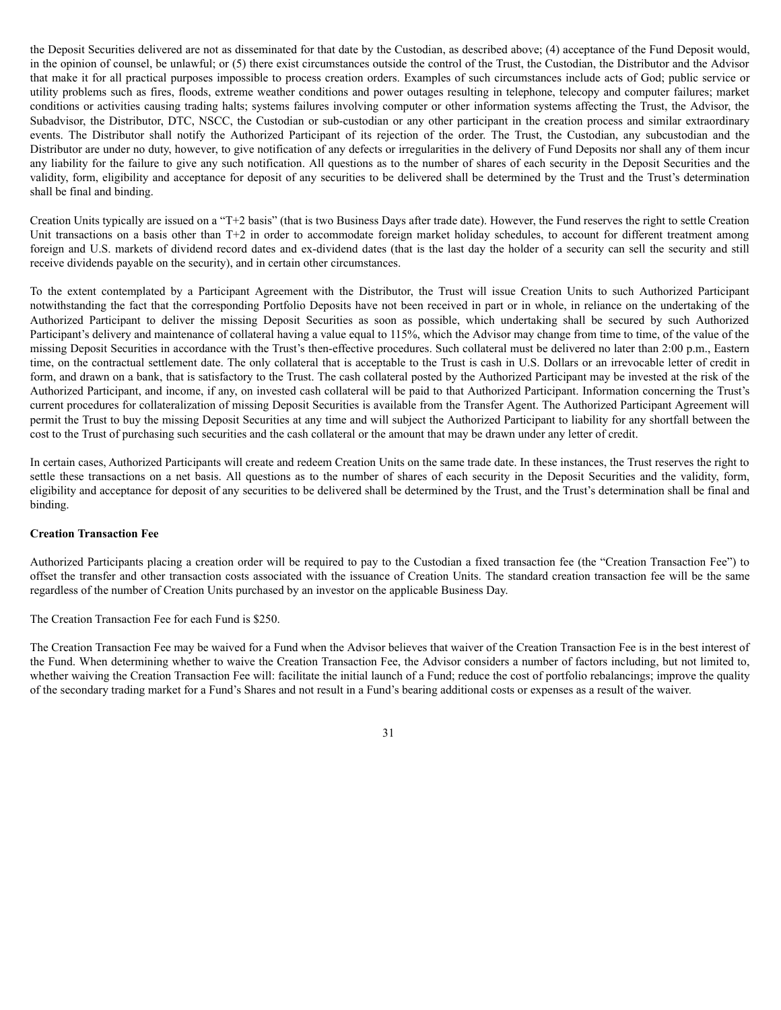the Deposit Securities delivered are not as disseminated for that date by the Custodian, as described above; (4) acceptance of the Fund Deposit would, in the opinion of counsel, be unlawful; or (5) there exist circumstances outside the control of the Trust, the Custodian, the Distributor and the Advisor that make it for all practical purposes impossible to process creation orders. Examples of such circumstances include acts of God; public service or utility problems such as fires, floods, extreme weather conditions and power outages resulting in telephone, telecopy and computer failures; market conditions or activities causing trading halts; systems failures involving computer or other information systems affecting the Trust, the Advisor, the Subadvisor, the Distributor, DTC, NSCC, the Custodian or sub-custodian or any other participant in the creation process and similar extraordinary events. The Distributor shall notify the Authorized Participant of its rejection of the order. The Trust, the Custodian, any subcustodian and the Distributor are under no duty, however, to give notification of any defects or irregularities in the delivery of Fund Deposits nor shall any of them incur any liability for the failure to give any such notification. All questions as to the number of shares of each security in the Deposit Securities and the validity, form, eligibility and acceptance for deposit of any securities to be delivered shall be determined by the Trust and the Trust's determination shall be final and binding.

Creation Units typically are issued on a "T+2 basis" (that is two Business Days after trade date). However, the Fund reserves the right to settle Creation Unit transactions on a basis other than T+2 in order to accommodate foreign market holiday schedules, to account for different treatment among foreign and U.S. markets of dividend record dates and ex-dividend dates (that is the last day the holder of a security can sell the security and still receive dividends payable on the security), and in certain other circumstances.

To the extent contemplated by a Participant Agreement with the Distributor, the Trust will issue Creation Units to such Authorized Participant notwithstanding the fact that the corresponding Portfolio Deposits have not been received in part or in whole, in reliance on the undertaking of the Authorized Participant to deliver the missing Deposit Securities as soon as possible, which undertaking shall be secured by such Authorized Participant's delivery and maintenance of collateral having a value equal to 115%, which the Advisor may change from time to time, of the value of the missing Deposit Securities in accordance with the Trust's then-effective procedures. Such collateral must be delivered no later than 2:00 p.m., Eastern time, on the contractual settlement date. The only collateral that is acceptable to the Trust is cash in U.S. Dollars or an irrevocable letter of credit in form, and drawn on a bank, that is satisfactory to the Trust. The cash collateral posted by the Authorized Participant may be invested at the risk of the Authorized Participant, and income, if any, on invested cash collateral will be paid to that Authorized Participant. Information concerning the Trust's current procedures for collateralization of missing Deposit Securities is available from the Transfer Agent. The Authorized Participant Agreement will permit the Trust to buy the missing Deposit Securities at any time and will subject the Authorized Participant to liability for any shortfall between the cost to the Trust of purchasing such securities and the cash collateral or the amount that may be drawn under any letter of credit.

In certain cases, Authorized Participants will create and redeem Creation Units on the same trade date. In these instances, the Trust reserves the right to settle these transactions on a net basis. All questions as to the number of shares of each security in the Deposit Securities and the validity, form, eligibility and acceptance for deposit of any securities to be delivered shall be determined by the Trust, and the Trust's determination shall be final and binding.

### **Creation Transaction Fee**

Authorized Participants placing a creation order will be required to pay to the Custodian a fixed transaction fee (the "Creation Transaction Fee") to offset the transfer and other transaction costs associated with the issuance of Creation Units. The standard creation transaction fee will be the same regardless of the number of Creation Units purchased by an investor on the applicable Business Day.

## The Creation Transaction Fee for each Fund is \$250.

The Creation Transaction Fee may be waived for a Fund when the Advisor believes that waiver of the Creation Transaction Fee is in the best interest of the Fund. When determining whether to waive the Creation Transaction Fee, the Advisor considers a number of factors including, but not limited to, whether waiving the Creation Transaction Fee will: facilitate the initial launch of a Fund; reduce the cost of portfolio rebalancings; improve the quality of the secondary trading market for a Fund's Shares and not result in a Fund's bearing additional costs or expenses as a result of the waiver.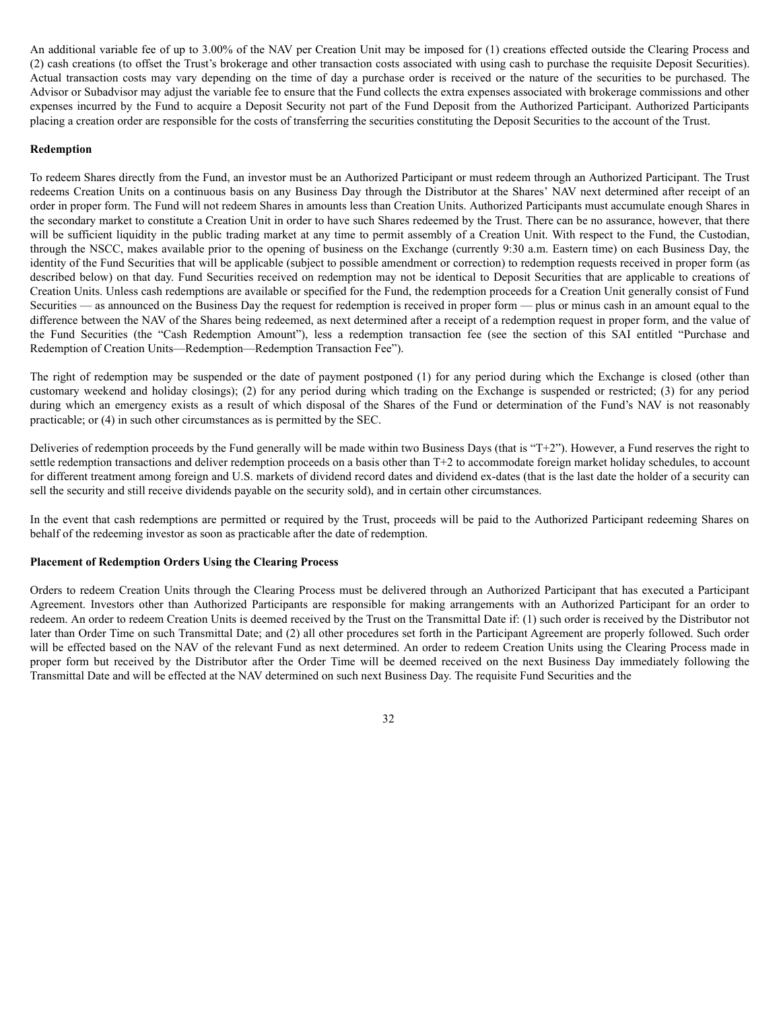An additional variable fee of up to 3.00% of the NAV per Creation Unit may be imposed for (1) creations effected outside the Clearing Process and (2) cash creations (to offset the Trust's brokerage and other transaction costs associated with using cash to purchase the requisite Deposit Securities). Actual transaction costs may vary depending on the time of day a purchase order is received or the nature of the securities to be purchased. The Advisor or Subadvisor may adjust the variable fee to ensure that the Fund collects the extra expenses associated with brokerage commissions and other expenses incurred by the Fund to acquire a Deposit Security not part of the Fund Deposit from the Authorized Participant. Authorized Participants placing a creation order are responsible for the costs of transferring the securities constituting the Deposit Securities to the account of the Trust.

## **Redemption**

To redeem Shares directly from the Fund, an investor must be an Authorized Participant or must redeem through an Authorized Participant. The Trust redeems Creation Units on a continuous basis on any Business Day through the Distributor at the Shares' NAV next determined after receipt of an order in proper form. The Fund will not redeem Shares in amounts less than Creation Units. Authorized Participants must accumulate enough Shares in the secondary market to constitute a Creation Unit in order to have such Shares redeemed by the Trust. There can be no assurance, however, that there will be sufficient liquidity in the public trading market at any time to permit assembly of a Creation Unit. With respect to the Fund, the Custodian, through the NSCC, makes available prior to the opening of business on the Exchange (currently 9:30 a.m. Eastern time) on each Business Day, the identity of the Fund Securities that will be applicable (subject to possible amendment or correction) to redemption requests received in proper form (as described below) on that day. Fund Securities received on redemption may not be identical to Deposit Securities that are applicable to creations of Creation Units. Unless cash redemptions are available or specified for the Fund, the redemption proceeds for a Creation Unit generally consist of Fund Securities — as announced on the Business Day the request for redemption is received in proper form — plus or minus cash in an amount equal to the difference between the NAV of the Shares being redeemed, as next determined after a receipt of a redemption request in proper form, and the value of the Fund Securities (the "Cash Redemption Amount"), less a redemption transaction fee (see the section of this SAI entitled "Purchase and Redemption of Creation Units—Redemption—Redemption Transaction Fee").

The right of redemption may be suspended or the date of payment postponed (1) for any period during which the Exchange is closed (other than customary weekend and holiday closings); (2) for any period during which trading on the Exchange is suspended or restricted; (3) for any period during which an emergency exists as a result of which disposal of the Shares of the Fund or determination of the Fund's NAV is not reasonably practicable; or (4) in such other circumstances as is permitted by the SEC.

Deliveries of redemption proceeds by the Fund generally will be made within two Business Days (that is "T+2"). However, a Fund reserves the right to settle redemption transactions and deliver redemption proceeds on a basis other than T+2 to accommodate foreign market holiday schedules, to account for different treatment among foreign and U.S. markets of dividend record dates and dividend ex-dates (that is the last date the holder of a security can sell the security and still receive dividends payable on the security sold), and in certain other circumstances.

In the event that cash redemptions are permitted or required by the Trust, proceeds will be paid to the Authorized Participant redeeming Shares on behalf of the redeeming investor as soon as practicable after the date of redemption.

## **Placement of Redemption Orders Using the Clearing Process**

Orders to redeem Creation Units through the Clearing Process must be delivered through an Authorized Participant that has executed a Participant Agreement. Investors other than Authorized Participants are responsible for making arrangements with an Authorized Participant for an order to redeem. An order to redeem Creation Units is deemed received by the Trust on the Transmittal Date if: (1) such order is received by the Distributor not later than Order Time on such Transmittal Date; and (2) all other procedures set forth in the Participant Agreement are properly followed. Such order will be effected based on the NAV of the relevant Fund as next determined. An order to redeem Creation Units using the Clearing Process made in proper form but received by the Distributor after the Order Time will be deemed received on the next Business Day immediately following the Transmittal Date and will be effected at the NAV determined on such next Business Day. The requisite Fund Securities and the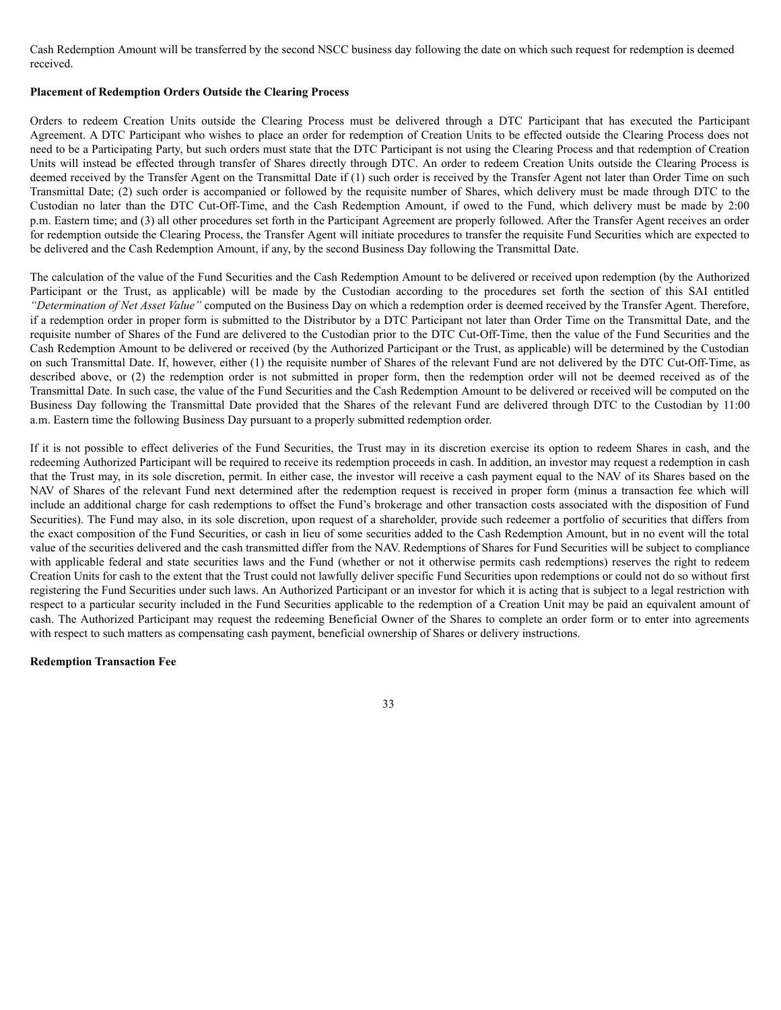Cash Redemption Amount will be transferred by the second NSCC business day following the date on which such request for redemption is deemed received.

## **Placement of Redemption Orders Outside the Clearing Process**

Orders to redeem Creation Units outside the Clearing Process must be delivered through a DTC Participant that has executed the Participant Agreement. A DTC Participant who wishes to place an order for redemption of Creation Units to be effected outside the Clearing Process does not need to be a Participating Party, but such orders must state that the DTC Participant is not using the Clearing Process and that redemption of Creation Units will instead be effected through transfer of Shares directly through DTC. An order to redeem Creation Units outside the Clearing Process is deemed received by the Transfer Agent on the Transmittal Date if (1) such order is received by the Transfer Agent not later than Order Time on such Transmittal Date; (2) such order is accompanied or followed by the requisite number of Shares, which delivery must be made through DTC to the Custodian no later than the DTC Cut-Off-Time, and the Cash Redemption Amount, if owed to the Fund, which delivery must be made by 2:00 p.m. Eastern time; and (3) all other procedures set forth in the Participant Agreement are properly followed. After the Transfer Agent receives an order for redemption outside the Clearing Process, the Transfer Agent will initiate procedures to transfer the requisite Fund Securities which are expected to be delivered and the Cash Redemption Amount, if any, by the second Business Day following the Transmittal Date.

The calculation of the value of the Fund Securities and the Cash Redemption Amount to be delivered or received upon redemption (by the Authorized Participant or the Trust, as applicable) will be made by the Custodian according to the procedures set forth the section of this SAI entitled *"Determination of Net Asset Value"* computed on the Business Day on which a redemption order is deemed received by the Transfer Agent. Therefore, if a redemption order in proper form is submitted to the Distributor by a DTC Participant not later than Order Time on the Transmittal Date, and the requisite number of Shares of the Fund are delivered to the Custodian prior to the DTC Cut-Off-Time, then the value of the Fund Securities and the Cash Redemption Amount to be delivered or received (by the Authorized Participant or the Trust, as applicable) will be determined by the Custodian on such Transmittal Date. If, however, either (1) the requisite number of Shares of the relevant Fund are not delivered by the DTC Cut-Off-Time, as described above, or (2) the redemption order is not submitted in proper form, then the redemption order will not be deemed received as of the Transmittal Date. In such case, the value of the Fund Securities and the Cash Redemption Amount to be delivered or received will be computed on the Business Day following the Transmittal Date provided that the Shares of the relevant Fund are delivered through DTC to the Custodian by 11:00 a.m. Eastern time the following Business Day pursuant to a properly submitted redemption order.

If it is not possible to effect deliveries of the Fund Securities, the Trust may in its discretion exercise its option to redeem Shares in cash, and the redeeming Authorized Participant will be required to receive its redemption proceeds in cash. In addition, an investor may request a redemption in cash that the Trust may, in its sole discretion, permit. In either case, the investor will receive a cash payment equal to the NAV of its Shares based on the NAV of Shares of the relevant Fund next determined after the redemption request is received in proper form (minus a transaction fee which will include an additional charge for cash redemptions to offset the Fund's brokerage and other transaction costs associated with the disposition of Fund Securities). The Fund may also, in its sole discretion, upon request of a shareholder, provide such redeemer a portfolio of securities that differs from the exact composition of the Fund Securities, or cash in lieu of some securities added to the Cash Redemption Amount, but in no event will the total value of the securities delivered and the cash transmitted differ from the NAV. Redemptions of Shares for Fund Securities will be subject to compliance with applicable federal and state securities laws and the Fund (whether or not it otherwise permits cash redemptions) reserves the right to redeem Creation Units for cash to the extent that the Trust could not lawfully deliver specific Fund Securities upon redemptions or could not do so without first registering the Fund Securities under such laws. An Authorized Participant or an investor for which it is acting that is subject to a legal restriction with respect to a particular security included in the Fund Securities applicable to the redemption of a Creation Unit may be paid an equivalent amount of cash. The Authorized Participant may request the redeeming Beneficial Owner of the Shares to complete an order form or to enter into agreements with respect to such matters as compensating cash payment, beneficial ownership of Shares or delivery instructions.

33

## **Redemption Transaction Fee**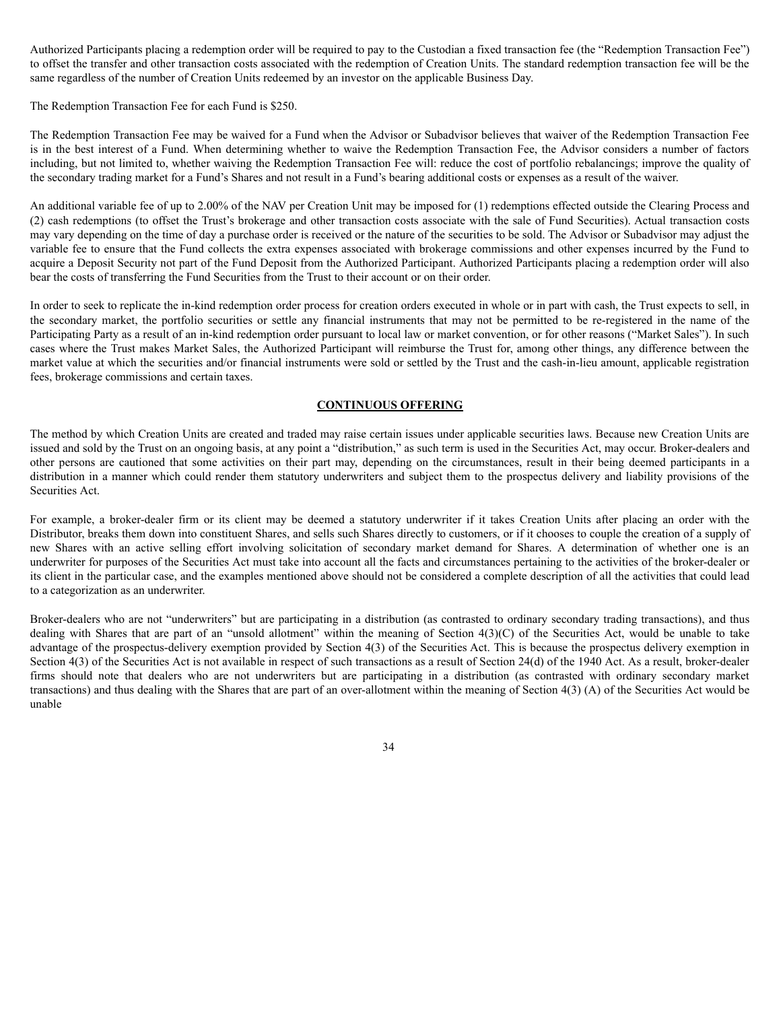Authorized Participants placing a redemption order will be required to pay to the Custodian a fixed transaction fee (the "Redemption Transaction Fee") to offset the transfer and other transaction costs associated with the redemption of Creation Units. The standard redemption transaction fee will be the same regardless of the number of Creation Units redeemed by an investor on the applicable Business Day.

The Redemption Transaction Fee for each Fund is \$250.

The Redemption Transaction Fee may be waived for a Fund when the Advisor or Subadvisor believes that waiver of the Redemption Transaction Fee is in the best interest of a Fund. When determining whether to waive the Redemption Transaction Fee, the Advisor considers a number of factors including, but not limited to, whether waiving the Redemption Transaction Fee will: reduce the cost of portfolio rebalancings; improve the quality of the secondary trading market for a Fund's Shares and not result in a Fund's bearing additional costs or expenses as a result of the waiver.

An additional variable fee of up to 2.00% of the NAV per Creation Unit may be imposed for (1) redemptions effected outside the Clearing Process and (2) cash redemptions (to offset the Trust's brokerage and other transaction costs associate with the sale of Fund Securities). Actual transaction costs may vary depending on the time of day a purchase order is received or the nature of the securities to be sold. The Advisor or Subadvisor may adjust the variable fee to ensure that the Fund collects the extra expenses associated with brokerage commissions and other expenses incurred by the Fund to acquire a Deposit Security not part of the Fund Deposit from the Authorized Participant. Authorized Participants placing a redemption order will also bear the costs of transferring the Fund Securities from the Trust to their account or on their order.

In order to seek to replicate the in-kind redemption order process for creation orders executed in whole or in part with cash, the Trust expects to sell, in the secondary market, the portfolio securities or settle any financial instruments that may not be permitted to be re-registered in the name of the Participating Party as a result of an in-kind redemption order pursuant to local law or market convention, or for other reasons ("Market Sales"). In such cases where the Trust makes Market Sales, the Authorized Participant will reimburse the Trust for, among other things, any difference between the market value at which the securities and/or financial instruments were sold or settled by the Trust and the cash-in-lieu amount, applicable registration fees, brokerage commissions and certain taxes.

## **CONTINUOUS OFFERING**

The method by which Creation Units are created and traded may raise certain issues under applicable securities laws. Because new Creation Units are issued and sold by the Trust on an ongoing basis, at any point a "distribution," as such term is used in the Securities Act, may occur. Broker-dealers and other persons are cautioned that some activities on their part may, depending on the circumstances, result in their being deemed participants in a distribution in a manner which could render them statutory underwriters and subject them to the prospectus delivery and liability provisions of the Securities Act.

For example, a broker-dealer firm or its client may be deemed a statutory underwriter if it takes Creation Units after placing an order with the Distributor, breaks them down into constituent Shares, and sells such Shares directly to customers, or if it chooses to couple the creation of a supply of new Shares with an active selling effort involving solicitation of secondary market demand for Shares. A determination of whether one is an underwriter for purposes of the Securities Act must take into account all the facts and circumstances pertaining to the activities of the broker-dealer or its client in the particular case, and the examples mentioned above should not be considered a complete description of all the activities that could lead to a categorization as an underwriter.

Broker-dealers who are not "underwriters" but are participating in a distribution (as contrasted to ordinary secondary trading transactions), and thus dealing with Shares that are part of an "unsold allotment" within the meaning of Section 4(3)(C) of the Securities Act, would be unable to take advantage of the prospectus-delivery exemption provided by Section 4(3) of the Securities Act. This is because the prospectus delivery exemption in Section 4(3) of the Securities Act is not available in respect of such transactions as a result of Section 24(d) of the 1940 Act. As a result, broker-dealer firms should note that dealers who are not underwriters but are participating in a distribution (as contrasted with ordinary secondary market transactions) and thus dealing with the Shares that are part of an over-allotment within the meaning of Section 4(3) (A) of the Securities Act would be unable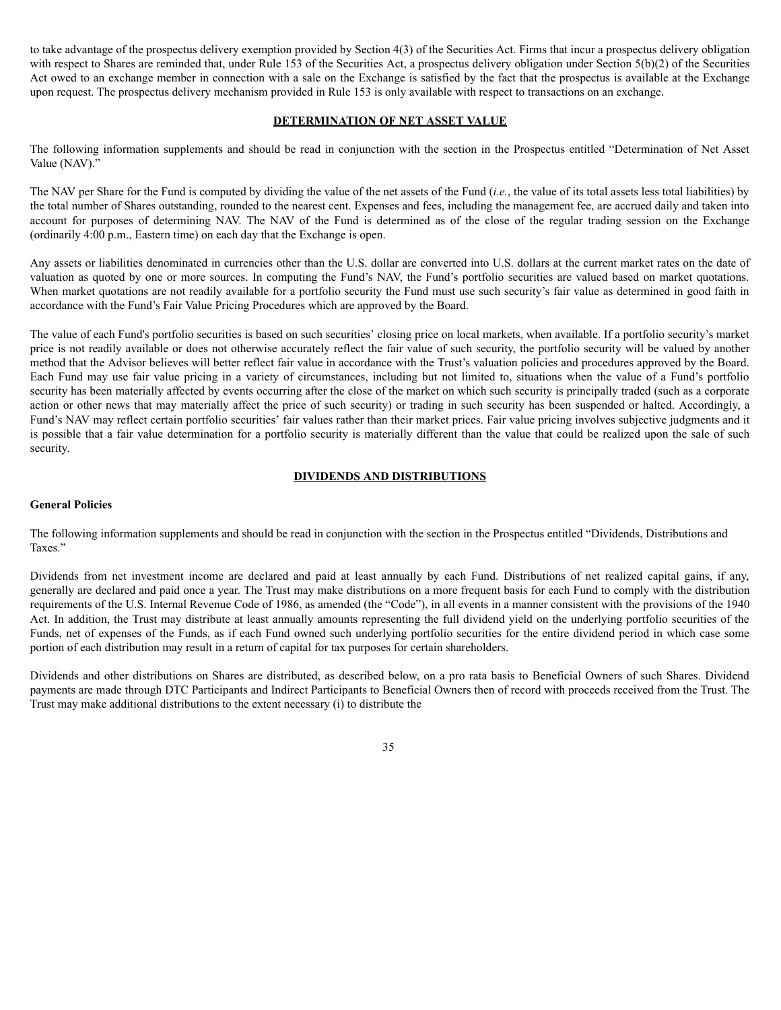to take advantage of the prospectus delivery exemption provided by Section 4(3) of the Securities Act. Firms that incur a prospectus delivery obligation with respect to Shares are reminded that, under Rule 153 of the Securities Act, a prospectus delivery obligation under Section 5(b)(2) of the Securities Act owed to an exchange member in connection with a sale on the Exchange is satisfied by the fact that the prospectus is available at the Exchange upon request. The prospectus delivery mechanism provided in Rule 153 is only available with respect to transactions on an exchange.

## **DETERMINATION OF NET ASSET VALUE**

The following information supplements and should be read in conjunction with the section in the Prospectus entitled "Determination of Net Asset Value (NAV)."

The NAV per Share for the Fund is computed by dividing the value of the net assets of the Fund (*i.e.*, the value of its total assets less total liabilities) by the total number of Shares outstanding, rounded to the nearest cent. Expenses and fees, including the management fee, are accrued daily and taken into account for purposes of determining NAV. The NAV of the Fund is determined as of the close of the regular trading session on the Exchange (ordinarily 4:00 p.m., Eastern time) on each day that the Exchange is open.

Any assets or liabilities denominated in currencies other than the U.S. dollar are converted into U.S. dollars at the current market rates on the date of valuation as quoted by one or more sources. In computing the Fund's NAV, the Fund's portfolio securities are valued based on market quotations. When market quotations are not readily available for a portfolio security the Fund must use such security's fair value as determined in good faith in accordance with the Fund's Fair Value Pricing Procedures which are approved by the Board.

The value of each Fund's portfolio securities is based on such securities' closing price on local markets, when available. If a portfolio security's market price is not readily available or does not otherwise accurately reflect the fair value of such security, the portfolio security will be valued by another method that the Advisor believes will better reflect fair value in accordance with the Trust's valuation policies and procedures approved by the Board. Each Fund may use fair value pricing in a variety of circumstances, including but not limited to, situations when the value of a Fund's portfolio security has been materially affected by events occurring after the close of the market on which such security is principally traded (such as a corporate action or other news that may materially affect the price of such security) or trading in such security has been suspended or halted. Accordingly, a Fund's NAV may reflect certain portfolio securities' fair values rather than their market prices. Fair value pricing involves subjective judgments and it is possible that a fair value determination for a portfolio security is materially different than the value that could be realized upon the sale of such security.

# **DIVIDENDS AND DISTRIBUTIONS**

## **General Policies**

The following information supplements and should be read in conjunction with the section in the Prospectus entitled "Dividends, Distributions and Taxes."

Dividends from net investment income are declared and paid at least annually by each Fund. Distributions of net realized capital gains, if any, generally are declared and paid once a year. The Trust may make distributions on a more frequent basis for each Fund to comply with the distribution requirements of the U.S. Internal Revenue Code of 1986, as amended (the "Code"), in all events in a manner consistent with the provisions of the 1940 Act. In addition, the Trust may distribute at least annually amounts representing the full dividend yield on the underlying portfolio securities of the Funds, net of expenses of the Funds, as if each Fund owned such underlying portfolio securities for the entire dividend period in which case some portion of each distribution may result in a return of capital for tax purposes for certain shareholders.

Dividends and other distributions on Shares are distributed, as described below, on a pro rata basis to Beneficial Owners of such Shares. Dividend payments are made through DTC Participants and Indirect Participants to Beneficial Owners then of record with proceeds received from the Trust. The Trust may make additional distributions to the extent necessary (i) to distribute the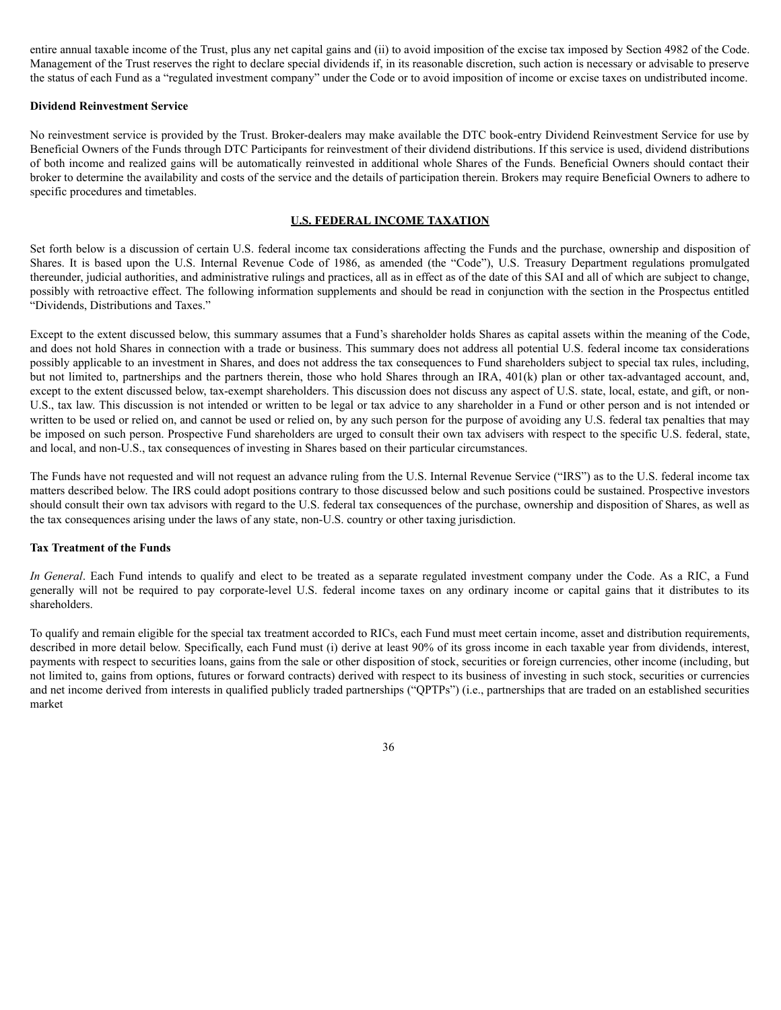entire annual taxable income of the Trust, plus any net capital gains and (ii) to avoid imposition of the excise tax imposed by Section 4982 of the Code. Management of the Trust reserves the right to declare special dividends if, in its reasonable discretion, such action is necessary or advisable to preserve the status of each Fund as a "regulated investment company" under the Code or to avoid imposition of income or excise taxes on undistributed income.

## **Dividend Reinvestment Service**

No reinvestment service is provided by the Trust. Broker-dealers may make available the DTC book-entry Dividend Reinvestment Service for use by Beneficial Owners of the Funds through DTC Participants for reinvestment of their dividend distributions. If this service is used, dividend distributions of both income and realized gains will be automatically reinvested in additional whole Shares of the Funds. Beneficial Owners should contact their broker to determine the availability and costs of the service and the details of participation therein. Brokers may require Beneficial Owners to adhere to specific procedures and timetables.

## **U.S. FEDERAL INCOME TAXATION**

Set forth below is a discussion of certain U.S. federal income tax considerations affecting the Funds and the purchase, ownership and disposition of Shares. It is based upon the U.S. Internal Revenue Code of 1986, as amended (the "Code"), U.S. Treasury Department regulations promulgated thereunder, judicial authorities, and administrative rulings and practices, all as in effect as of the date of this SAI and all of which are subject to change, possibly with retroactive effect. The following information supplements and should be read in conjunction with the section in the Prospectus entitled "Dividends, Distributions and Taxes."

Except to the extent discussed below, this summary assumes that a Fund's shareholder holds Shares as capital assets within the meaning of the Code, and does not hold Shares in connection with a trade or business. This summary does not address all potential U.S. federal income tax considerations possibly applicable to an investment in Shares, and does not address the tax consequences to Fund shareholders subject to special tax rules, including, but not limited to, partnerships and the partners therein, those who hold Shares through an IRA, 401(k) plan or other tax-advantaged account, and, except to the extent discussed below, tax-exempt shareholders. This discussion does not discuss any aspect of U.S. state, local, estate, and gift, or non-U.S., tax law. This discussion is not intended or written to be legal or tax advice to any shareholder in a Fund or other person and is not intended or written to be used or relied on, and cannot be used or relied on, by any such person for the purpose of avoiding any U.S. federal tax penalties that may be imposed on such person. Prospective Fund shareholders are urged to consult their own tax advisers with respect to the specific U.S. federal, state, and local, and non-U.S., tax consequences of investing in Shares based on their particular circumstances.

The Funds have not requested and will not request an advance ruling from the U.S. Internal Revenue Service ("IRS") as to the U.S. federal income tax matters described below. The IRS could adopt positions contrary to those discussed below and such positions could be sustained. Prospective investors should consult their own tax advisors with regard to the U.S. federal tax consequences of the purchase, ownership and disposition of Shares, as well as the tax consequences arising under the laws of any state, non-U.S. country or other taxing jurisdiction.

## **Tax Treatment of the Funds**

*In General*. Each Fund intends to qualify and elect to be treated as a separate regulated investment company under the Code. As a RIC, a Fund generally will not be required to pay corporate-level U.S. federal income taxes on any ordinary income or capital gains that it distributes to its shareholders.

To qualify and remain eligible for the special tax treatment accorded to RICs, each Fund must meet certain income, asset and distribution requirements, described in more detail below. Specifically, each Fund must (i) derive at least 90% of its gross income in each taxable year from dividends, interest, payments with respect to securities loans, gains from the sale or other disposition of stock, securities or foreign currencies, other income (including, but not limited to, gains from options, futures or forward contracts) derived with respect to its business of investing in such stock, securities or currencies and net income derived from interests in qualified publicly traded partnerships ("QPTPs") (i.e., partnerships that are traded on an established securities market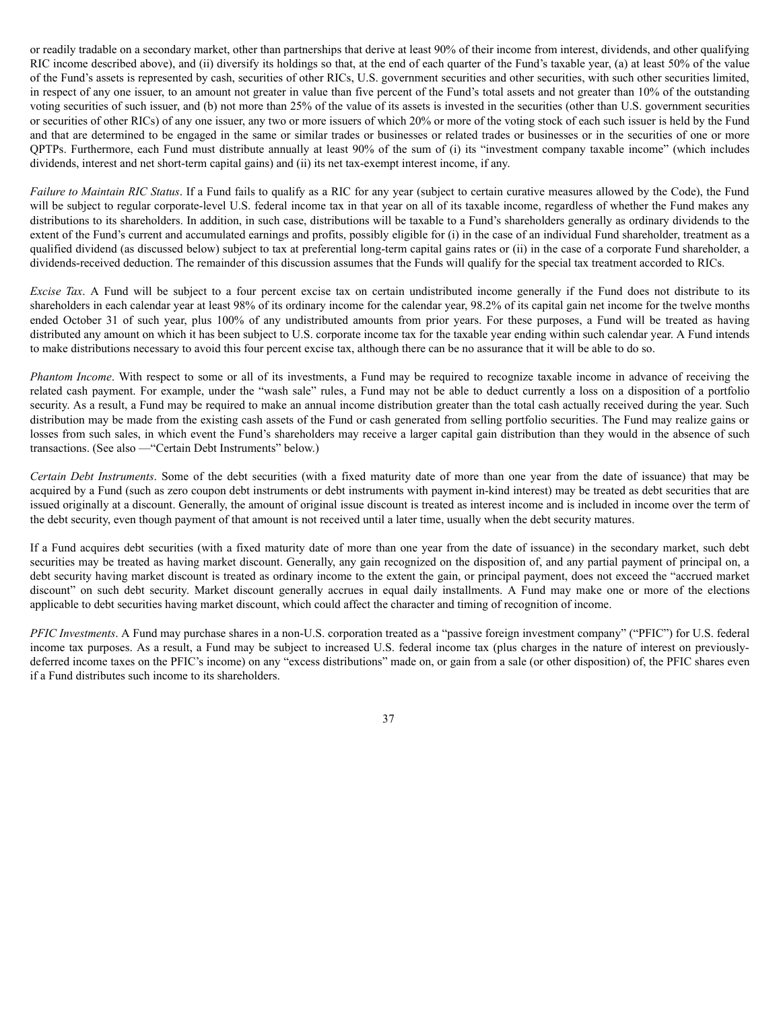or readily tradable on a secondary market, other than partnerships that derive at least 90% of their income from interest, dividends, and other qualifying RIC income described above), and (ii) diversify its holdings so that, at the end of each quarter of the Fund's taxable year, (a) at least 50% of the value of the Fund's assets is represented by cash, securities of other RICs, U.S. government securities and other securities, with such other securities limited, in respect of any one issuer, to an amount not greater in value than five percent of the Fund's total assets and not greater than 10% of the outstanding voting securities of such issuer, and (b) not more than 25% of the value of its assets is invested in the securities (other than U.S. government securities or securities of other RICs) of any one issuer, any two or more issuers of which 20% or more of the voting stock of each such issuer is held by the Fund and that are determined to be engaged in the same or similar trades or businesses or related trades or businesses or in the securities of one or more QPTPs. Furthermore, each Fund must distribute annually at least 90% of the sum of (i) its "investment company taxable income" (which includes dividends, interest and net short-term capital gains) and (ii) its net tax-exempt interest income, if any.

*Failure to Maintain RIC Status*. If a Fund fails to qualify as a RIC for any year (subject to certain curative measures allowed by the Code), the Fund will be subject to regular corporate-level U.S. federal income tax in that year on all of its taxable income, regardless of whether the Fund makes any distributions to its shareholders. In addition, in such case, distributions will be taxable to a Fund's shareholders generally as ordinary dividends to the extent of the Fund's current and accumulated earnings and profits, possibly eligible for (i) in the case of an individual Fund shareholder, treatment as a qualified dividend (as discussed below) subject to tax at preferential long-term capital gains rates or (ii) in the case of a corporate Fund shareholder, a dividends-received deduction. The remainder of this discussion assumes that the Funds will qualify for the special tax treatment accorded to RICs.

*Excise Tax.* A Fund will be subject to a four percent excise tax on certain undistributed income generally if the Fund does not distribute to its shareholders in each calendar year at least 98% of its ordinary income for the calendar year, 98.2% of its capital gain net income for the twelve months ended October 31 of such year, plus 100% of any undistributed amounts from prior years. For these purposes, a Fund will be treated as having distributed any amount on which it has been subject to U.S. corporate income tax for the taxable year ending within such calendar year. A Fund intends to make distributions necessary to avoid this four percent excise tax, although there can be no assurance that it will be able to do so.

*Phantom Income*. With respect to some or all of its investments, a Fund may be required to recognize taxable income in advance of receiving the related cash payment. For example, under the "wash sale" rules, a Fund may not be able to deduct currently a loss on a disposition of a portfolio security. As a result, a Fund may be required to make an annual income distribution greater than the total cash actually received during the year. Such distribution may be made from the existing cash assets of the Fund or cash generated from selling portfolio securities. The Fund may realize gains or losses from such sales, in which event the Fund's shareholders may receive a larger capital gain distribution than they would in the absence of such transactions. (See also —"Certain Debt Instruments" below.)

*Certain Debt Instruments*. Some of the debt securities (with a fixed maturity date of more than one year from the date of issuance) that may be acquired by a Fund (such as zero coupon debt instruments or debt instruments with payment in-kind interest) may be treated as debt securities that are issued originally at a discount. Generally, the amount of original issue discount is treated as interest income and is included in income over the term of the debt security, even though payment of that amount is not received until a later time, usually when the debt security matures.

If a Fund acquires debt securities (with a fixed maturity date of more than one year from the date of issuance) in the secondary market, such debt securities may be treated as having market discount. Generally, any gain recognized on the disposition of, and any partial payment of principal on, a debt security having market discount is treated as ordinary income to the extent the gain, or principal payment, does not exceed the "accrued market discount" on such debt security. Market discount generally accrues in equal daily installments. A Fund may make one or more of the elections applicable to debt securities having market discount, which could affect the character and timing of recognition of income.

*PFIC Investments*. A Fund may purchase shares in a non-U.S. corporation treated as a "passive foreign investment company" ("PFIC") for U.S. federal income tax purposes. As a result, a Fund may be subject to increased U.S. federal income tax (plus charges in the nature of interest on previouslydeferred income taxes on the PFIC's income) on any "excess distributions" made on, or gain from a sale (or other disposition) of, the PFIC shares even if a Fund distributes such income to its shareholders.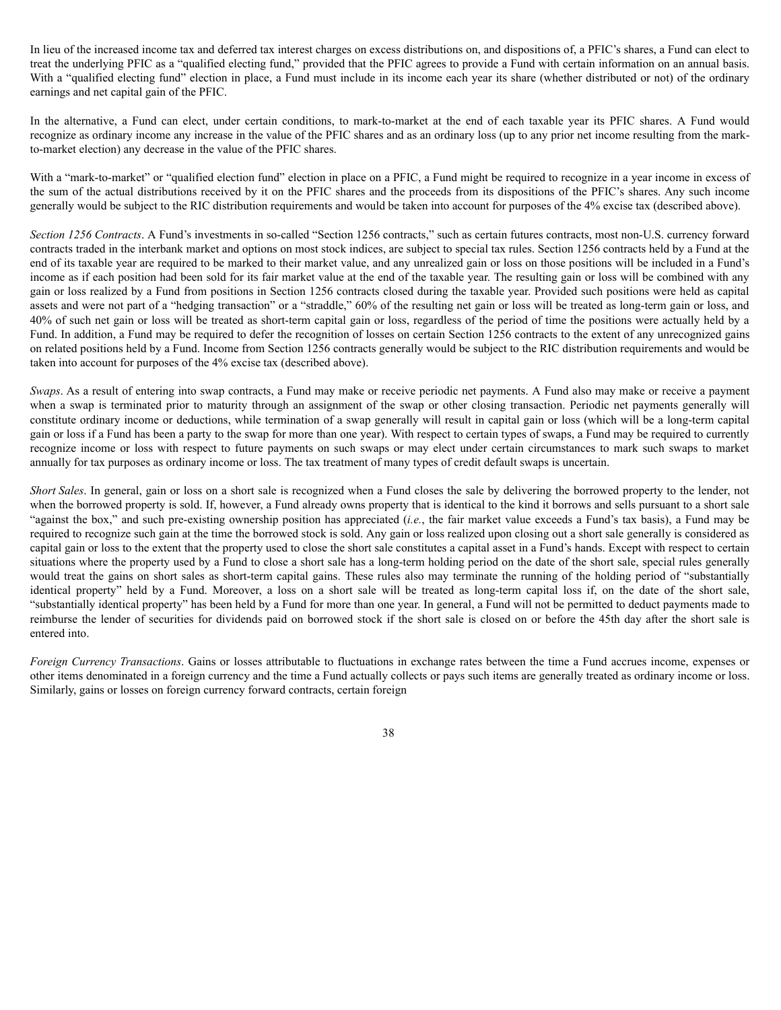In lieu of the increased income tax and deferred tax interest charges on excess distributions on, and dispositions of, a PFIC's shares, a Fund can elect to treat the underlying PFIC as a "qualified electing fund," provided that the PFIC agrees to provide a Fund with certain information on an annual basis. With a "qualified electing fund" election in place, a Fund must include in its income each year its share (whether distributed or not) of the ordinary earnings and net capital gain of the PFIC.

In the alternative, a Fund can elect, under certain conditions, to mark-to-market at the end of each taxable year its PFIC shares. A Fund would recognize as ordinary income any increase in the value of the PFIC shares and as an ordinary loss (up to any prior net income resulting from the markto-market election) any decrease in the value of the PFIC shares.

With a "mark-to-market" or "qualified election fund" election in place on a PFIC, a Fund might be required to recognize in a year income in excess of the sum of the actual distributions received by it on the PFIC shares and the proceeds from its dispositions of the PFIC's shares. Any such income generally would be subject to the RIC distribution requirements and would be taken into account for purposes of the 4% excise tax (described above).

*Section 1256 Contracts*. A Fund's investments in so-called "Section 1256 contracts," such as certain futures contracts, most non-U.S. currency forward contracts traded in the interbank market and options on most stock indices, are subject to special tax rules. Section 1256 contracts held by a Fund at the end of its taxable year are required to be marked to their market value, and any unrealized gain or loss on those positions will be included in a Fund's income as if each position had been sold for its fair market value at the end of the taxable year. The resulting gain or loss will be combined with any gain or loss realized by a Fund from positions in Section 1256 contracts closed during the taxable year. Provided such positions were held as capital assets and were not part of a "hedging transaction" or a "straddle," 60% of the resulting net gain or loss will be treated as long-term gain or loss, and 40% of such net gain or loss will be treated as short-term capital gain or loss, regardless of the period of time the positions were actually held by a Fund. In addition, a Fund may be required to defer the recognition of losses on certain Section 1256 contracts to the extent of any unrecognized gains on related positions held by a Fund. Income from Section 1256 contracts generally would be subject to the RIC distribution requirements and would be taken into account for purposes of the 4% excise tax (described above).

*Swaps*. As a result of entering into swap contracts, a Fund may make or receive periodic net payments. A Fund also may make or receive a payment when a swap is terminated prior to maturity through an assignment of the swap or other closing transaction. Periodic net payments generally will constitute ordinary income or deductions, while termination of a swap generally will result in capital gain or loss (which will be a long-term capital gain or loss if a Fund has been a party to the swap for more than one year). With respect to certain types of swaps, a Fund may be required to currently recognize income or loss with respect to future payments on such swaps or may elect under certain circumstances to mark such swaps to market annually for tax purposes as ordinary income or loss. The tax treatment of many types of credit default swaps is uncertain.

*Short Sales*. In general, gain or loss on a short sale is recognized when a Fund closes the sale by delivering the borrowed property to the lender, not when the borrowed property is sold. If, however, a Fund already owns property that is identical to the kind it borrows and sells pursuant to a short sale "against the box," and such pre-existing ownership position has appreciated (*i.e.*, the fair market value exceeds a Fund's tax basis), a Fund may be required to recognize such gain at the time the borrowed stock is sold. Any gain or loss realized upon closing out a short sale generally is considered as capital gain or loss to the extent that the property used to close the short sale constitutes a capital asset in a Fund's hands. Except with respect to certain situations where the property used by a Fund to close a short sale has a long-term holding period on the date of the short sale, special rules generally would treat the gains on short sales as short-term capital gains. These rules also may terminate the running of the holding period of "substantially identical property" held by a Fund. Moreover, a loss on a short sale will be treated as long-term capital loss if, on the date of the short sale, "substantially identical property" has been held by a Fund for more than one year. In general, a Fund will not be permitted to deduct payments made to reimburse the lender of securities for dividends paid on borrowed stock if the short sale is closed on or before the 45th day after the short sale is entered into.

*Foreign Currency Transactions*. Gains or losses attributable to fluctuations in exchange rates between the time a Fund accrues income, expenses or other items denominated in a foreign currency and the time a Fund actually collects or pays such items are generally treated as ordinary income or loss. Similarly, gains or losses on foreign currency forward contracts, certain foreign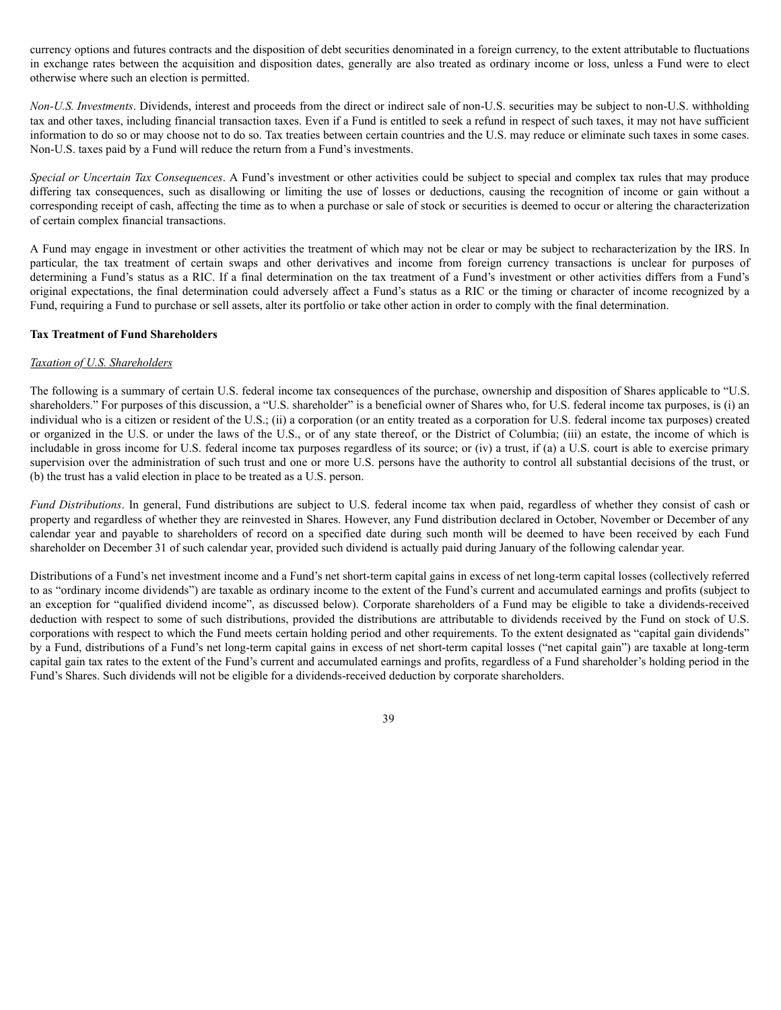currency options and futures contracts and the disposition of debt securities denominated in a foreign currency, to the extent attributable to fluctuations in exchange rates between the acquisition and disposition dates, generally are also treated as ordinary income or loss, unless a Fund were to elect otherwise where such an election is permitted.

*Non-U.S. Investments*. Dividends, interest and proceeds from the direct or indirect sale of non-U.S. securities may be subject to non-U.S. withholding tax and other taxes, including financial transaction taxes. Even if a Fund is entitled to seek a refund in respect of such taxes, it may not have sufficient information to do so or may choose not to do so. Tax treaties between certain countries and the U.S. may reduce or eliminate such taxes in some cases. Non-U.S. taxes paid by a Fund will reduce the return from a Fund's investments.

*Special or Uncertain Tax Consequences*. A Fund's investment or other activities could be subject to special and complex tax rules that may produce differing tax consequences, such as disallowing or limiting the use of losses or deductions, causing the recognition of income or gain without a corresponding receipt of cash, affecting the time as to when a purchase or sale of stock or securities is deemed to occur or altering the characterization of certain complex financial transactions.

A Fund may engage in investment or other activities the treatment of which may not be clear or may be subject to recharacterization by the IRS. In particular, the tax treatment of certain swaps and other derivatives and income from foreign currency transactions is unclear for purposes of determining a Fund's status as a RIC. If a final determination on the tax treatment of a Fund's investment or other activities differs from a Fund's original expectations, the final determination could adversely affect a Fund's status as a RIC or the timing or character of income recognized by a Fund, requiring a Fund to purchase or sell assets, alter its portfolio or take other action in order to comply with the final determination.

### **Tax Treatment of Fund Shareholders**

# *Taxation of U.S. Shareholders*

The following is a summary of certain U.S. federal income tax consequences of the purchase, ownership and disposition of Shares applicable to "U.S. shareholders." For purposes of this discussion, a "U.S. shareholder" is a beneficial owner of Shares who, for U.S. federal income tax purposes, is (i) an individual who is a citizen or resident of the U.S.; (ii) a corporation (or an entity treated as a corporation for U.S. federal income tax purposes) created or organized in the U.S. or under the laws of the U.S., or of any state thereof, or the District of Columbia; (iii) an estate, the income of which is includable in gross income for U.S. federal income tax purposes regardless of its source; or (iv) a trust, if (a) a U.S. court is able to exercise primary supervision over the administration of such trust and one or more U.S. persons have the authority to control all substantial decisions of the trust, or (b) the trust has a valid election in place to be treated as a U.S. person.

*Fund Distributions*. In general, Fund distributions are subject to U.S. federal income tax when paid, regardless of whether they consist of cash or property and regardless of whether they are reinvested in Shares. However, any Fund distribution declared in October, November or December of any calendar year and payable to shareholders of record on a specified date during such month will be deemed to have been received by each Fund shareholder on December 31 of such calendar year, provided such dividend is actually paid during January of the following calendar year.

Distributions of a Fund's net investment income and a Fund's net short-term capital gains in excess of net long-term capital losses (collectively referred to as "ordinary income dividends") are taxable as ordinary income to the extent of the Fund's current and accumulated earnings and profits (subject to an exception for "qualified dividend income", as discussed below). Corporate shareholders of a Fund may be eligible to take a dividends-received deduction with respect to some of such distributions, provided the distributions are attributable to dividends received by the Fund on stock of U.S. corporations with respect to which the Fund meets certain holding period and other requirements. To the extent designated as "capital gain dividends" by a Fund, distributions of a Fund's net long-term capital gains in excess of net short-term capital losses ("net capital gain") are taxable at long-term capital gain tax rates to the extent of the Fund's current and accumulated earnings and profits, regardless of a Fund shareholder's holding period in the Fund's Shares. Such dividends will not be eligible for a dividends-received deduction by corporate shareholders.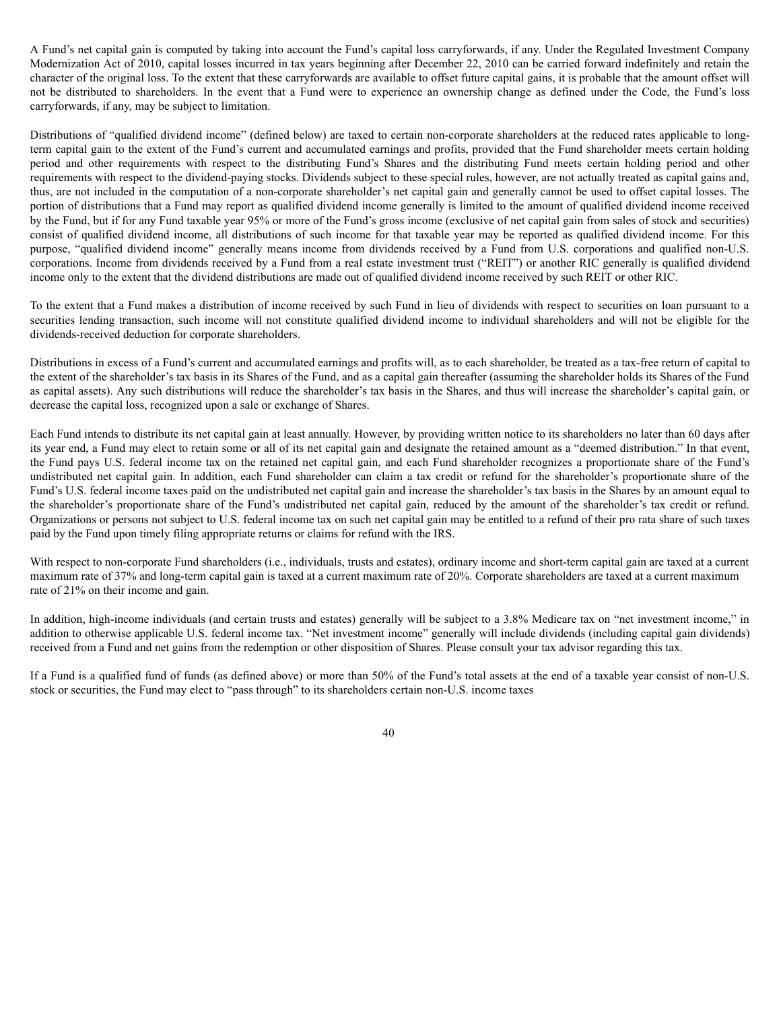A Fund's net capital gain is computed by taking into account the Fund's capital loss carryforwards, if any. Under the Regulated Investment Company Modernization Act of 2010, capital losses incurred in tax years beginning after December 22, 2010 can be carried forward indefinitely and retain the character of the original loss. To the extent that these carryforwards are available to offset future capital gains, it is probable that the amount offset will not be distributed to shareholders. In the event that a Fund were to experience an ownership change as defined under the Code, the Fund's loss carryforwards, if any, may be subject to limitation.

Distributions of "qualified dividend income" (defined below) are taxed to certain non-corporate shareholders at the reduced rates applicable to longterm capital gain to the extent of the Fund's current and accumulated earnings and profits, provided that the Fund shareholder meets certain holding period and other requirements with respect to the distributing Fund's Shares and the distributing Fund meets certain holding period and other requirements with respect to the dividend-paying stocks. Dividends subject to these special rules, however, are not actually treated as capital gains and, thus, are not included in the computation of a non-corporate shareholder's net capital gain and generally cannot be used to offset capital losses. The portion of distributions that a Fund may report as qualified dividend income generally is limited to the amount of qualified dividend income received by the Fund, but if for any Fund taxable year 95% or more of the Fund's gross income (exclusive of net capital gain from sales of stock and securities) consist of qualified dividend income, all distributions of such income for that taxable year may be reported as qualified dividend income. For this purpose, "qualified dividend income" generally means income from dividends received by a Fund from U.S. corporations and qualified non-U.S. corporations. Income from dividends received by a Fund from a real estate investment trust ("REIT") or another RIC generally is qualified dividend income only to the extent that the dividend distributions are made out of qualified dividend income received by such REIT or other RIC.

To the extent that a Fund makes a distribution of income received by such Fund in lieu of dividends with respect to securities on loan pursuant to a securities lending transaction, such income will not constitute qualified dividend income to individual shareholders and will not be eligible for the dividends-received deduction for corporate shareholders.

Distributions in excess of a Fund's current and accumulated earnings and profits will, as to each shareholder, be treated as a tax-free return of capital to the extent of the shareholder's tax basis in its Shares of the Fund, and as a capital gain thereafter (assuming the shareholder holds its Shares of the Fund as capital assets). Any such distributions will reduce the shareholder's tax basis in the Shares, and thus will increase the shareholder's capital gain, or decrease the capital loss, recognized upon a sale or exchange of Shares.

Each Fund intends to distribute its net capital gain at least annually. However, by providing written notice to its shareholders no later than 60 days after its year end, a Fund may elect to retain some or all of its net capital gain and designate the retained amount as a "deemed distribution." In that event, the Fund pays U.S. federal income tax on the retained net capital gain, and each Fund shareholder recognizes a proportionate share of the Fund's undistributed net capital gain. In addition, each Fund shareholder can claim a tax credit or refund for the shareholder's proportionate share of the Fund's U.S. federal income taxes paid on the undistributed net capital gain and increase the shareholder's tax basis in the Shares by an amount equal to the shareholder's proportionate share of the Fund's undistributed net capital gain, reduced by the amount of the shareholder's tax credit or refund. Organizations or persons not subject to U.S. federal income tax on such net capital gain may be entitled to a refund of their pro rata share of such taxes paid by the Fund upon timely filing appropriate returns or claims for refund with the IRS.

With respect to non-corporate Fund shareholders (i.e., individuals, trusts and estates), ordinary income and short-term capital gain are taxed at a current maximum rate of 37% and long-term capital gain is taxed at a current maximum rate of 20%. Corporate shareholders are taxed at a current maximum rate of 21% on their income and gain.

In addition, high-income individuals (and certain trusts and estates) generally will be subject to a 3.8% Medicare tax on "net investment income," in addition to otherwise applicable U.S. federal income tax. "Net investment income" generally will include dividends (including capital gain dividends) received from a Fund and net gains from the redemption or other disposition of Shares. Please consult your tax advisor regarding this tax.

If a Fund is a qualified fund of funds (as defined above) or more than 50% of the Fund's total assets at the end of a taxable year consist of non-U.S. stock or securities, the Fund may elect to "pass through" to its shareholders certain non-U.S. income taxes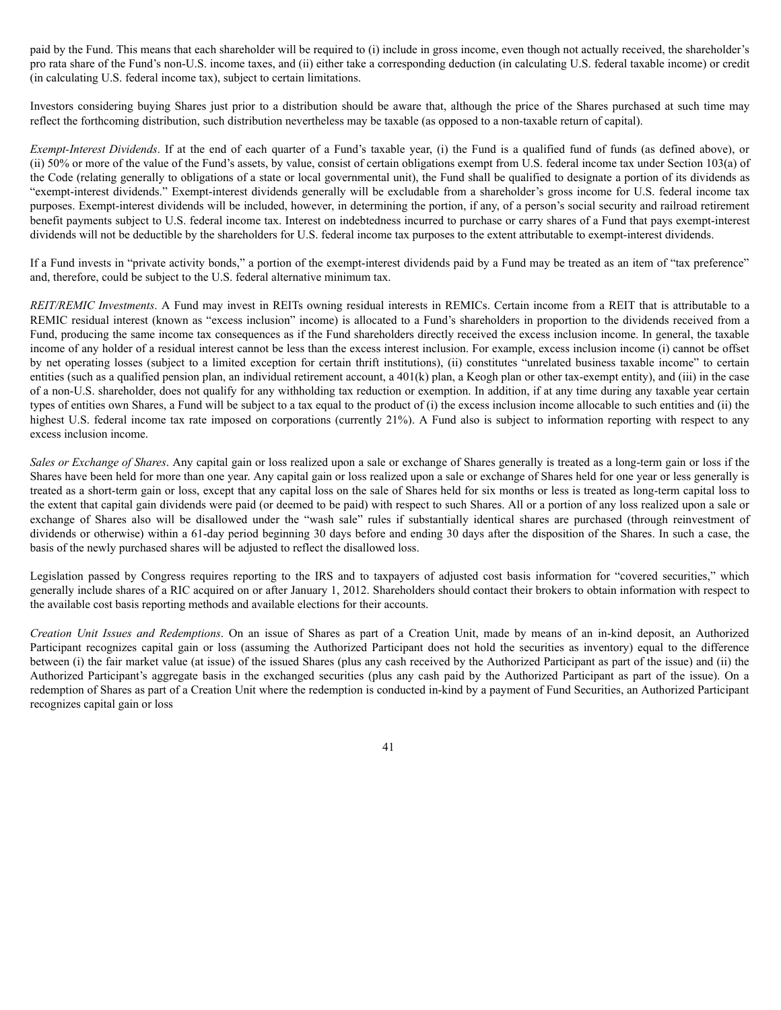paid by the Fund. This means that each shareholder will be required to (i) include in gross income, even though not actually received, the shareholder's pro rata share of the Fund's non-U.S. income taxes, and (ii) either take a corresponding deduction (in calculating U.S. federal taxable income) or credit (in calculating U.S. federal income tax), subject to certain limitations.

Investors considering buying Shares just prior to a distribution should be aware that, although the price of the Shares purchased at such time may reflect the forthcoming distribution, such distribution nevertheless may be taxable (as opposed to a non-taxable return of capital).

*Exempt-Interest Dividends*. If at the end of each quarter of a Fund's taxable year, (i) the Fund is a qualified fund of funds (as defined above), or (ii) 50% or more of the value of the Fund's assets, by value, consist of certain obligations exempt from U.S. federal income tax under Section 103(a) of the Code (relating generally to obligations of a state or local governmental unit), the Fund shall be qualified to designate a portion of its dividends as "exempt-interest dividends." Exempt-interest dividends generally will be excludable from a shareholder's gross income for U.S. federal income tax purposes. Exempt-interest dividends will be included, however, in determining the portion, if any, of a person's social security and railroad retirement benefit payments subject to U.S. federal income tax. Interest on indebtedness incurred to purchase or carry shares of a Fund that pays exempt-interest dividends will not be deductible by the shareholders for U.S. federal income tax purposes to the extent attributable to exempt-interest dividends.

If a Fund invests in "private activity bonds," a portion of the exempt-interest dividends paid by a Fund may be treated as an item of "tax preference" and, therefore, could be subject to the U.S. federal alternative minimum tax.

*REIT/REMIC Investments*. A Fund may invest in REITs owning residual interests in REMICs. Certain income from a REIT that is attributable to a REMIC residual interest (known as "excess inclusion" income) is allocated to a Fund's shareholders in proportion to the dividends received from a Fund, producing the same income tax consequences as if the Fund shareholders directly received the excess inclusion income. In general, the taxable income of any holder of a residual interest cannot be less than the excess interest inclusion. For example, excess inclusion income (i) cannot be offset by net operating losses (subject to a limited exception for certain thrift institutions), (ii) constitutes "unrelated business taxable income" to certain entities (such as a qualified pension plan, an individual retirement account, a 401(k) plan, a Keogh plan or other tax-exempt entity), and (iii) in the case of a non-U.S. shareholder, does not qualify for any withholding tax reduction or exemption. In addition, if at any time during any taxable year certain types of entities own Shares, a Fund will be subject to a tax equal to the product of (i) the excess inclusion income allocable to such entities and (ii) the highest U.S. federal income tax rate imposed on corporations (currently 21%). A Fund also is subject to information reporting with respect to any excess inclusion income.

*Sales or Exchange of Shares*. Any capital gain or loss realized upon a sale or exchange of Shares generally is treated as a long-term gain or loss if the Shares have been held for more than one year. Any capital gain or loss realized upon a sale or exchange of Shares held for one year or less generally is treated as a short-term gain or loss, except that any capital loss on the sale of Shares held for six months or less is treated as long-term capital loss to the extent that capital gain dividends were paid (or deemed to be paid) with respect to such Shares. All or a portion of any loss realized upon a sale or exchange of Shares also will be disallowed under the "wash sale" rules if substantially identical shares are purchased (through reinvestment of dividends or otherwise) within a 61-day period beginning 30 days before and ending 30 days after the disposition of the Shares. In such a case, the basis of the newly purchased shares will be adjusted to reflect the disallowed loss.

Legislation passed by Congress requires reporting to the IRS and to taxpayers of adjusted cost basis information for "covered securities," which generally include shares of a RIC acquired on or after January 1, 2012. Shareholders should contact their brokers to obtain information with respect to the available cost basis reporting methods and available elections for their accounts.

*Creation Unit Issues and Redemptions*. On an issue of Shares as part of a Creation Unit, made by means of an in-kind deposit, an Authorized Participant recognizes capital gain or loss (assuming the Authorized Participant does not hold the securities as inventory) equal to the difference between (i) the fair market value (at issue) of the issued Shares (plus any cash received by the Authorized Participant as part of the issue) and (ii) the Authorized Participant's aggregate basis in the exchanged securities (plus any cash paid by the Authorized Participant as part of the issue). On a redemption of Shares as part of a Creation Unit where the redemption is conducted in-kind by a payment of Fund Securities, an Authorized Participant recognizes capital gain or loss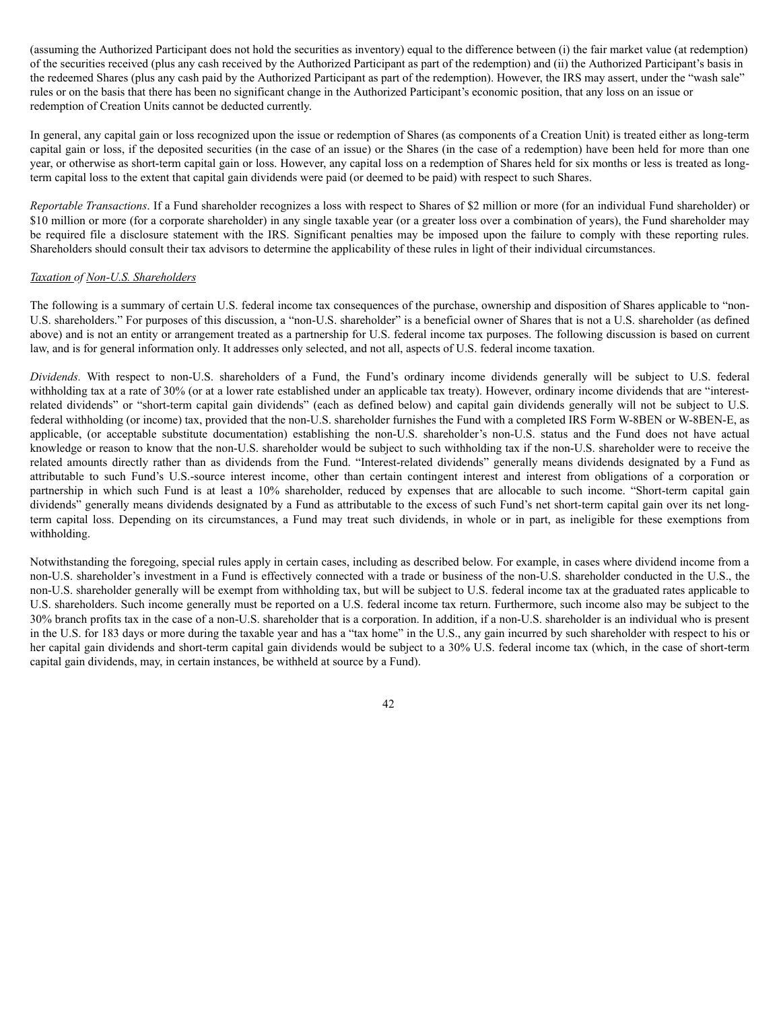(assuming the Authorized Participant does not hold the securities as inventory) equal to the difference between (i) the fair market value (at redemption) of the securities received (plus any cash received by the Authorized Participant as part of the redemption) and (ii) the Authorized Participant's basis in the redeemed Shares (plus any cash paid by the Authorized Participant as part of the redemption). However, the IRS may assert, under the "wash sale" rules or on the basis that there has been no significant change in the Authorized Participant's economic position, that any loss on an issue or redemption of Creation Units cannot be deducted currently.

In general, any capital gain or loss recognized upon the issue or redemption of Shares (as components of a Creation Unit) is treated either as long-term capital gain or loss, if the deposited securities (in the case of an issue) or the Shares (in the case of a redemption) have been held for more than one year, or otherwise as short-term capital gain or loss. However, any capital loss on a redemption of Shares held for six months or less is treated as longterm capital loss to the extent that capital gain dividends were paid (or deemed to be paid) with respect to such Shares.

*Reportable Transactions*. If a Fund shareholder recognizes a loss with respect to Shares of \$2 million or more (for an individual Fund shareholder) or \$10 million or more (for a corporate shareholder) in any single taxable year (or a greater loss over a combination of years), the Fund shareholder may be required file a disclosure statement with the IRS. Significant penalties may be imposed upon the failure to comply with these reporting rules. Shareholders should consult their tax advisors to determine the applicability of these rules in light of their individual circumstances.

## *Taxation of Non-U.S. Shareholders*

The following is a summary of certain U.S. federal income tax consequences of the purchase, ownership and disposition of Shares applicable to "non-U.S. shareholders." For purposes of this discussion, a "non-U.S. shareholder" is a beneficial owner of Shares that is not a U.S. shareholder (as defined above) and is not an entity or arrangement treated as a partnership for U.S. federal income tax purposes. The following discussion is based on current law, and is for general information only. It addresses only selected, and not all, aspects of U.S. federal income taxation.

*Dividends.* With respect to non-U.S. shareholders of a Fund, the Fund's ordinary income dividends generally will be subject to U.S. federal withholding tax at a rate of 30% (or at a lower rate established under an applicable tax treaty). However, ordinary income dividends that are "interestrelated dividends" or "short-term capital gain dividends" (each as defined below) and capital gain dividends generally will not be subject to U.S. federal withholding (or income) tax, provided that the non-U.S. shareholder furnishes the Fund with a completed IRS Form W-8BEN or W-8BEN-E, as applicable, (or acceptable substitute documentation) establishing the non-U.S. shareholder's non-U.S. status and the Fund does not have actual knowledge or reason to know that the non-U.S. shareholder would be subject to such withholding tax if the non-U.S. shareholder were to receive the related amounts directly rather than as dividends from the Fund. "Interest-related dividends" generally means dividends designated by a Fund as attributable to such Fund's U.S.-source interest income, other than certain contingent interest and interest from obligations of a corporation or partnership in which such Fund is at least a 10% shareholder, reduced by expenses that are allocable to such income. "Short-term capital gain dividends" generally means dividends designated by a Fund as attributable to the excess of such Fund's net short-term capital gain over its net longterm capital loss. Depending on its circumstances, a Fund may treat such dividends, in whole or in part, as ineligible for these exemptions from withholding.

Notwithstanding the foregoing, special rules apply in certain cases, including as described below. For example, in cases where dividend income from a non-U.S. shareholder's investment in a Fund is effectively connected with a trade or business of the non-U.S. shareholder conducted in the U.S., the non-U.S. shareholder generally will be exempt from withholding tax, but will be subject to U.S. federal income tax at the graduated rates applicable to U.S. shareholders. Such income generally must be reported on a U.S. federal income tax return. Furthermore, such income also may be subject to the 30% branch profits tax in the case of a non-U.S. shareholder that is a corporation. In addition, if a non-U.S. shareholder is an individual who is present in the U.S. for 183 days or more during the taxable year and has a "tax home" in the U.S., any gain incurred by such shareholder with respect to his or her capital gain dividends and short-term capital gain dividends would be subject to a 30% U.S. federal income tax (which, in the case of short-term capital gain dividends, may, in certain instances, be withheld at source by a Fund).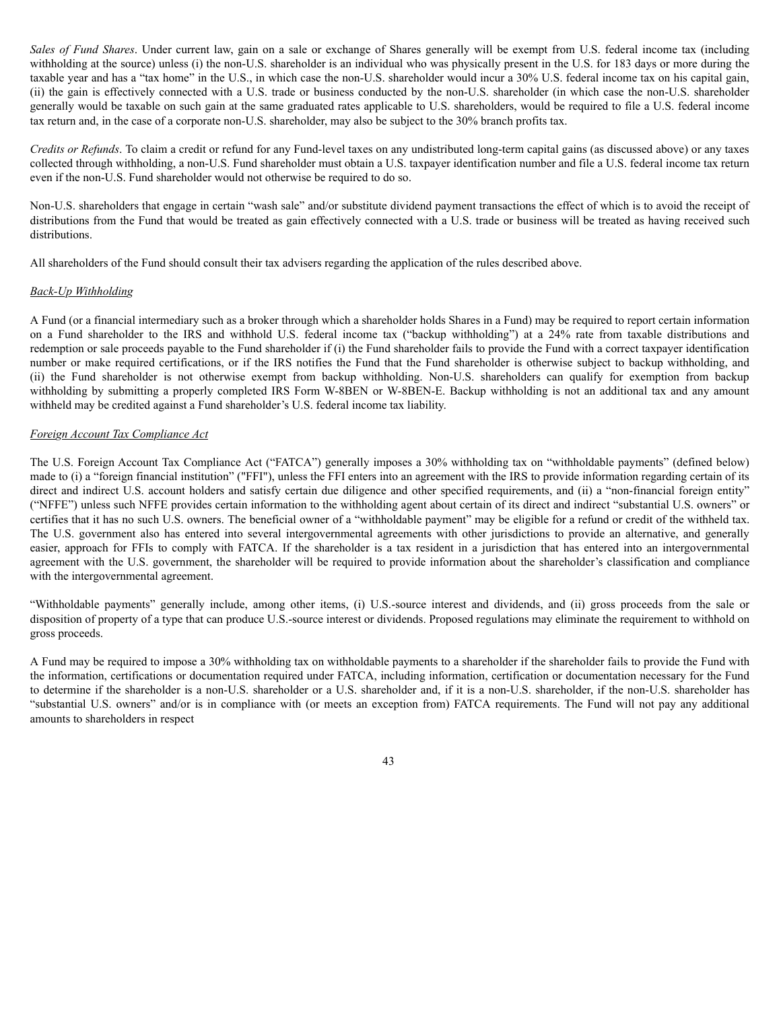*Sales of Fund Shares*. Under current law, gain on a sale or exchange of Shares generally will be exempt from U.S. federal income tax (including withholding at the source) unless (i) the non-U.S. shareholder is an individual who was physically present in the U.S. for 183 days or more during the taxable year and has a "tax home" in the U.S., in which case the non-U.S. shareholder would incur a 30% U.S. federal income tax on his capital gain, (ii) the gain is effectively connected with a U.S. trade or business conducted by the non-U.S. shareholder (in which case the non-U.S. shareholder generally would be taxable on such gain at the same graduated rates applicable to U.S. shareholders, would be required to file a U.S. federal income tax return and, in the case of a corporate non-U.S. shareholder, may also be subject to the 30% branch profits tax.

*Credits or Refunds*. To claim a credit or refund for any Fund-level taxes on any undistributed long-term capital gains (as discussed above) or any taxes collected through withholding, a non-U.S. Fund shareholder must obtain a U.S. taxpayer identification number and file a U.S. federal income tax return even if the non-U.S. Fund shareholder would not otherwise be required to do so.

Non-U.S. shareholders that engage in certain "wash sale" and/or substitute dividend payment transactions the effect of which is to avoid the receipt of distributions from the Fund that would be treated as gain effectively connected with a U.S. trade or business will be treated as having received such distributions.

All shareholders of the Fund should consult their tax advisers regarding the application of the rules described above.

### *Back-Up Withholding*

A Fund (or a financial intermediary such as a broker through which a shareholder holds Shares in a Fund) may be required to report certain information on a Fund shareholder to the IRS and withhold U.S. federal income tax ("backup withholding") at a 24% rate from taxable distributions and redemption or sale proceeds payable to the Fund shareholder if (i) the Fund shareholder fails to provide the Fund with a correct taxpayer identification number or make required certifications, or if the IRS notifies the Fund that the Fund shareholder is otherwise subject to backup withholding, and (ii) the Fund shareholder is not otherwise exempt from backup withholding. Non-U.S. shareholders can qualify for exemption from backup withholding by submitting a properly completed IRS Form W-8BEN or W-8BEN-E. Backup withholding is not an additional tax and any amount withheld may be credited against a Fund shareholder's U.S. federal income tax liability.

# *Foreign Account Tax Compliance Act*

The U.S. Foreign Account Tax Compliance Act ("FATCA") generally imposes a 30% withholding tax on "withholdable payments" (defined below) made to (i) a "foreign financial institution" ("FFI"), unless the FFI enters into an agreement with the IRS to provide information regarding certain of its direct and indirect U.S. account holders and satisfy certain due diligence and other specified requirements, and (ii) a "non-financial foreign entity" ("NFFE") unless such NFFE provides certain information to the withholding agent about certain of its direct and indirect "substantial U.S. owners" or certifies that it has no such U.S. owners. The beneficial owner of a "withholdable payment" may be eligible for a refund or credit of the withheld tax. The U.S. government also has entered into several intergovernmental agreements with other jurisdictions to provide an alternative, and generally easier, approach for FFIs to comply with FATCA. If the shareholder is a tax resident in a jurisdiction that has entered into an intergovernmental agreement with the U.S. government, the shareholder will be required to provide information about the shareholder's classification and compliance with the intergovernmental agreement.

"Withholdable payments" generally include, among other items, (i) U.S.-source interest and dividends, and (ii) gross proceeds from the sale or disposition of property of a type that can produce U.S.-source interest or dividends. Proposed regulations may eliminate the requirement to withhold on gross proceeds.

A Fund may be required to impose a 30% withholding tax on withholdable payments to a shareholder if the shareholder fails to provide the Fund with the information, certifications or documentation required under FATCA, including information, certification or documentation necessary for the Fund to determine if the shareholder is a non-U.S. shareholder or a U.S. shareholder and, if it is a non-U.S. shareholder, if the non-U.S. shareholder has "substantial U.S. owners" and/or is in compliance with (or meets an exception from) FATCA requirements. The Fund will not pay any additional amounts to shareholders in respect